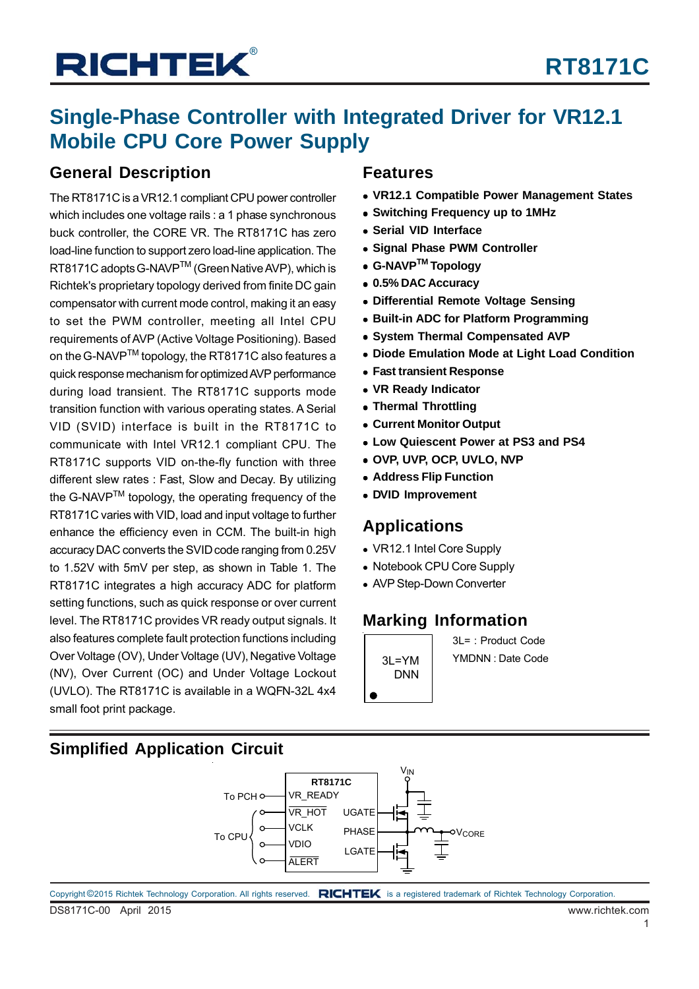### **Single-Phase Controller with Integrated Driver for VR12.1 Mobile CPU Core Power Supply**

### **General Description**

The RT8171C is a VR12.1 compliant CPU power controller which includes one voltage rails : a 1 phase synchronous buck controller, the CORE VR. The RT8171C has zero load-line function to support zero load-line application. The RT8171C adopts G-NAVP™ (Green Native AVP), which is Richtek's proprietary topology derived from finite DC gain compensator with current mode control, making it an easy to set the PWM controller, meeting all Intel CPU requirements of AVP (Active Voltage Positioning). Based on the G-NAVP<sup>™</sup> topology, the RT8171C also features a quick response mechanism for optimized AVP performance during load transient. The RT8171C supports mode transition function with various operating states. A Serial VID (SVID) interface is built in the RT8171C to communicate with Intel VR12.1 compliant CPU. The RT8171C supports VID on-the-fly function with three different slew rates : Fast, Slow and Decay. By utilizing the G-NAVP<sup>™</sup> topology, the operating frequency of the RT8171C varies with VID, load and input voltage to further enhance the efficiency even in CCM. The built-in high accuracy DAC converts the SVID code ranging from 0.25V to 1.52V with 5mV per step, as shown in Table 1. The RT8171C integrates a high accuracy ADC for platform setting functions, such as quick response or over current level. The RT8171C provides VR ready output signals. It also features complete fault protection functions including Over Voltage (OV), Under Voltage (UV), Negative Voltage (NV), Over Current (OC) and Under Voltage Lockout (UVLO). The RT8171C is available in a WQFN-32L 4x4 small foot print package.

### **Features**

- **VR12.1 Compatible Power Management States**
- **Switching Frequency up to 1MHz**
- **Serial VID Interface**
- **Signal Phase PWM Controller**
- **G-NAVPTM Topology**
- **0.5% DAC Accuracy**
- **Differential Remote Voltage Sensing**
- **Built-in ADC for Platform Programming**
- **System Thermal Compensated AVP**
- **Diode Emulation Mode at Light Load Condition**
- **Fast transient Response**
- **VR Ready Indicator**
- **Thermal Throttling**
- **Current Monitor Output**
- **Low Quiescent Power at PS3 and PS4**
- **OVP, UVP, OCP, UVLO, NVP**
- **Address Flip Function**
- **DVID Improvement**

### **Applications**

- VR12.1 Intel Core Supply
- Notebook CPU Core Supply
- AVP Step-Down Converter

### **Marking Information**

DNN

 $3I = 1$ : Product Code 3L=YM YMDNN : Date Code

### **Simplified Application Circuit**



DS8171C-00 April 2015 www.richtek.com Copyright ©2015 Richtek Technology Corporation. All rights reserved. RICHTEK is a registered trademark of Richtek Technology Corporation.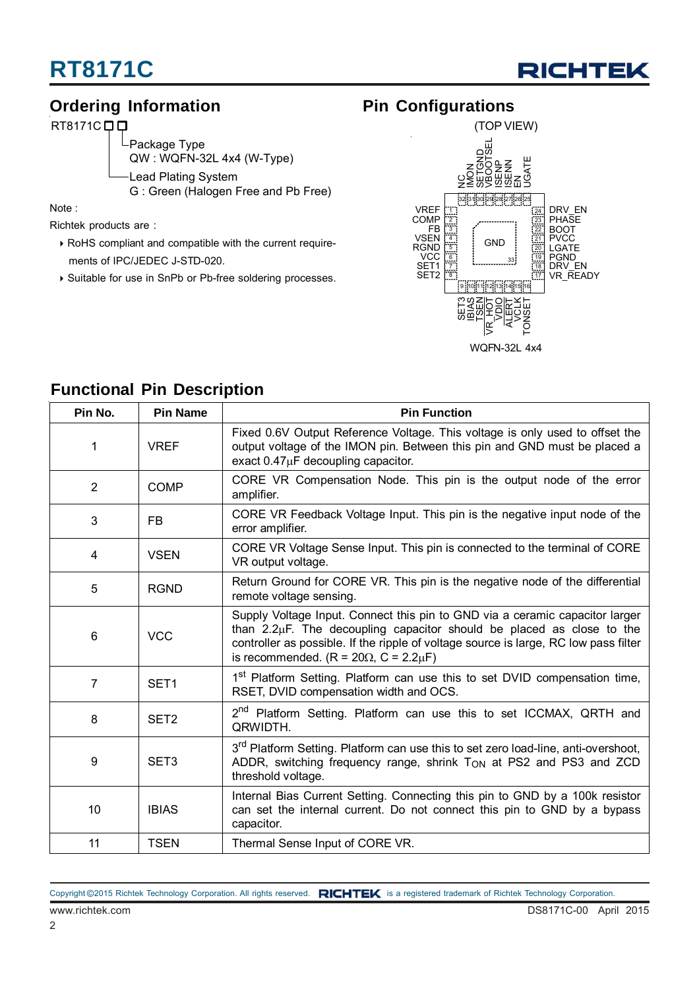

### **Ordering Information**

RT8171C<sub>D</sub>

Package Type QW : WQFN-32L 4x4 (W-Type) Lead Plating System G : Green (Halogen Free and Pb Free)

Note :

Richtek products are :

- ▶ RoHS compliant and compatible with the current requirements of IPC/JEDEC J-STD-020.
- ▶ Suitable for use in SnPb or Pb-free soldering processes.

### **Pin Configurations**



### **Functional Pin Description**

| Pin No.        | <b>Pin Name</b>  | <b>Pin Function</b>                                                                                                                                                                                                                                                                                  |
|----------------|------------------|------------------------------------------------------------------------------------------------------------------------------------------------------------------------------------------------------------------------------------------------------------------------------------------------------|
| $\mathbf{1}$   | <b>VREF</b>      | Fixed 0.6V Output Reference Voltage. This voltage is only used to offset the<br>output voltage of the IMON pin. Between this pin and GND must be placed a<br>exact $0.47\mu$ F decoupling capacitor.                                                                                                 |
| $\overline{2}$ | <b>COMP</b>      | CORE VR Compensation Node. This pin is the output node of the error<br>amplifier.                                                                                                                                                                                                                    |
| 3              | FB.              | CORE VR Feedback Voltage Input. This pin is the negative input node of the<br>error amplifier.                                                                                                                                                                                                       |
| 4              | <b>VSEN</b>      | CORE VR Voltage Sense Input. This pin is connected to the terminal of CORE<br>VR output voltage.                                                                                                                                                                                                     |
| 5              | <b>RGND</b>      | Return Ground for CORE VR. This pin is the negative node of the differential<br>remote voltage sensing.                                                                                                                                                                                              |
| 6              | <b>VCC</b>       | Supply Voltage Input. Connect this pin to GND via a ceramic capacitor larger<br>than $2.2\mu$ F. The decoupling capacitor should be placed as close to the<br>controller as possible. If the ripple of voltage source is large, RC low pass filter<br>is recommended. $(R = 20\Omega, C = 2.2\mu F)$ |
| $\overline{7}$ | SET <sub>1</sub> | 1 <sup>st</sup> Platform Setting. Platform can use this to set DVID compensation time,<br>RSET, DVID compensation width and OCS.                                                                                                                                                                     |
| 8              | SET <sub>2</sub> | 2 <sup>nd</sup> Platform Setting. Platform can use this to set ICCMAX, QRTH and<br>QRWIDTH.                                                                                                                                                                                                          |
| 9              | SET <sub>3</sub> | 3 <sup>rd</sup> Platform Setting. Platform can use this to set zero load-line, anti-overshoot,<br>ADDR, switching frequency range, shrink Ton at PS2 and PS3 and ZCD<br>threshold voltage.                                                                                                           |
| 10             | <b>IBIAS</b>     | Internal Bias Current Setting. Connecting this pin to GND by a 100k resistor<br>can set the internal current. Do not connect this pin to GND by a bypass<br>capacitor.                                                                                                                               |
| 11             | <b>TSEN</b>      | Thermal Sense Input of CORE VR.                                                                                                                                                                                                                                                                      |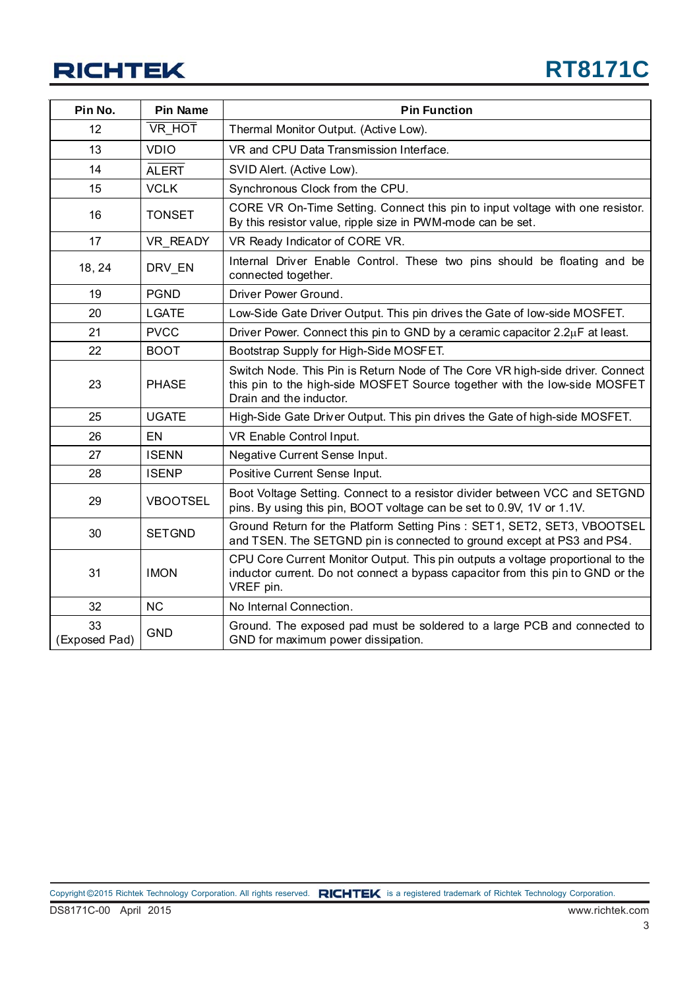| Pin No.             | <b>Pin Name</b> | <b>Pin Function</b>                                                                                                                                                                   |
|---------------------|-----------------|---------------------------------------------------------------------------------------------------------------------------------------------------------------------------------------|
| 12                  | VR_HOT          | Thermal Monitor Output. (Active Low).                                                                                                                                                 |
| 13                  | <b>VDIO</b>     | VR and CPU Data Transmission Interface.                                                                                                                                               |
| 14                  | <b>ALERT</b>    | SVID Alert. (Active Low).                                                                                                                                                             |
| 15                  | <b>VCLK</b>     | Synchronous Clock from the CPU.                                                                                                                                                       |
| 16                  | <b>TONSET</b>   | CORE VR On-Time Setting. Connect this pin to input voltage with one resistor.<br>By this resistor value, ripple size in PWM-mode can be set.                                          |
| 17                  | VR_READY        | VR Ready Indicator of CORE VR.                                                                                                                                                        |
| 18, 24              | DRV_EN          | Internal Driver Enable Control. These two pins should be floating and be<br>connected together.                                                                                       |
| 19                  | <b>PGND</b>     | Driver Power Ground.                                                                                                                                                                  |
| 20                  | <b>LGATE</b>    | Low-Side Gate Driver Output. This pin drives the Gate of low-side MOSFET.                                                                                                             |
| 21                  | <b>PVCC</b>     | Driver Power. Connect this pin to GND by a ceramic capacitor 2.2µF at least.                                                                                                          |
| 22                  | <b>BOOT</b>     | Bootstrap Supply for High-Side MOSFET.                                                                                                                                                |
| 23                  | <b>PHASE</b>    | Switch Node. This Pin is Return Node of The Core VR high-side driver. Connect<br>this pin to the high-side MOSFET Source together with the low-side MOSFET<br>Drain and the inductor. |
| 25                  | <b>UGATE</b>    | High-Side Gate Driver Output. This pin drives the Gate of high-side MOSFET.                                                                                                           |
| 26                  | EN              | VR Enable Control Input.                                                                                                                                                              |
| 27                  | <b>ISENN</b>    | Negative Current Sense Input.                                                                                                                                                         |
| 28                  | <b>ISENP</b>    | Positive Current Sense Input.                                                                                                                                                         |
| 29                  | <b>VBOOTSEL</b> | Boot Voltage Setting. Connect to a resistor divider between VCC and SETGND<br>pins. By using this pin, BOOT voltage can be set to 0.9V, 1V or 1.1V.                                   |
| 30                  | <b>SETGND</b>   | Ground Return for the Platform Setting Pins: SET1, SET2, SET3, VBOOTSEL<br>and TSEN. The SETGND pin is connected to ground except at PS3 and PS4.                                     |
| 31                  | <b>IMON</b>     | CPU Core Current Monitor Output. This pin outputs a voltage proportional to the<br>inductor current. Do not connect a bypass capacitor from this pin to GND or the<br>VREF pin.       |
| 32                  | <b>NC</b>       | No Internal Connection.                                                                                                                                                               |
| 33<br>(Exposed Pad) | <b>GND</b>      | Ground. The exposed pad must be soldered to a large PCB and connected to<br>GND for maximum power dissipation.                                                                        |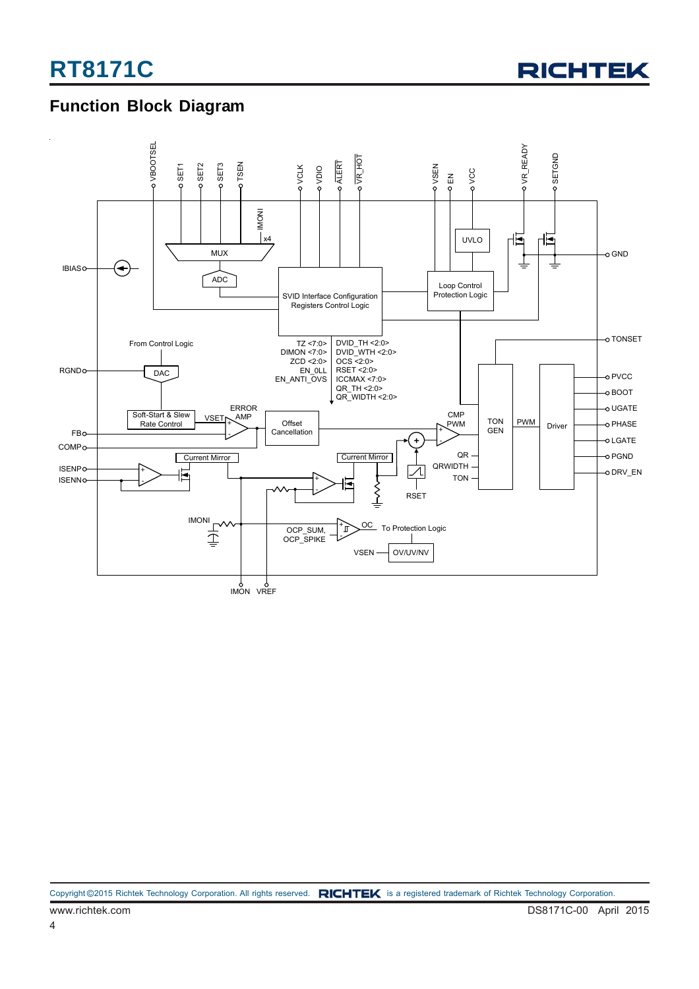

### **Function Block Diagram**

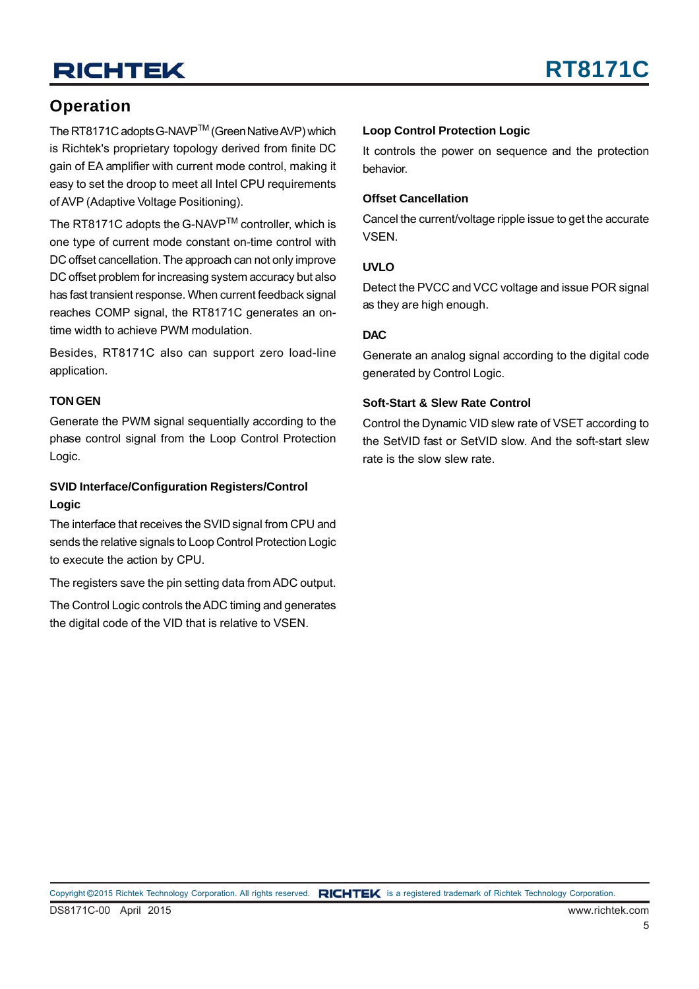### **Operation**

The RT8171C adopts G-NAVPTM (Green Native AVP) which is Richtek's proprietary topology derived from finite DC gain of EA amplifier with current mode control, making it easy to set the droop to meet all Intel CPU requirements of AVP (Adaptive Voltage Positioning).

The RT8171C adopts the G-NAVPTM controller, which is one type of current mode constant on-time control with DC offset cancellation. The approach can not only improve DC offset problem for increasing system accuracy but also has fast transient response. When current feedback signal reaches COMP signal, the RT8171C generates an ontime width to achieve PWM modulation.

Besides, RT8171C also can support zero load-line application.

#### **TON GEN**

Generate the PWM signal sequentially according to the phase control signal from the Loop Control Protection Logic.

#### **SVID Interface/Configuration Registers/Control Logic**

The interface that receives the SVID signal from CPU and sends the relative signals to Loop Control Protection Logic to execute the action by CPU.

The registers save the pin setting data from ADC output.

The Control Logic controls the ADC timing and generates the digital code of the VID that is relative to VSEN.

#### **Loop Control Protection Logic**

It controls the power on sequence and the protection behavior.

#### **Offset Cancellation**

Cancel the current/voltage ripple issue to get the accurate VSEN.

#### **UVLO**

Detect the PVCC and VCC voltage and issue POR signal as they are high enough.

#### **DAC**

Generate an analog signal according to the digital code generated by Control Logic.

#### **Soft-Start & Slew Rate Control**

Control the Dynamic VID slew rate of VSET according to the SetVID fast or SetVID slow. And the soft-start slew rate is the slow slew rate.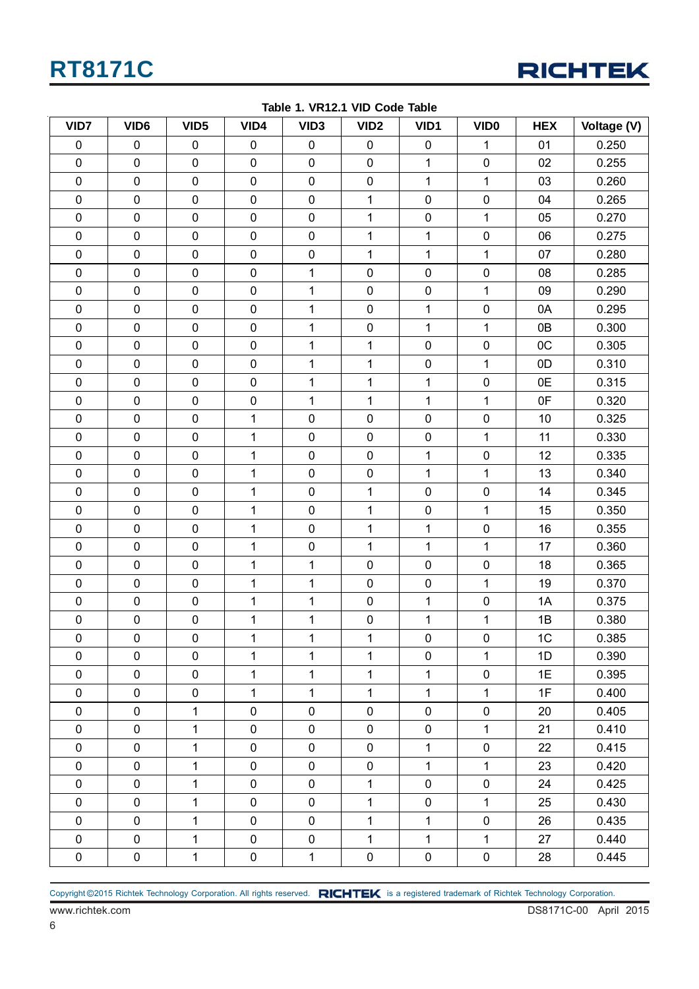

| VID7                | VID <sub>6</sub> | VID <sub>5</sub> | VID4         | VID <sub>3</sub> | VID <sub>2</sub> | VID1         | VID <sub>0</sub> | <b>HEX</b> | Voltage (V) |
|---------------------|------------------|------------------|--------------|------------------|------------------|--------------|------------------|------------|-------------|
| $\pmb{0}$           | $\pmb{0}$        | $\pmb{0}$        | $\pmb{0}$    | $\mathbf 0$      | $\pmb{0}$        | $\pmb{0}$    | $\mathbf 1$      | 01         | 0.250       |
| $\pmb{0}$           | $\pmb{0}$        | $\pmb{0}$        | $\pmb{0}$    | $\mathbf 0$      | $\pmb{0}$        | 1            | $\pmb{0}$        | 02         | 0.255       |
| $\pmb{0}$           | $\pmb{0}$        | $\pmb{0}$        | $\pmb{0}$    | $\pmb{0}$        | $\pmb{0}$        | 1            | 1                | 03         | 0.260       |
| $\pmb{0}$           | $\pmb{0}$        | $\pmb{0}$        | $\pmb{0}$    | $\pmb{0}$        | $\mathbf 1$      | 0            | $\pmb{0}$        | 04         | 0.265       |
| $\pmb{0}$           | $\pmb{0}$        | 0                | $\pmb{0}$    | $\pmb{0}$        | $\mathbf 1$      | $\pmb{0}$    | 1                | 05         | 0.270       |
| $\pmb{0}$           | $\pmb{0}$        | $\pmb{0}$        | $\pmb{0}$    | $\pmb{0}$        | $\mathbf 1$      | $\mathbf 1$  | $\pmb{0}$        | 06         | 0.275       |
| $\pmb{0}$           | $\pmb{0}$        | $\pmb{0}$        | $\pmb{0}$    | $\pmb{0}$        | $\mathbf{1}$     | $\mathbf 1$  | $\mathbf{1}$     | 07         | 0.280       |
| $\pmb{0}$           | $\pmb{0}$        | 0                | $\pmb{0}$    | 1                | $\pmb{0}$        | 0            | $\pmb{0}$        | 08         | 0.285       |
| $\pmb{0}$           | $\pmb{0}$        | $\pmb{0}$        | $\pmb{0}$    | $\mathbf 1$      | $\pmb{0}$        | $\pmb{0}$    | $\mathbf 1$      | 09         | 0.290       |
| $\pmb{0}$           | $\pmb{0}$        | $\pmb{0}$        | $\pmb{0}$    | 1                | $\pmb{0}$        | 1            | $\pmb{0}$        | 0A         | 0.295       |
| $\pmb{0}$           | $\pmb{0}$        | $\pmb{0}$        | $\pmb{0}$    | 1                | $\pmb{0}$        | 1            | 1                | 0B         | 0.300       |
| $\pmb{0}$           | $\pmb{0}$        | $\pmb{0}$        | $\pmb{0}$    | $\mathbf 1$      | $\mathbf{1}$     | $\pmb{0}$    | $\pmb{0}$        | 0C         | 0.305       |
| $\pmb{0}$           | $\pmb{0}$        | $\pmb{0}$        | $\pmb{0}$    | 1                | $\mathbf{1}$     | 0            | $\mathbf 1$      | 0D         | 0.310       |
| $\pmb{0}$           | $\pmb{0}$        | $\pmb{0}$        | $\pmb{0}$    | $\mathbf 1$      | $\mathbf{1}$     | $\mathbf{1}$ | $\pmb{0}$        | 0E         | 0.315       |
| $\pmb{0}$           | $\pmb{0}$        | $\pmb{0}$        | $\pmb{0}$    | 1                | $\mathbf{1}$     | 1            | $\mathbf 1$      | 0F         | 0.320       |
| $\pmb{0}$           | $\pmb{0}$        | $\pmb{0}$        | 1            | $\pmb{0}$        | $\pmb{0}$        | $\pmb{0}$    | $\pmb{0}$        | 10         | 0.325       |
| $\pmb{0}$           | $\pmb{0}$        | $\pmb{0}$        | $\mathbf 1$  | $\pmb{0}$        | $\pmb{0}$        | $\pmb{0}$    | $\mathbf 1$      | 11         | 0.330       |
| $\pmb{0}$           | $\pmb{0}$        | $\pmb{0}$        | 1            | $\pmb{0}$        | $\pmb{0}$        | $\mathbf 1$  | $\pmb{0}$        | 12         | 0.335       |
| $\pmb{0}$           | $\pmb{0}$        | $\pmb{0}$        | 1            | $\pmb{0}$        | $\pmb{0}$        | 1            | 1                | 13         | 0.340       |
| $\pmb{0}$           | $\pmb{0}$        | $\pmb{0}$        | 1            | $\pmb{0}$        | $\mathbf 1$      | 0            | $\pmb{0}$        | 14         | 0.345       |
| $\pmb{0}$           | $\pmb{0}$        | $\pmb{0}$        | $\mathbf 1$  | $\pmb{0}$        | $\mathbf{1}$     | $\pmb{0}$    | $\mathbf 1$      | 15         | 0.350       |
| $\pmb{0}$           | $\pmb{0}$        | $\pmb{0}$        | 1            | $\pmb{0}$        | $\mathbf{1}$     | 1            | $\pmb{0}$        | 16         | 0.355       |
| $\pmb{0}$           | $\pmb{0}$        | $\pmb{0}$        | 1            | $\pmb{0}$        | $\mathbf{1}$     | $\mathbf 1$  | $\mathbf 1$      | 17         | 0.360       |
| $\pmb{0}$           | $\pmb{0}$        | $\pmb{0}$        | 1            | 1                | $\pmb{0}$        | 0            | $\pmb{0}$        | 18         | 0.365       |
| $\pmb{0}$           | $\pmb{0}$        | $\pmb{0}$        | 1            | $\mathbf 1$      | $\pmb{0}$        | $\pmb{0}$    | $\mathbf 1$      | 19         | 0.370       |
| $\pmb{0}$           | $\pmb{0}$        | $\pmb{0}$        | 1            | 1                | $\pmb{0}$        | 1            | $\pmb{0}$        | 1A         | 0.375       |
| $\pmb{0}$           | $\pmb{0}$        | $\pmb{0}$        | 1            | 1                | $\pmb{0}$        | 1            | 1                | 1B         | 0.380       |
| $\pmb{0}$           | $\pmb{0}$        | $\pmb{0}$        | $\mathbf{1}$ | 1                | $\mathbf 1$      | 0            | $\pmb{0}$        | 1C         | 0.385       |
| 0                   | $\pmb{0}$        | 0                | 1            | $\mathbf 1$      | $\mathbf{1}$     | $\mathbf 0$  | $\mathbf{1}$     | 1D         | 0.390       |
| $\pmb{0}$           | $\pmb{0}$        | $\pmb{0}$        | $\mathbf{1}$ | $\mathbf{1}$     | $\mathbf{1}$     | $\mathbf{1}$ | $\mathbf 0$      | 1E         | 0.395       |
| $\pmb{0}$           | $\mathbf 0$      | $\pmb{0}$        | $\mathbf{1}$ | $\mathbf{1}$     | $\mathbf{1}$     | $\mathbf{1}$ | $\mathbf{1}$     | 1F         | 0.400       |
| $\pmb{0}$           | $\pmb{0}$        | $\mathbf{1}$     | $\pmb{0}$    | $\pmb{0}$        | $\pmb{0}$        | $\mathbf 0$  | $\mathbf 0$      | 20         | 0.405       |
| $\mathbf 0$         | $\pmb{0}$        | $\mathbf{1}$     | $\mathbf 0$  | $\mathbf 0$      | $\mathbf 0$      | $\mathbf 0$  | $\mathbf{1}$     | 21         | 0.410       |
| 0                   | $\pmb{0}$        | $\mathbf{1}$     | $\pmb{0}$    | $\mathbf 0$      | $\pmb{0}$        | $\mathbf{1}$ | $\mathbf 0$      | 22         | 0.415       |
| $\pmb{0}$           | $\pmb{0}$        | $\mathbf{1}$     | $\pmb{0}$    | 0                | 0                | $\mathbf{1}$ | $\mathbf 1$      | 23         | 0.420       |
| $\pmb{0}$           | $\mathbf 0$      | $\mathbf{1}$     | $\mathbf 0$  | $\mathbf 0$      | $\mathbf{1}$     | $\mathbf 0$  | $\mathbf 0$      | 24         | 0.425       |
| $\mathbf 0$         | $\mathbf 0$      | $\mathbf{1}$     | $\mathbf 0$  | $\mathbf 0$      | $\mathbf{1}$     | 0            | $\mathbf{1}$     | 25         | 0.430       |
| $\pmb{0}$           | $\pmb{0}$        | $\mathbf{1}$     | $\pmb{0}$    | $\mathbf 0$      | $\mathbf{1}$     | $\mathbf{1}$ | $\pmb{0}$        | 26         | 0.435       |
| $\mathsf{O}\xspace$ | $\mathsf{O}$     | $\mathbf{1}$     | $\pmb{0}$    | $\mathbf 0$      | $\mathbf 1$      | $\mathbf{1}$ | $\mathbf{1}$     | 27         | 0.440       |
| $\mathbf 0$         | $\pmb{0}$        | $\mathbf{1}$     | $\mathbf 0$  | $\mathbf{1}$     | 0                | $\pmb{0}$    | $\pmb{0}$        | 28         | 0.445       |

**Table 1. VR12.1 VID Code Table**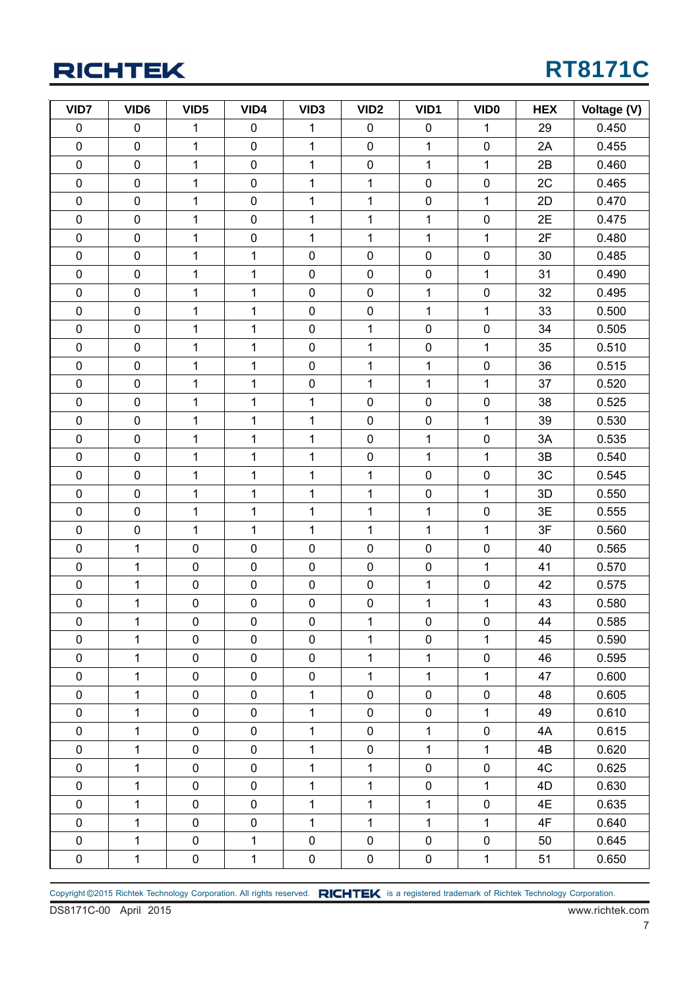## **RT8171C**

| VID7        | VID <sub>6</sub> | VID <sub>5</sub> | VID4         | VID <sub>3</sub> | VID <sub>2</sub> | VID1           | VID <sub>0</sub> | <b>HEX</b> | Voltage (V) |
|-------------|------------------|------------------|--------------|------------------|------------------|----------------|------------------|------------|-------------|
| $\pmb{0}$   | $\pmb{0}$        | $\mathbf{1}$     | $\pmb{0}$    | 1                | $\pmb{0}$        | $\pmb{0}$      | 1                | 29         | 0.450       |
| $\pmb{0}$   | $\pmb{0}$        | $\mathbf{1}$     | $\pmb{0}$    | $\mathbf 1$      | $\pmb{0}$        | 1              | $\pmb{0}$        | 2A         | 0.455       |
| $\pmb{0}$   | $\pmb{0}$        | $\mathbf{1}$     | $\pmb{0}$    | $\mathbf 1$      | $\pmb{0}$        | $\mathbf{1}$   | 1                | 2B         | 0.460       |
| $\pmb{0}$   | $\pmb{0}$        | $\mathbf{1}$     | $\pmb{0}$    | $\mathbf 1$      | $\mathbf 1$      | $\pmb{0}$      | $\pmb{0}$        | 2C         | 0.465       |
| $\pmb{0}$   | $\pmb{0}$        | $\mathbf{1}$     | $\pmb{0}$    | $\mathbf 1$      | $\mathbf 1$      | 0              | $\mathbf 1$      | 2D         | 0.470       |
| $\pmb{0}$   | $\pmb{0}$        | $\mathbf{1}$     | $\pmb{0}$    | $\mathbf 1$      | $\mathbf{1}$     | $\mathbf 1$    | $\pmb{0}$        | 2E         | 0.475       |
| $\pmb{0}$   | $\pmb{0}$        | $\mathbf{1}$     | $\pmb{0}$    | $\mathbf 1$      | 1                | 1              | 1                | 2F         | 0.480       |
| $\pmb{0}$   | $\pmb{0}$        | $\mathbf{1}$     | $\mathbf{1}$ | $\pmb{0}$        | $\pmb{0}$        | 0              | $\pmb{0}$        | 30         | 0.485       |
| $\pmb{0}$   | $\pmb{0}$        | $\mathbf{1}$     | $\mathbf 1$  | $\pmb{0}$        | $\pmb{0}$        | $\pmb{0}$      | $\mathbf 1$      | 31         | 0.490       |
| $\pmb{0}$   | $\pmb{0}$        | $\mathbf{1}$     | $\mathbf 1$  | $\pmb{0}$        | $\pmb{0}$        | 1              | $\pmb{0}$        | 32         | 0.495       |
| $\pmb{0}$   | $\pmb{0}$        | $\mathbf{1}$     | $\mathbf{1}$ | $\pmb{0}$        | $\pmb{0}$        | $\mathbf 1$    | $\mathbf 1$      | 33         | 0.500       |
| $\pmb{0}$   | $\pmb{0}$        | $\mathbf{1}$     | $\mathbf 1$  | $\pmb{0}$        | $\mathbf 1$      | 0              | $\pmb{0}$        | 34         | 0.505       |
| $\pmb{0}$   | $\pmb{0}$        | $\mathbf{1}$     | $\mathbf{1}$ | $\pmb{0}$        | $\mathbf{1}$     | 0              | $\mathbf 1$      | 35         | 0.510       |
| $\pmb{0}$   | $\pmb{0}$        | $\mathbf{1}$     | $\mathbf 1$  | $\pmb{0}$        | 1                | $\mathbf{1}$   | $\pmb{0}$        | 36         | 0.515       |
| $\pmb{0}$   | $\pmb{0}$        | $\mathbf{1}$     | $\mathbf 1$  | $\pmb{0}$        | 1                | 1              | 1                | 37         | 0.520       |
| $\pmb{0}$   | $\pmb{0}$        | $\mathbf{1}$     | $\mathbf{1}$ | $\mathbf{1}$     | $\pmb{0}$        | $\pmb{0}$      | $\pmb{0}$        | 38         | 0.525       |
| $\pmb{0}$   | $\mathbf 0$      | $\mathbf{1}$     | $\mathbf{1}$ | $\mathbf 1$      | $\pmb{0}$        | $\pmb{0}$      | $\mathbf 1$      | 39         | 0.530       |
| $\pmb{0}$   | $\pmb{0}$        | $\mathbf{1}$     | $\mathbf{1}$ | 1                | $\pmb{0}$        | $\mathbf{1}$   | $\pmb{0}$        | 3A         | 0.535       |
| $\pmb{0}$   | $\pmb{0}$        | $\mathbf{1}$     | $\mathbf{1}$ | $\mathbf{1}$     | $\pmb{0}$        | $\mathbf{1}$   | 1                | 3B         | 0.540       |
| $\pmb{0}$   | $\pmb{0}$        | $\mathbf{1}$     | $\mathbf 1$  | $\mathbf 1$      | 1                | 0              | $\pmb{0}$        | 3C         | 0.545       |
| $\pmb{0}$   | $\pmb{0}$        | $\mathbf{1}$     | $\mathbf{1}$ | $\mathbf 1$      | $\mathbf{1}$     | $\pmb{0}$      | $\mathbf 1$      | 3D         | 0.550       |
| $\pmb{0}$   | $\pmb{0}$        | $\mathbf{1}$     | $\mathbf 1$  | $\mathbf{1}$     | $\mathbf 1$      | $\mathbf{1}$   | $\pmb{0}$        | 3E         | 0.555       |
| $\pmb{0}$   | $\pmb{0}$        | $\mathbf{1}$     | $\mathbf{1}$ | $\mathbf 1$      | $\mathbf 1$      | 1              | $\mathbf 1$      | 3F         | 0.560       |
| $\pmb{0}$   | 1                | $\pmb{0}$        | $\pmb{0}$    | $\pmb{0}$        | $\pmb{0}$        | $\pmb{0}$      | $\pmb{0}$        | 40         | 0.565       |
| $\pmb{0}$   | 1                | $\pmb{0}$        | $\pmb{0}$    | $\pmb{0}$        | $\pmb{0}$        | 0              | 1                | 41         | 0.570       |
| $\pmb{0}$   | 1                | $\pmb{0}$        | $\pmb{0}$    | $\pmb{0}$        | $\pmb{0}$        | 1              | $\pmb{0}$        | 42         | 0.575       |
| $\pmb{0}$   | 1                | $\pmb{0}$        | $\pmb{0}$    | $\pmb{0}$        | $\pmb{0}$        | $\mathbf{1}$   | $\mathbf 1$      | 43         | 0.580       |
| $\pmb{0}$   | $\overline{1}$   | $\mathbf 0$      | $\pmb{0}$    | $\pmb{0}$        | $\mathbf 1$      | 0              | $\mathbf 0$      | 44         | 0.585       |
| $\mathbf 0$ | 1                | $\mathbf 0$      | $\mathbf 0$  | 0                | $\mathbf{1}$     | 0              | $\mathbf{1}$     | 45         | 0.590       |
| 0           | 1                | $\pmb{0}$        | $\pmb{0}$    | 0                | $\mathbf{1}$     | $\mathbf{1}$   | $\pmb{0}$        | 46         | 0.595       |
| 0           | 1                | $\pmb{0}$        | $\pmb{0}$    | $\pmb{0}$        | $\mathbf{1}$     | $\mathbf{1}$   | $\mathbf{1}$     | 47         | 0.600       |
| $\pmb{0}$   | $\mathbf{1}$     | $\pmb{0}$        | $\pmb{0}$    | $\mathbf{1}$     | 0                | $\mathbf 0$    | $\mathbf 0$      | 48         | 0.605       |
| $\pmb{0}$   | $\mathbf{1}$     | $\pmb{0}$        | $\pmb{0}$    | $\mathbf{1}$     | $\pmb{0}$        | $\mathbf 0$    | $\mathbf{1}$     | 49         | 0.610       |
| 0           | 1                | $\pmb{0}$        | $\pmb{0}$    | $\mathbf 1$      | 0                | $\mathbf 1$    | $\pmb{0}$        | 4A         | 0.615       |
| 0           | 1                | $\pmb{0}$        | $\pmb{0}$    | $\mathbf{1}$     | 0                | $\mathbf{1}$   | 1                | 4B         | 0.620       |
| 0           | $\mathbf{1}$     | $\pmb{0}$        | $\pmb{0}$    | $\mathbf{1}$     | $\mathbf{1}$     | $\overline{0}$ | $\mathbf 0$      | 4C         | 0.625       |
| $\pmb{0}$   | $\mathbf{1}$     | $\pmb{0}$        | $\pmb{0}$    | $\mathbf{1}$     | $\mathbf{1}$     | $\mathbf 0$    | $\mathbf{1}$     | 4D         | 0.630       |
| $\pmb{0}$   | $\mathbf{1}$     | $\pmb{0}$        | $\pmb{0}$    | $\mathbf{1}$     | $\mathbf{1}$     | $\mathbf{1}$   | $\pmb{0}$        | 4E         | 0.635       |
| $\mathbf 0$ | 1                | $\pmb{0}$        | $\pmb{0}$    | $\mathbf{1}$     | $\mathbf{1}$     | $\mathbf{1}$   | 1                | 4F         | 0.640       |
| 0           | $\mathbf{1}$     | $\pmb{0}$        | $\mathbf{1}$ | 0                | 0                | 0              | $\pmb{0}$        | 50         | 0.645       |
| $\pmb{0}$   | 1                | $\pmb{0}$        | $\mathbf{1}$ | $\pmb{0}$        | $\pmb{0}$        | $\mathbf 0$    | 1                | 51         | 0.650       |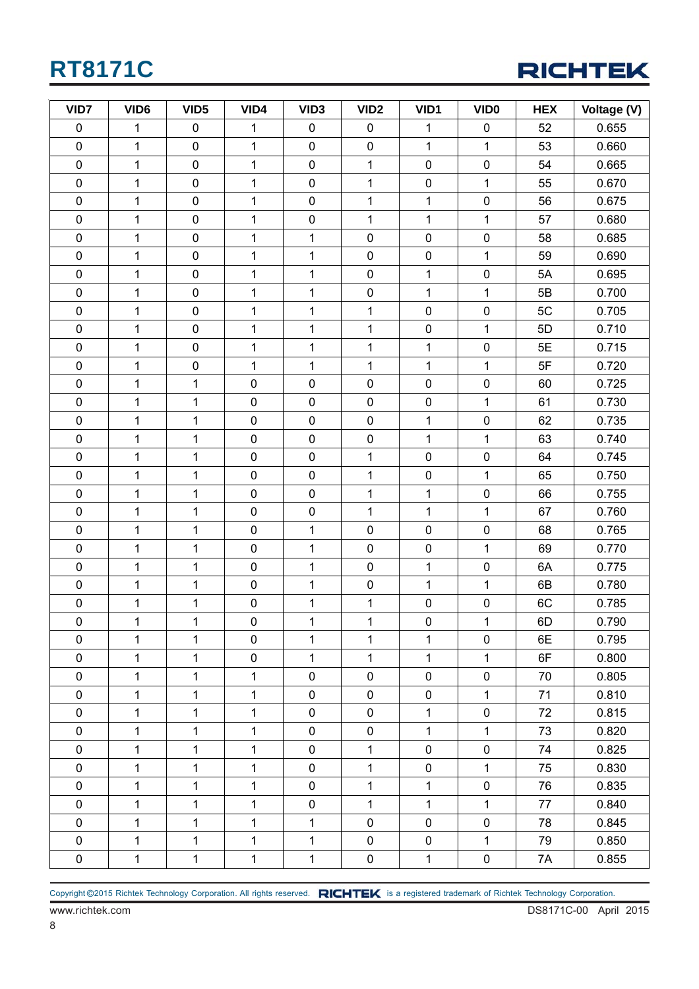

| VID7        | VID <sub>6</sub> | VID <sub>5</sub> | VID4         | VID <sub>3</sub> | VID <sub>2</sub>    | VID1           | <b>VIDO</b>  | <b>HEX</b> | Voltage (V) |
|-------------|------------------|------------------|--------------|------------------|---------------------|----------------|--------------|------------|-------------|
| $\pmb{0}$   | 1                | $\pmb{0}$        | 1            | $\mathbf 0$      | $\pmb{0}$           | 1              | $\pmb{0}$    | 52         | 0.655       |
| $\pmb{0}$   | $\mathbf{1}$     | $\pmb{0}$        | 1            | $\mathbf 0$      | $\pmb{0}$           | $\mathbf{1}$   | $\mathbf{1}$ | 53         | 0.660       |
| $\pmb{0}$   | $\mathbf 1$      | $\pmb{0}$        | 1            | $\pmb{0}$        | $\mathbf{1}$        | $\pmb{0}$      | $\pmb{0}$    | 54         | 0.665       |
| $\pmb{0}$   | $\mathbf 1$      | $\pmb{0}$        | 1            | $\pmb{0}$        | $\mathbf{1}$        | $\pmb{0}$      | $\mathbf{1}$ | 55         | 0.670       |
| $\pmb{0}$   | $\mathbf{1}$     | $\pmb{0}$        | 1            | $\pmb{0}$        | 1                   | 1              | $\pmb{0}$    | 56         | 0.675       |
| $\pmb{0}$   | $\mathbf 1$      | $\pmb{0}$        | 1            | $\pmb{0}$        | 1                   | 1              | $\mathbf{1}$ | 57         | 0.680       |
| $\pmb{0}$   | $\mathbf 1$      | $\pmb{0}$        | 1            | 1                | $\pmb{0}$           | $\pmb{0}$      | $\pmb{0}$    | 58         | 0.685       |
| $\pmb{0}$   | $\mathbf 1$      | $\pmb{0}$        | 1            | 1                | $\pmb{0}$           | $\pmb{0}$      | $\mathbf{1}$ | 59         | 0.690       |
| $\pmb{0}$   | $\mathbf 1$      | $\pmb{0}$        | 1            | $\mathbf{1}$     | $\pmb{0}$           | $\overline{1}$ | $\pmb{0}$    | 5A         | 0.695       |
| $\pmb{0}$   | $\mathbf 1$      | $\pmb{0}$        | 1            | $\mathbf 1$      | $\mathsf{O}\xspace$ | $\mathbf{1}$   | $\mathbf{1}$ | 5B         | 0.700       |
| $\pmb{0}$   | $\mathbf{1}$     | $\pmb{0}$        | 1            | $\mathbf 1$      | 1                   | $\pmb{0}$      | $\pmb{0}$    | 5C         | 0.705       |
| $\pmb{0}$   | $\mathbf 1$      | $\pmb{0}$        | 1            | $\mathbf 1$      | 1                   | $\pmb{0}$      | $\mathbf{1}$ | 5D         | 0.710       |
| $\pmb{0}$   | $\mathbf 1$      | $\pmb{0}$        | 1            | $\mathbf 1$      | 1                   | 1              | $\pmb{0}$    | 5E         | 0.715       |
| $\pmb{0}$   | $\mathbf 1$      | $\pmb{0}$        | $\mathbf 1$  | $\mathbf 1$      | 1                   | $\mathbf{1}$   | $\mathbf{1}$ | 5F         | 0.720       |
| $\pmb{0}$   | $\mathbf 1$      | $\mathbf 1$      | $\pmb{0}$    | $\pmb{0}$        | $\mathsf{O}\xspace$ | $\pmb{0}$      | $\pmb{0}$    | 60         | 0.725       |
| $\pmb{0}$   | $\mathbf 1$      | $\mathbf 1$      | $\pmb{0}$    | 0                | $\pmb{0}$           | $\pmb{0}$      | $\mathbf{1}$ | 61         | 0.730       |
| $\pmb{0}$   | $\mathbf 1$      | $\mathbf{1}$     | $\pmb{0}$    | $\pmb{0}$        | $\pmb{0}$           | $\mathbf{1}$   | $\pmb{0}$    | 62         | 0.735       |
| $\pmb{0}$   | $\mathbf{1}$     | 1                | $\pmb{0}$    | 0                | $\pmb{0}$           | 1              | $\mathbf{1}$ | 63         | 0.740       |
| $\pmb{0}$   | $\mathbf 1$      | $\mathbf{1}$     | $\pmb{0}$    | $\pmb{0}$        | 1                   | $\pmb{0}$      | $\mathbf 0$  | 64         | 0.745       |
| $\pmb{0}$   | $\mathbf{1}$     | $\mathbf 1$      | $\pmb{0}$    | $\pmb{0}$        | $\mathbf{1}$        | $\pmb{0}$      | $\mathbf{1}$ | 65         | 0.750       |
| $\pmb{0}$   | $\mathbf 1$      | 1                | $\pmb{0}$    | 0                | $\mathbf{1}$        | 1              | $\pmb{0}$    | 66         | 0.755       |
| $\pmb{0}$   | $\mathbf 1$      | $\mathbf{1}$     | $\pmb{0}$    | $\pmb{0}$        | $\mathbf 1$         | $\mathbf{1}$   | $\mathbf{1}$ | 67         | 0.760       |
| $\pmb{0}$   | $\mathbf 1$      | $\mathbf 1$      | $\pmb{0}$    | 1                | $\pmb{0}$           | $\pmb{0}$      | $\pmb{0}$    | 68         | 0.765       |
| $\pmb{0}$   | $\mathbf{1}$     | $\mathbf 1$      | $\pmb{0}$    | $\mathbf 1$      | $\pmb{0}$           | $\pmb{0}$      | $\mathbf{1}$ | 69         | 0.770       |
| $\pmb{0}$   | $\mathbf 1$      | $\mathbf 1$      | $\pmb{0}$    | $\mathbf{1}$     | $\pmb{0}$           | $\mathbf{1}$   | $\pmb{0}$    | 6A         | 0.775       |
| $\pmb{0}$   | $\mathbf{1}$     | $\mathbf 1$      | $\pmb{0}$    | $\mathbf{1}$     | $\pmb{0}$           | $\mathbf{1}$   | $\mathbf{1}$ | 6B         | 0.780       |
| $\pmb{0}$   | $\mathbf 1$      | $\mathbf 1$      | $\pmb{0}$    | $\mathbf 1$      | 1                   | $\mathsf 0$    | $\pmb{0}$    | 6C         | 0.785       |
| $\pmb{0}$   | 1                | 1                | $\pmb{0}$    | 1                | 1                   | $\pmb{0}$      | 1            | 6D         | 0.790       |
| $\pmb{0}$   | $\mathbf{1}$     | 1                | $\mathbf 0$  | $\mathbf{1}$     | $\mathbf{1}$        | 1              | $\mathbf 0$  | 6E         | 0.795       |
| $\pmb{0}$   | $\mathbf{1}$     | $\mathbf{1}$     | $\pmb{0}$    | $\mathbf{1}$     | $\mathbf{1}$        | $\mathbf{1}$   | $\mathbf{1}$ | 6F         | 0.800       |
| $\pmb{0}$   | $\mathbf 1$      | $\mathbf 1$      | 1            | $\pmb{0}$        | $\mathbf 0$         | $\pmb{0}$      | $\pmb{0}$    | 70         | 0.805       |
| $\pmb{0}$   | $\mathbf 1$      | 1                | 1            | $\mathbf 0$      | $\mathbf 0$         | $\pmb{0}$      | 1            | 71         | 0.810       |
| $\pmb{0}$   | $\mathbf{1}$     | $\mathbf{1}$     | $\mathbf 1$  | 0                | $\mathbf 0$         | 1              | $\pmb{0}$    | 72         | 0.815       |
| $\pmb{0}$   | $\mathbf{1}$     | $\mathbf{1}$     | $\mathbf{1}$ | 0                | $\mathbf 0$         | $\mathbf{1}$   | $\mathbf{1}$ | 73         | 0.820       |
| $\pmb{0}$   | $\mathbf{1}$     | $\mathbf{1}$     | 1            | $\mathbf 0$      | $\mathbf{1}$        | $\pmb{0}$      | $\pmb{0}$    | 74         | 0.825       |
| $\pmb{0}$   | $\mathbf 1$      | $\mathbf{1}$     | $\mathbf 1$  | $\mathbf 0$      | $\mathbf{1}$        | $\pmb{0}$      | $\mathbf{1}$ | 75         | 0.830       |
| $\pmb{0}$   | $\mathbf{1}$     | $\mathbf{1}$     | 1            | $\pmb{0}$        | $\mathbf{1}$        | 1              | $\pmb{0}$    | 76         | 0.835       |
| $\mathbf 0$ | $\mathbf{1}$     | $\mathbf{1}$     | 1            | 0                | 1                   | $\mathbf{1}$   | $\mathbf{1}$ | 77         | 0.840       |
| $\pmb{0}$   | $\mathbf{1}$     | $\mathbf{1}$     | 1            | $\mathbf{1}$     | $\mathbf 0$         | $\mathbf 0$    | $\pmb{0}$    | 78         | 0.845       |
| $\pmb{0}$   | $\mathbf{1}$     | $\mathbf{1}$     | 1            | 1                | $\mathbf 0$         | $\pmb{0}$      | $\mathbf{1}$ | 79         | 0.850       |
| $\pmb{0}$   | $\mathbf{1}$     | $\mathbf{1}$     | $\mathbf 1$  | $\mathbf{1}$     | $\pmb{0}$           | $\mathbf 1$    | $\pmb{0}$    | 7A         | 0.855       |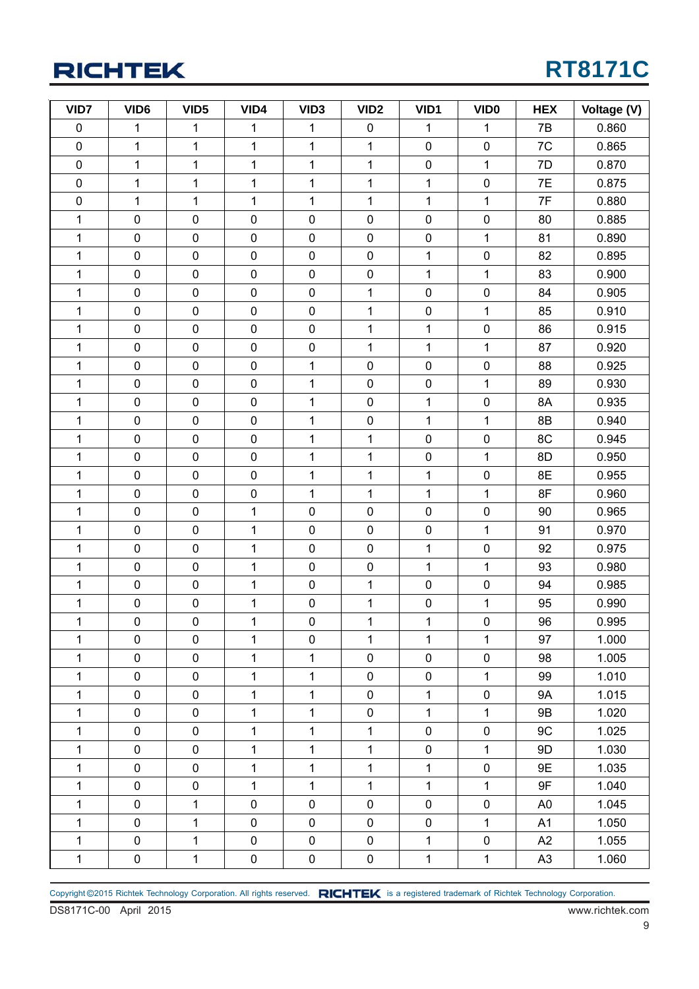## **RT8171C**

| VID7         | VID <sub>6</sub> | VID <sub>5</sub> | VID4         | VID <sub>3</sub> | VID <sub>2</sub> | VID1           | VID <sub>0</sub> | <b>HEX</b>     | Voltage (V) |
|--------------|------------------|------------------|--------------|------------------|------------------|----------------|------------------|----------------|-------------|
| $\pmb{0}$    | $\mathbf 1$      | $\mathbf{1}$     | $\mathbf 1$  | $\mathbf 1$      | $\pmb{0}$        | 1              | $\mathbf{1}$     | 7B             | 0.860       |
| $\pmb{0}$    | $\mathbf{1}$     | $\mathbf{1}$     | $\mathbf 1$  | $\mathbf{1}$     | $\mathbf 1$      | $\mathbf 0$    | $\pmb{0}$        | 7C             | 0.865       |
| $\pmb{0}$    | $\mathbf{1}$     | $\mathbf 1$      | $\mathbf{1}$ | $\mathbf{1}$     | $\mathbf{1}$     | $\pmb{0}$      | $\mathbf 1$      | 7D             | 0.870       |
| $\pmb{0}$    | $\mathbf 1$      | $\mathbf{1}$     | $\mathbf 1$  | $\mathbf 1$      | 1                | 1              | $\pmb{0}$        | 7E             | 0.875       |
| $\pmb{0}$    | $\mathbf 1$      | $\mathbf{1}$     | $\mathbf 1$  | $\mathbf 1$      | $\mathbf 1$      | 1              | $\mathbf 1$      | 7F             | 0.880       |
| $\mathbf{1}$ | $\pmb{0}$        | $\pmb{0}$        | $\pmb{0}$    | $\pmb{0}$        | $\pmb{0}$        | $\pmb{0}$      | $\pmb{0}$        | 80             | 0.885       |
| $\mathbf{1}$ | $\pmb{0}$        | $\pmb{0}$        | $\pmb{0}$    | $\pmb{0}$        | $\pmb{0}$        | $\pmb{0}$      | $\mathbf 1$      | 81             | 0.890       |
| $\mathbf{1}$ | $\pmb{0}$        | $\pmb{0}$        | $\pmb{0}$    | $\pmb{0}$        | $\pmb{0}$        | 1              | $\pmb{0}$        | 82             | 0.895       |
| $\mathbf{1}$ | $\pmb{0}$        | $\pmb{0}$        | $\pmb{0}$    | $\pmb{0}$        | $\pmb{0}$        | 1              | $\mathbf 1$      | 83             | 0.900       |
| $\mathbf{1}$ | $\pmb{0}$        | $\pmb{0}$        | $\pmb{0}$    | $\pmb{0}$        | $\mathbf 1$      | $\pmb{0}$      | $\pmb{0}$        | 84             | 0.905       |
| $\mathbf{1}$ | $\pmb{0}$        | $\pmb{0}$        | $\pmb{0}$    | $\pmb{0}$        | $\mathbf{1}$     | $\pmb{0}$      | $\mathbf{1}$     | 85             | 0.910       |
| $\mathbf{1}$ | $\pmb{0}$        | $\pmb{0}$        | $\pmb{0}$    | $\pmb{0}$        | $\mathbf 1$      | $\mathbf{1}$   | $\pmb{0}$        | 86             | 0.915       |
| $\mathbf{1}$ | $\pmb{0}$        | $\pmb{0}$        | $\pmb{0}$    | $\pmb{0}$        | $\mathbf{1}$     | 1              | $\mathbf{1}$     | 87             | 0.920       |
| $\mathbf{1}$ | $\pmb{0}$        | $\pmb{0}$        | $\pmb{0}$    | $\mathbf{1}$     | $\pmb{0}$        | $\pmb{0}$      | $\pmb{0}$        | 88             | 0.925       |
| $\mathbf{1}$ | $\pmb{0}$        | $\pmb{0}$        | $\pmb{0}$    | $\mathbf 1$      | $\pmb{0}$        | $\pmb{0}$      | $\mathbf{1}$     | 89             | 0.930       |
| 1            | $\pmb{0}$        | $\pmb{0}$        | $\pmb{0}$    | $\mathbf 1$      | $\pmb{0}$        | 1              | $\pmb{0}$        | 8A             | 0.935       |
| $\mathbf{1}$ | $\pmb{0}$        | $\pmb{0}$        | $\pmb{0}$    | $\mathbf 1$      | $\pmb{0}$        | $\mathbf{1}$   | $\mathbf{1}$     | 8B             | 0.940       |
| $\mathbf{1}$ | $\pmb{0}$        | $\pmb{0}$        | $\pmb{0}$    | $\mathbf 1$      | $\mathbf{1}$     | $\pmb{0}$      | $\pmb{0}$        | 8C             | 0.945       |
| $\mathbf{1}$ | $\mathbf 0$      | $\pmb{0}$        | $\pmb{0}$    | $\mathbf 1$      | $\mathbf{1}$     | $\pmb{0}$      | $\mathbf{1}$     | 8D             | 0.950       |
| $\mathbf{1}$ | $\pmb{0}$        | $\pmb{0}$        | $\pmb{0}$    | $\mathbf 1$      | 1                | 1              | $\pmb{0}$        | 8E             | 0.955       |
| $\mathbf{1}$ | $\pmb{0}$        | $\pmb{0}$        | $\pmb{0}$    | $\mathbf 1$      | $\mathbf 1$      | 1              | $\mathbf 1$      | 8F             | 0.960       |
| $\mathbf{1}$ | $\pmb{0}$        | $\pmb{0}$        | $\mathbf 1$  | $\pmb{0}$        | 0                | $\pmb{0}$      | $\pmb{0}$        | 90             | 0.965       |
| $\mathbf{1}$ | $\pmb{0}$        | $\pmb{0}$        | $\mathbf{1}$ | $\pmb{0}$        | $\pmb{0}$        | $\pmb{0}$      | $\mathbf 1$      | 91             | 0.970       |
| 1            | $\pmb{0}$        | $\pmb{0}$        | 1            | $\pmb{0}$        | $\pmb{0}$        | 1              | $\pmb{0}$        | 92             | 0.975       |
| $\mathbf{1}$ | $\pmb{0}$        | $\pmb{0}$        | $\mathbf 1$  | $\pmb{0}$        | $\pmb{0}$        | $\mathbf{1}$   | $\mathbf 1$      | 93             | 0.980       |
| $\mathbf{1}$ | $\pmb{0}$        | $\pmb{0}$        | $\mathbf{1}$ | $\pmb{0}$        | $\mathbf 1$      | $\pmb{0}$      | $\pmb{0}$        | 94             | 0.985       |
| 1            | $\pmb{0}$        | $\pmb{0}$        | $\mathbf{1}$ | $\pmb{0}$        | $\mathbf{1}$     | $\pmb{0}$      | $\mathbf{1}$     | 95             | 0.990       |
| $\mathbf{1}$ | $\pmb{0}$        | $\mathbf 0$      | $\mathbf 1$  | $\pmb{0}$        | $\mathbf{1}$     | $\overline{1}$ | $\pmb{0}$        | 96             | 0.995       |
| $\mathbf{1}$ | 0                | $\pmb{0}$        | $\mathbf{1}$ | $\mathbf 0$      | $\mathbf{1}$     | $\mathbf{1}$   | 1                | 97             | 1.000       |
| $\mathbf 1$  | $\mathbf 0$      | $\pmb{0}$        | $\mathbf{1}$ | $\mathbf{1}$     | 0                | $\pmb{0}$      | $\pmb{0}$        | 98             | 1.005       |
| $\mathbf{1}$ | $\mathbf 0$      | $\pmb{0}$        | $\mathbf{1}$ | $\mathbf{1}$     | $\pmb{0}$        | $\pmb{0}$      | $\mathbf{1}$     | 99             | 1.010       |
| $\mathbf{1}$ | $\pmb{0}$        | $\pmb{0}$        | 1            | 1                | 0                | 1              | $\pmb{0}$        | <b>9A</b>      | 1.015       |
| $\mathbf{1}$ | $\pmb{0}$        | $\pmb{0}$        | $\mathbf{1}$ | $\mathbf{1}$     | $\pmb{0}$        | $\mathbf{1}$   | $\mathbf{1}$     | 9B             | 1.020       |
| $\mathbf{1}$ | $\mathbf 0$      | $\pmb{0}$        | $\mathbf{1}$ | $\mathbf{1}$     | $\mathbf{1}$     | $\pmb{0}$      | $\pmb{0}$        | 9C             | 1.025       |
| $\mathbf 1$  | $\mathbf 0$      | $\pmb{0}$        | $\mathbf{1}$ | $\mathbf{1}$     | $\mathbf{1}$     | $\mathbf 0$    | $\mathbf 1$      | 9D             | 1.030       |
| $\mathbf{1}$ | $\pmb{0}$        | $\pmb{0}$        | $\mathbf{1}$ | $\mathbf 1$      | $\mathbf{1}$     | $\mathbf{1}$   | $\pmb{0}$        | 9E             | 1.035       |
| $\mathbf{1}$ | $\pmb{0}$        | $\pmb{0}$        | $\mathbf{1}$ | $\mathbf{1}$     | $\mathbf{1}$     | 1              | $\mathbf 1$      | 9F             | 1.040       |
| $\mathbf 1$  | $\mathbf 0$      | $\mathbf{1}$     | $\pmb{0}$    | $\pmb{0}$        | $\pmb{0}$        | $\pmb{0}$      | $\pmb{0}$        | A <sub>0</sub> | 1.045       |
| $\mathbf{1}$ | $\mathbf 0$      | $\mathbf{1}$     | $\pmb{0}$    | $\pmb{0}$        | $\pmb{0}$        | $\pmb{0}$      | $\mathbf{1}$     | A1             | 1.050       |
| $\mathbf{1}$ | $\pmb{0}$        | $\mathbf{1}$     | $\pmb{0}$    | $\pmb{0}$        | 0                | 1              | $\pmb{0}$        | A2             | 1.055       |
| $\mathbf 1$  | $\pmb{0}$        | $\mathbf{1}$     | $\pmb{0}$    | $\pmb{0}$        | $\pmb{0}$        | $\mathbf 1$    | $\mathbf{1}$     | A <sub>3</sub> | 1.060       |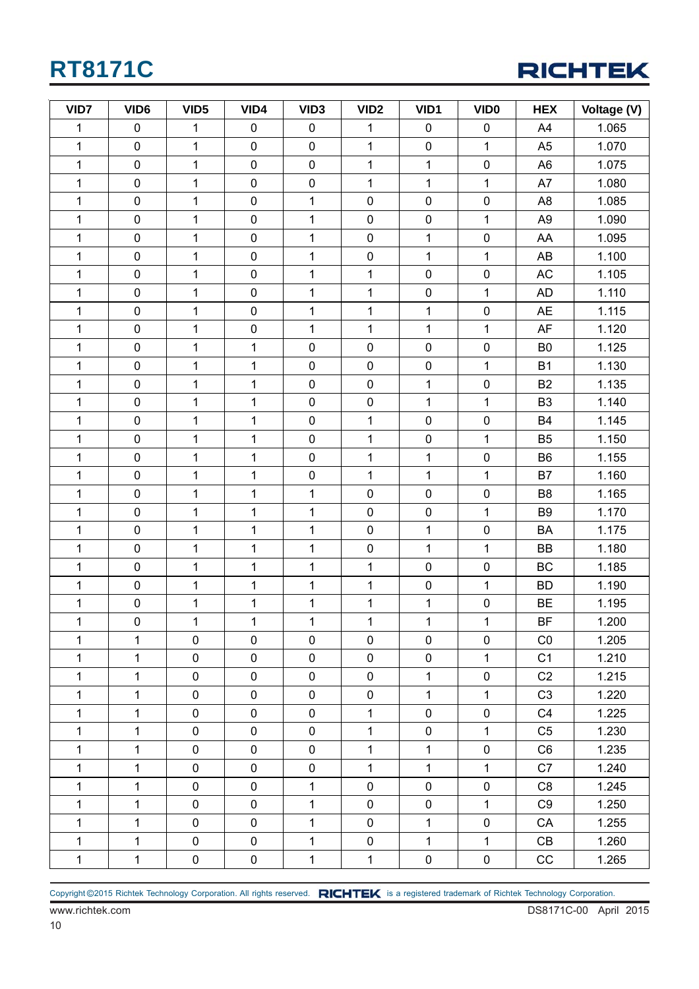

| VID7         | VID <sub>6</sub> | VID <sub>5</sub> | VID4        | VID <sub>3</sub> | VID <sub>2</sub> | VID1           | <b>VIDO</b>  | <b>HEX</b>     | Voltage (V) |
|--------------|------------------|------------------|-------------|------------------|------------------|----------------|--------------|----------------|-------------|
| 1            | 0                | 1                | $\mathbf 0$ | $\pmb{0}$        | 1                | $\pmb{0}$      | $\pmb{0}$    | A4             | 1.065       |
| $\mathbf 1$  | $\pmb{0}$        | 1                | $\pmb{0}$   | $\pmb{0}$        | 1                | $\pmb{0}$      | $\mathbf{1}$ | A <sub>5</sub> | 1.070       |
| $\mathbf 1$  | $\pmb{0}$        | $\mathbf{1}$     | $\pmb{0}$   | $\pmb{0}$        | $\mathbf{1}$     | $\mathbf{1}$   | $\pmb{0}$    | A <sub>6</sub> | 1.075       |
| $\mathbf 1$  | $\pmb{0}$        | $\mathbf{1}$     | $\pmb{0}$   | $\pmb{0}$        | $\mathbf{1}$     | $\mathbf{1}$   | $\mathbf{1}$ | A7             | 1.080       |
| $\mathbf{1}$ | $\pmb{0}$        | $\mathbf 1$      | $\pmb{0}$   | $\mathbf 1$      | $\pmb{0}$        | $\pmb{0}$      | $\pmb{0}$    | A <sub>8</sub> | 1.085       |
| $\mathbf 1$  | $\pmb{0}$        | 1                | $\pmb{0}$   | 1                | $\pmb{0}$        | $\pmb{0}$      | $\mathbf{1}$ | A <sub>9</sub> | 1.090       |
| $\mathbf 1$  | $\pmb{0}$        | 1                | $\pmb{0}$   | 1                | $\pmb{0}$        | 1              | $\pmb{0}$    | AA             | 1.095       |
| 1            | $\pmb{0}$        | 1                | $\pmb{0}$   | $\mathbf 1$      | $\pmb{0}$        | $\mathbf{1}$   | $\mathbf{1}$ | AB             | 1.100       |
| $\mathbf 1$  | $\pmb{0}$        | $\mathbf{1}$     | $\pmb{0}$   | $\mathbf 1$      | $\mathbf{1}$     | $\pmb{0}$      | $\pmb{0}$    | AC             | 1.105       |
| 1            | $\pmb{0}$        | 1                | $\pmb{0}$   | 1                | $\mathbf{1}$     | $\pmb{0}$      | $\mathbf{1}$ | <b>AD</b>      | 1.110       |
| 1            | $\pmb{0}$        | 1                | $\pmb{0}$   | $\mathbf 1$      | 1                | $\mathbf 1$    | $\pmb{0}$    | <b>AE</b>      | 1.115       |
| $\mathbf 1$  | $\pmb{0}$        | 1                | $\pmb{0}$   | $\mathbf 1$      | $\mathbf{1}$     | $\mathbf{1}$   | $\mathbf{1}$ | AF             | 1.120       |
| $\mathbf 1$  | $\pmb{0}$        | $\mathbf 1$      | $\mathbf 1$ | $\pmb{0}$        | $\pmb{0}$        | $\pmb{0}$      | $\pmb{0}$    | B <sub>0</sub> | 1.125       |
| $\mathbf 1$  | $\pmb{0}$        | $\mathbf{1}$     | $\mathbf 1$ | $\pmb{0}$        | $\pmb{0}$        | $\pmb{0}$      | $\mathbf{1}$ | <b>B1</b>      | 1.130       |
| 1            | $\pmb{0}$        | 1                | 1           | $\pmb{0}$        | $\pmb{0}$        | 1              | $\pmb{0}$    | <b>B2</b>      | 1.135       |
| $\mathbf 1$  | $\pmb{0}$        | 1                | 1           | $\pmb{0}$        | $\pmb{0}$        | $\mathbf{1}$   | $\mathbf{1}$ | B <sub>3</sub> | 1.140       |
| $\mathbf 1$  | $\pmb{0}$        | 1                | 1           | $\pmb{0}$        | $\mathbf{1}$     | $\pmb{0}$      | $\pmb{0}$    | <b>B4</b>      | 1.145       |
| $\mathbf 1$  | 0                | 1                | $\mathbf 1$ | $\pmb{0}$        | $\mathbf{1}$     | $\pmb{0}$      | $\mathbf{1}$ | B <sub>5</sub> | 1.150       |
| 1            | $\pmb{0}$        | $\mathbf 1$      | 1           | $\pmb{0}$        | 1                | $\overline{1}$ | $\pmb{0}$    | B <sub>6</sub> | 1.155       |
| 1            | $\pmb{0}$        | 1                | 1           | $\pmb{0}$        | $\mathbf{1}$     | $\mathbf{1}$   | $\mathbf{1}$ | <b>B7</b>      | 1.160       |
| $\mathbf{1}$ | $\pmb{0}$        | $\mathbf{1}$     | 1           | $\mathbf 1$      | $\pmb{0}$        | $\pmb{0}$      | $\pmb{0}$    | B <sub>8</sub> | 1.165       |
| $\mathbf 1$  | $\pmb{0}$        | $\mathbf 1$      | 1           | $\mathbf 1$      | $\pmb{0}$        | $\pmb{0}$      | $\mathbf{1}$ | B <sub>9</sub> | 1.170       |
| 1            | $\pmb{0}$        | 1                | $\mathbf 1$ | 1                | $\pmb{0}$        | $\mathbf 1$    | $\pmb{0}$    | BA             | 1.175       |
| 1            | $\pmb{0}$        | 1                | $\mathbf 1$ | $\mathbf 1$      | $\pmb{0}$        | $\mathbf{1}$   | $\mathbf{1}$ | BB             | 1.180       |
| $\mathbf 1$  | $\pmb{0}$        | $\mathbf{1}$     | $\mathbf 1$ | $\mathbf{1}$     | $\mathbf{1}$     | $\pmb{0}$      | $\pmb{0}$    | <b>BC</b>      | 1.185       |
| $\mathbf{1}$ | $\pmb{0}$        | 1                | 1           | $\mathbf 1$      | $\mathbf{1}$     | $\pmb{0}$      | $\mathbf{1}$ | <b>BD</b>      | 1.190       |
| 1            | 0                | 1                | 1           | $\mathbf 1$      | 1                | 1              | $\pmb{0}$    | <b>BE</b>      | 1.195       |
| $\mathbf{1}$ | $\overline{0}$   | $\mathbf{1}$     | 1           | 1                | $\mathbf{1}$     | $\mathbf{1}$   | $\mathbf{1}$ | <b>BF</b>      | 1.200       |
| $\mathbf{1}$ | $\mathbf{1}$     | $\mathbf 0$      | $\mathbf 0$ | $\mathbf 0$      | $\mathbf 0$      | $\mathbf 0$    | $\mathbf 0$  | CO             | 1.205       |
| 1            | $\mathbf{1}$     | $\mathbf 0$      | $\mathbf 0$ | $\mathbf 0$      | $\mathbf 0$      | $\mathbf 0$    | $\mathbf{1}$ | C <sub>1</sub> | 1.210       |
| 1            | $\mathbf{1}$     | 0                | $\mathbf 0$ | $\mathbf 0$      | $\pmb{0}$        | $\mathbf 1$    | $\pmb{0}$    | C <sub>2</sub> | 1.215       |
| $\mathbf{1}$ | $\mathbf{1}$     | $\mathbf 0$      | $\mathbf 0$ | $\mathbf 0$      | $\pmb{0}$        | $\mathbf{1}$   | $\mathbf{1}$ | C <sub>3</sub> | 1.220       |
| 1            | $\mathbf{1}$     | $\mathbf 0$      | $\mathbf 0$ | $\mathbf 0$      | $\mathbf{1}$     | 0              | $\pmb{0}$    | C <sub>4</sub> | 1.225       |
| $\mathbf{1}$ | $\mathbf{1}$     | $\pmb{0}$        | $\mathbf 0$ | $\mathbf 0$      | $\mathbf{1}$     | $\pmb{0}$      | $\mathbf{1}$ | C <sub>5</sub> | 1.230       |
| 1            | $\mathbf{1}$     | $\mathbf 0$      | $\mathbf 0$ | $\mathbf 0$      | $\mathbf{1}$     | $\mathbf{1}$   | $\pmb{0}$    | C <sub>6</sub> | 1.235       |
| 1            | $\mathbf{1}$     | 0                | $\pmb{0}$   | $\mathbf 0$      | $\mathbf{1}$     | $\mathbf{1}$   | $\mathbf{1}$ | C7             | 1.240       |
| $\mathbf{1}$ | $\mathbf{1}$     | $\mathbf 0$      | $\mathbf 0$ | 1                | $\mathbf 0$      | $\mathbf 0$    | $\pmb{0}$    | C <sub>8</sub> | 1.245       |
| 1            | 1                | $\mathbf 0$      | $\mathbf 0$ | 1                | $\pmb{0}$        | 0              | $\mathbf{1}$ | C <sub>9</sub> | 1.250       |
| $\mathbf 1$  | $\mathbf{1}$     | $\mathbf 0$      | $\mathbf 0$ | $\mathbf 1$      | $\pmb{0}$        | $\mathbf{1}$   | $\pmb{0}$    | CA             | 1.255       |
| $\mathbf 1$  | $\mathbf 1$      | $\mathbf 0$      | $\mathbf 0$ | $\mathbf{1}$     | $\pmb{0}$        | $\mathbf 1$    | $\mathbf{1}$ | CB             | 1.260       |
| $\mathbf{1}$ | $\mathbf{1}$     | $\pmb{0}$        | $\pmb{0}$   | $\mathbf{1}$     | $\mathbf{1}$     | 0              | $\pmb{0}$    | CC             | 1.265       |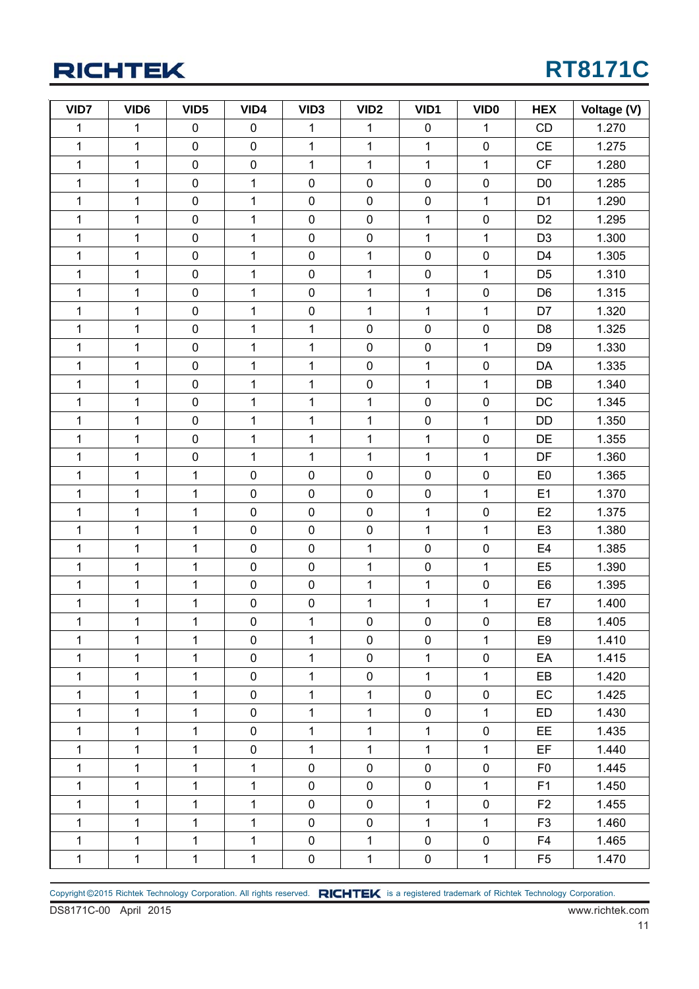## **RT8171C**

| VID7         | VID <sub>6</sub> | VID <sub>5</sub> | VID4         | VID <sub>3</sub> | VID <sub>2</sub> | VID1           | <b>VIDO</b>  | <b>HEX</b>     | Voltage (V) |
|--------------|------------------|------------------|--------------|------------------|------------------|----------------|--------------|----------------|-------------|
| $\mathbf 1$  | 1                | $\pmb{0}$        | 0            | 1                | 1                | $\pmb{0}$      | 1            | CD             | 1.270       |
| $\mathbf{1}$ | $\mathbf{1}$     | $\pmb{0}$        | $\mathbf 0$  | $\mathbf{1}$     | $\mathbf{1}$     | $\overline{1}$ | $\pmb{0}$    | CE             | 1.275       |
| $\mathbf{1}$ | $\mathbf 1$      | $\pmb{0}$        | $\pmb{0}$    | 1                | 1                | 1              | $\mathbf{1}$ | CF             | 1.280       |
| $\mathbf{1}$ | 1                | $\pmb{0}$        | $\mathbf 1$  | $\pmb{0}$        | $\pmb{0}$        | $\pmb{0}$      | $\pmb{0}$    | D <sub>0</sub> | 1.285       |
| $\mathbf{1}$ | $\mathbf 1$      | $\pmb{0}$        | $\mathbf 1$  | $\pmb{0}$        | $\pmb{0}$        | $\pmb{0}$      | $\mathbf{1}$ | D <sub>1</sub> | 1.290       |
| $\mathbf{1}$ | $\mathbf 1$      | $\pmb{0}$        | $\mathbf 1$  | $\pmb{0}$        | $\pmb{0}$        | 1              | $\pmb{0}$    | D <sub>2</sub> | 1.295       |
| $\mathbf{1}$ | $\mathbf{1}$     | $\pmb{0}$        | $\mathbf{1}$ | $\pmb{0}$        | $\pmb{0}$        | $\mathbf{1}$   | $\mathbf{1}$ | D <sub>3</sub> | 1.300       |
| $\mathbf{1}$ | $\mathbf 1$      | $\pmb{0}$        | $\mathbf 1$  | $\pmb{0}$        | $\mathbf{1}$     | $\pmb{0}$      | $\pmb{0}$    | D <sub>4</sub> | 1.305       |
| $\mathbf{1}$ | 1                | $\pmb{0}$        | 1            | $\pmb{0}$        | $\mathbf{1}$     | $\pmb{0}$      | $\mathbf 1$  | D <sub>5</sub> | 1.310       |
| $\mathbf{1}$ | $\mathbf{1}$     | $\pmb{0}$        | $\mathbf{1}$ | $\pmb{0}$        | $\mathbf{1}$     | $\mathbf{1}$   | $\pmb{0}$    | D <sub>6</sub> | 1.315       |
| $\mathbf{1}$ | $\mathbf 1$      | $\pmb{0}$        | 1            | $\pmb{0}$        | $\mathbf{1}$     | 1              | $\mathbf 1$  | D7             | 1.320       |
| $\mathbf 1$  | 1                | $\pmb{0}$        | 1            | 1                | $\pmb{0}$        | $\pmb{0}$      | $\pmb{0}$    | D <sub>8</sub> | 1.325       |
| $\mathbf{1}$ | $\mathbf{1}$     | $\pmb{0}$        | $\mathbf 1$  | $\mathbf 1$      | $\pmb{0}$        | $\pmb{0}$      | $\mathbf{1}$ | D <sub>9</sub> | 1.330       |
| $\mathbf{1}$ | $\mathbf{1}$     | $\pmb{0}$        | $\mathbf{1}$ | 1                | $\pmb{0}$        | 1              | $\pmb{0}$    | DA             | 1.335       |
| $\mathbf{1}$ | $\mathbf 1$      | $\pmb{0}$        | $\mathbf 1$  | $\mathbf 1$      | $\pmb{0}$        | $\mathbf{1}$   | $\mathbf{1}$ | DB             | 1.340       |
| $\mathbf{1}$ | $\mathbf 1$      | $\pmb{0}$        | $\mathbf 1$  | $\mathbf 1$      | $\mathbf 1$      | $\pmb{0}$      | $\pmb{0}$    | DC             | 1.345       |
| $\mathbf{1}$ | $\mathbf 1$      | $\pmb{0}$        | 1            | 1                | $\mathbf{1}$     | $\pmb{0}$      | $\mathbf 1$  | <b>DD</b>      | 1.350       |
| $\mathbf{1}$ | $\mathbf{1}$     | $\pmb{0}$        | $\mathbf 1$  | $\mathbf{1}$     | $\mathbf{1}$     | $\mathbf{1}$   | $\pmb{0}$    | DE             | 1.355       |
| $\mathbf{1}$ | $\mathbf 1$      | $\pmb{0}$        | $\mathbf{1}$ | $\mathbf 1$      | $\mathbf{1}$     | 1              | $\mathbf{1}$ | DF             | 1.360       |
| $\mathbf{1}$ | 1                | 1                | $\pmb{0}$    | $\pmb{0}$        | $\pmb{0}$        | $\pmb{0}$      | $\pmb{0}$    | E <sub>0</sub> | 1.365       |
| $\mathbf{1}$ | $\mathbf 1$      | $\mathbf 1$      | $\pmb{0}$    | $\pmb{0}$        | $\pmb{0}$        | $\pmb{0}$      | $\mathbf{1}$ | E1             | 1.370       |
| $\mathbf{1}$ | $\mathbf{1}$     | 1                | $\pmb{0}$    | $\pmb{0}$        | $\pmb{0}$        | $\mathbf 1$    | $\pmb{0}$    | E2             | 1.375       |
| $\mathbf{1}$ | $\mathbf{1}$     | $\mathbf 1$      | $\pmb{0}$    | $\pmb{0}$        | $\pmb{0}$        | 1              | $\mathbf{1}$ | E <sub>3</sub> | 1.380       |
| $\mathbf{1}$ | 1                | 1                | $\pmb{0}$    | $\pmb{0}$        | $\mathbf{1}$     | $\pmb{0}$      | $\pmb{0}$    | E <sub>4</sub> | 1.385       |
| $\mathbf{1}$ | $\mathbf{1}$     | 1                | $\pmb{0}$    | $\pmb{0}$        | $\mathbf{1}$     | $\pmb{0}$      | $\mathbf{1}$ | E <sub>5</sub> | 1.390       |
| $\mathbf{1}$ | $\mathbf 1$      | 1                | $\pmb{0}$    | $\pmb{0}$        | $\mathbf{1}$     | 1              | $\pmb{0}$    | E <sub>6</sub> | 1.395       |
| $\mathbf{1}$ | $\mathbf{1}$     | $\mathbf 1$      | $\pmb{0}$    | $\pmb{0}$        | $\mathbf{1}$     | $\mathbf 1$    | $\mathbf{1}$ | E7             | 1.400       |
| $\mathbf{1}$ | $\mathbf{1}$     | $\mathbf 1$      | $\pmb{0}$    | 1                | $\pmb{0}$        | $\pmb{0}$      | $\pmb{0}$    | E <sub>8</sub> | 1.405       |
| $\mathbf{1}$ | $\mathbf{1}$     | $\mathbf{1}$     | $\mathbf 0$  | $\mathbf{1}$     | $\mathbf 0$      | $\mathbf 0$    | $\mathbf{1}$ | E <sub>9</sub> | 1.410       |
| $\mathbf{1}$ | $\mathbf{1}$     | $\mathbf{1}$     | $\mathbf 0$  | $\mathbf 1$      | $\mathbf 0$      | $\mathbf{1}$   | $\pmb{0}$    | EA             | 1.415       |
| $\mathbf{1}$ | $\mathbf{1}$     | $\mathbf{1}$     | $\mathbf 0$  | $\mathbf{1}$     | 0                | $\mathbf{1}$   | $\mathbf 1$  | EB             | 1.420       |
| $\mathbf{1}$ | $\mathbf{1}$     | $\mathbf 1$      | $\mathbf 0$  | $\mathbf{1}$     | $\mathbf{1}$     | $\mathbf 0$    | $\pmb{0}$    | EC             | 1.425       |
| $\mathbf{1}$ | $\mathbf{1}$     | $\mathbf{1}$     | 0            | $\mathbf 1$      | $\mathbf 1$      | $\pmb{0}$      | $\mathbf 1$  | ED             | 1.430       |
| $\mathbf{1}$ | $\mathbf{1}$     | $\mathbf{1}$     | $\mathbf 0$  | $\mathbf{1}$     | $\mathbf{1}$     | 1              | $\pmb{0}$    | <b>EE</b>      | 1.435       |
| $\mathbf{1}$ | $\mathbf{1}$     | 1                | 0            | $\mathbf{1}$     | $\mathbf{1}$     | $\mathbf{1}$   | $\mathbf{1}$ | <b>EF</b>      | 1.440       |
| $\mathbf{1}$ | $\mathbf{1}$     | 1                | $\mathbf 1$  | $\pmb{0}$        | $\pmb{0}$        | $\pmb{0}$      | $\pmb{0}$    | F <sub>0</sub> | 1.445       |
| $\mathbf{1}$ | $\mathbf{1}$     | $\mathbf{1}$     | $\mathbf{1}$ | $\pmb{0}$        | $\mathbf 0$      | $\mathbf 0$    | $\mathbf{1}$ | F1             | 1.450       |
| $\mathbf{1}$ | $\mathbf{1}$     | $\mathbf{1}$     | $\mathbf{1}$ | $\pmb{0}$        | $\mathbf 0$      | 1              | $\pmb{0}$    | F <sub>2</sub> | 1.455       |
| $\mathbf{1}$ | $\mathbf{1}$     | $\mathbf{1}$     | $\mathbf{1}$ | $\mathbf 0$      | $\mathbf 0$      | $\mathbf{1}$   | $\mathbf{1}$ | F <sub>3</sub> | 1.460       |
| $\mathbf{1}$ | $\mathbf{1}$     | 1                | 1            | $\mathbf 0$      | $\mathbf 1$      | $\pmb{0}$      | $\pmb{0}$    | F4             | 1.465       |
| $\mathbf{1}$ | $\mathbf{1}$     | $\mathbf{1}$     | $\mathbf{1}$ | $\pmb{0}$        | $\mathbf{1}$     | $\pmb{0}$      | $\mathbf{1}$ | F <sub>5</sub> | 1.470       |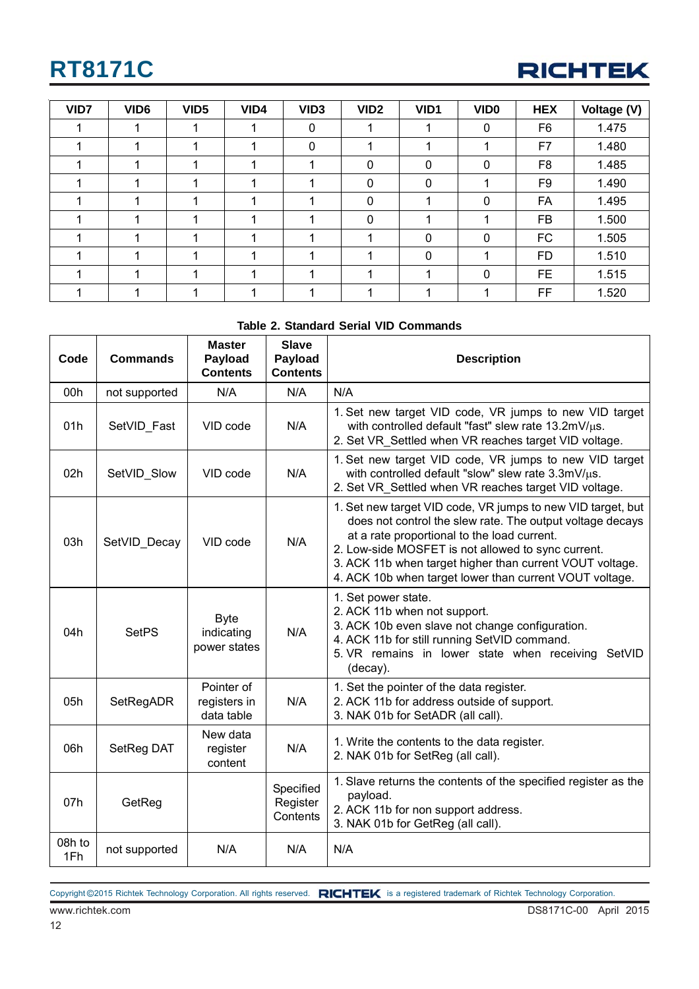

| VID7 | VID <sub>6</sub> | VID <sub>5</sub> | VID4 | VID <sub>3</sub> | VID <sub>2</sub> | VID1 | VID <sub>0</sub> | <b>HEX</b>     | Voltage (V) |
|------|------------------|------------------|------|------------------|------------------|------|------------------|----------------|-------------|
|      |                  |                  |      | 0                |                  |      | 0                | F <sub>6</sub> | 1.475       |
|      |                  |                  |      | 0                |                  |      |                  | F7             | 1.480       |
|      |                  |                  |      |                  | 0                | 0    | $\mathbf 0$      | F <sub>8</sub> | 1.485       |
|      |                  |                  |      |                  | $\mathbf{0}$     | 0    |                  | F <sub>9</sub> | 1.490       |
|      |                  |                  |      |                  | 0                |      | 0                | FA             | 1.495       |
|      |                  |                  |      |                  | 0                |      |                  | <b>FB</b>      | 1.500       |
|      |                  |                  |      |                  |                  | 0    | 0                | <b>FC</b>      | 1.505       |
|      |                  |                  |      |                  |                  | 0    |                  | <b>FD</b>      | 1.510       |
|      |                  |                  |      |                  |                  |      | $\mathbf 0$      | <b>FE</b>      | 1.515       |
|      |                  |                  |      |                  |                  |      |                  | FF             | 1.520       |

#### **Table 2. Standard Serial VID Commands**

| Code          | <b>Commands</b> | <b>Master</b><br>Payload<br><b>Contents</b> | <b>Slave</b><br>Payload<br><b>Contents</b> | <b>Description</b>                                                                                                                                                                                                                                                                                                                                   |
|---------------|-----------------|---------------------------------------------|--------------------------------------------|------------------------------------------------------------------------------------------------------------------------------------------------------------------------------------------------------------------------------------------------------------------------------------------------------------------------------------------------------|
| 00h           | not supported   | N/A                                         | N/A                                        | N/A                                                                                                                                                                                                                                                                                                                                                  |
| 01h           | SetVID_Fast     | VID code                                    | N/A                                        | 1. Set new target VID code, VR jumps to new VID target<br>with controlled default "fast" slew rate 13.2mV/µs.<br>2. Set VR Settled when VR reaches target VID voltage.                                                                                                                                                                               |
| 02h           | SetVID_Slow     | VID code                                    | N/A                                        | 1. Set new target VID code, VR jumps to new VID target<br>with controlled default "slow" slew rate 3.3mV/µs.<br>2. Set VR Settled when VR reaches target VID voltage.                                                                                                                                                                                |
| 03h           | SetVID_Decay    | VID code                                    | N/A                                        | 1. Set new target VID code, VR jumps to new VID target, but<br>does not control the slew rate. The output voltage decays<br>at a rate proportional to the load current.<br>2. Low-side MOSFET is not allowed to sync current.<br>3. ACK 11b when target higher than current VOUT voltage.<br>4. ACK 10b when target lower than current VOUT voltage. |
| 04h           | <b>SetPS</b>    | <b>Byte</b><br>indicating<br>power states   | N/A                                        | 1. Set power state.<br>2. ACK 11b when not support.<br>3. ACK 10b even slave not change configuration.<br>4. ACK 11b for still running SetVID command.<br>5. VR remains in lower state when receiving SetVID<br>(decay).                                                                                                                             |
| 05h           | SetRegADR       | Pointer of<br>registers in<br>data table    | N/A                                        | 1. Set the pointer of the data register.<br>2. ACK 11b for address outside of support.<br>3. NAK 01b for SetADR (all call).                                                                                                                                                                                                                          |
| 06h           | SetReg DAT      | New data<br>register<br>content             | N/A                                        | 1. Write the contents to the data register.<br>2. NAK 01b for SetReg (all call).                                                                                                                                                                                                                                                                     |
| 07h           | GetReg          |                                             | Specified<br>Register<br>Contents          | 1. Slave returns the contents of the specified register as the<br>payload.<br>2. ACK 11b for non support address.<br>3. NAK 01b for GetReg (all call).                                                                                                                                                                                               |
| 08h to<br>1Fh | not supported   | N/A                                         | N/A                                        | N/A                                                                                                                                                                                                                                                                                                                                                  |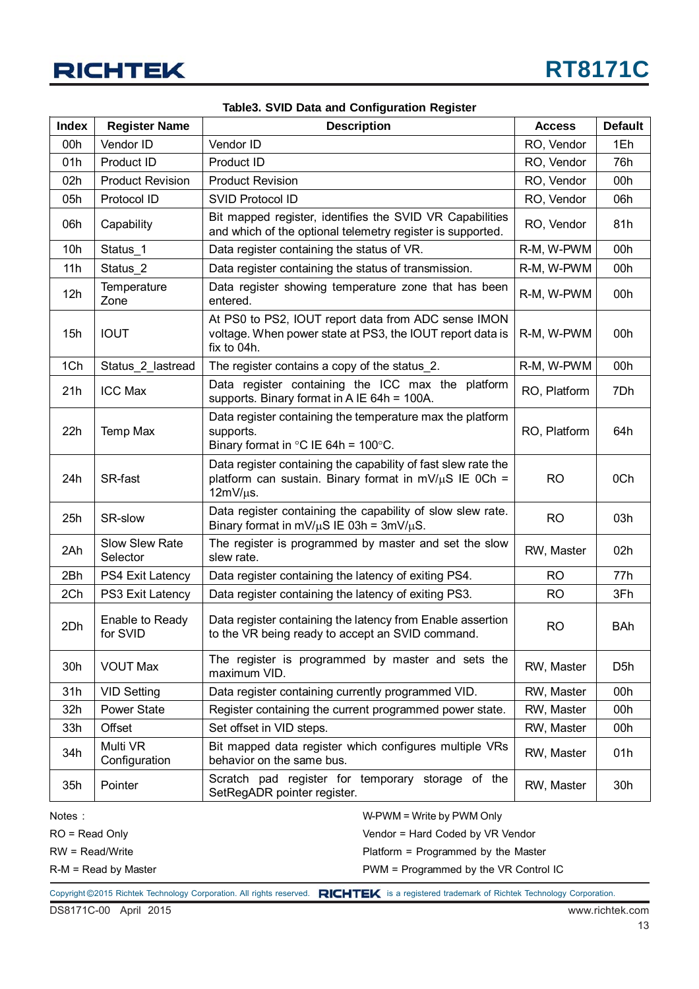

| <b>Index</b> | <b>Register Name</b>        | <b>Description</b>                                                                                                                            | <b>Access</b> | <b>Default</b>   |
|--------------|-----------------------------|-----------------------------------------------------------------------------------------------------------------------------------------------|---------------|------------------|
| 00h          | Vendor ID                   | Vendor ID                                                                                                                                     | RO, Vendor    | 1Eh              |
| 01h          | Product ID                  | Product ID                                                                                                                                    | RO, Vendor    | 76h              |
| 02h          | <b>Product Revision</b>     | <b>Product Revision</b>                                                                                                                       | RO, Vendor    | 00h              |
| 05h          | Protocol ID                 | <b>SVID Protocol ID</b>                                                                                                                       | RO, Vendor    | 06h              |
| 06h          | Capability                  | Bit mapped register, identifies the SVID VR Capabilities<br>and which of the optional telemetry register is supported.                        | RO, Vendor    | 81h              |
| 10h          | Status_1                    | Data register containing the status of VR.                                                                                                    | R-M, W-PWM    | 00h              |
| 11h          | Status <sub>2</sub>         | Data register containing the status of transmission.                                                                                          | R-M, W-PWM    | 00h              |
| 12h          | Temperature<br>Zone         | Data register showing temperature zone that has been<br>entered.                                                                              | R-M, W-PWM    | 00h              |
| 15h          | <b>IOUT</b>                 | At PS0 to PS2, IOUT report data from ADC sense IMON<br>voltage. When power state at PS3, the IOUT report data is<br>fix to 04h.               | R-M, W-PWM    | 00h              |
| 1Ch          | Status_2_lastread           | The register contains a copy of the status 2.                                                                                                 | R-M, W-PWM    | 00h              |
| 21h          | <b>ICC Max</b>              | Data register containing the ICC max the platform<br>supports. Binary format in A IE 64h = 100A.                                              | RO, Platform  | 7Dh              |
| 22h          | Temp Max                    | Data register containing the temperature max the platform<br>supports.<br>Binary format in $\degree$ C IE 64h = 100 $\degree$ C.              | RO, Platform  | 64h              |
| 24h          | SR-fast                     | Data register containing the capability of fast slew rate the<br>platform can sustain. Binary format in $mV/\mu S$ IE 0Ch =<br>$12mV/\mu s$ . | <b>RO</b>     | 0Ch              |
| 25h          | SR-slow                     | Data register containing the capability of slow slew rate.<br>Binary format in mV/ $\mu$ S IE 03h = 3mV/ $\mu$ S.                             | <b>RO</b>     | 03h              |
| 2Ah          | Slow Slew Rate<br>Selector  | The register is programmed by master and set the slow<br>slew rate.                                                                           | RW, Master    | 02h              |
| 2Bh          | PS4 Exit Latency            | Data register containing the latency of exiting PS4.                                                                                          | <b>RO</b>     | 77h              |
| 2Ch          | PS3 Exit Latency            | Data register containing the latency of exiting PS3.                                                                                          | <b>RO</b>     | 3Fh              |
| 2Dh          | Enable to Ready<br>for SVID | Data register containing the latency from Enable assertion<br>to the VR being ready to accept an SVID command.                                | <b>RO</b>     | <b>BAh</b>       |
| 30h          | <b>VOUT Max</b>             | The register is programmed by master and sets the<br>maximum VID.                                                                             | RW, Master    | D <sub>5</sub> h |
| 31h          | <b>VID Setting</b>          | Data register containing currently programmed VID.                                                                                            | RW, Master    | 00h              |
| 32h          | Power State                 | Register containing the current programmed power state.                                                                                       | RW, Master    | 00h              |
| 33h          | Offset                      | Set offset in VID steps.                                                                                                                      | RW, Master    | 00h              |
| 34h          | Multi VR<br>Configuration   | Bit mapped data register which configures multiple VRs<br>behavior on the same bus.                                                           | RW, Master    | 01h              |
| 35h          | Pointer                     | Scratch pad register for temporary storage of the<br>SetRegADR pointer register.                                                              | RW, Master    | 30h              |
| Notes:       |                             | $W-PWM = Write by PWM Only$                                                                                                                   |               |                  |

#### **Table3. SVID Data and Configuration Register**

Notes :

RO = Read Only

RW = Read/Write

R-M = Read by Master

Vendor = Hard Coded by VR Vendor

Platform = Programmed by the Master

PWM = Programmed by the VR Control IC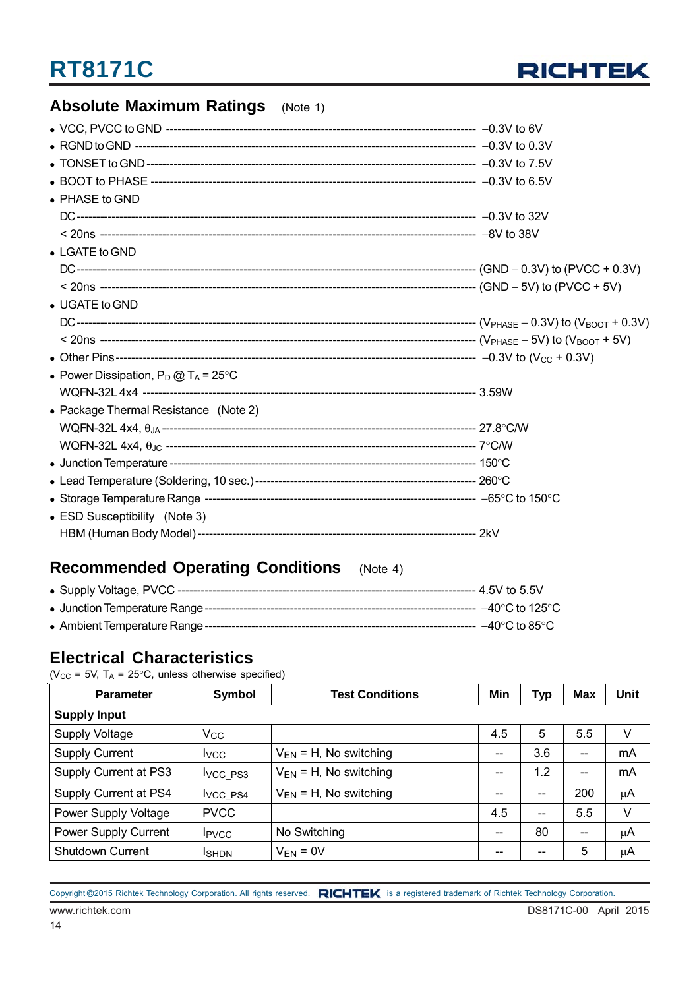

### **Absolute Maximum Ratings** (Note 1)

| • PHASE to GND                                 |  |
|------------------------------------------------|--|
|                                                |  |
|                                                |  |
| $\bullet$ LGATE to GND                         |  |
|                                                |  |
|                                                |  |
| • UGATE to GND                                 |  |
|                                                |  |
|                                                |  |
|                                                |  |
| • Power Dissipation, $P_D @ T_A = 25^{\circ}C$ |  |
|                                                |  |
| • Package Thermal Resistance (Note 2)          |  |
|                                                |  |
|                                                |  |
|                                                |  |
|                                                |  |
|                                                |  |
| • ESD Susceptibility (Note 3)                  |  |
|                                                |  |
|                                                |  |

### **Recommended Operating Conditions** (Note 4)

### **Electrical Characteristics**

( $V_{CC}$  = 5V, T<sub>A</sub> = 25°C, unless otherwise specified)

| Symbol<br><b>Test Conditions</b><br><b>Parameter</b> |                      |                             |       | <b>Typ</b> | <b>Max</b>               | <b>Unit</b> |  |  |  |  |  |
|------------------------------------------------------|----------------------|-----------------------------|-------|------------|--------------------------|-------------|--|--|--|--|--|
| <b>Supply Input</b>                                  |                      |                             |       |            |                          |             |  |  |  |  |  |
| <b>Supply Voltage</b>                                | $V_{\rm CC}$         |                             | 4.5   | 5          | 5.5                      | V           |  |  |  |  |  |
| <b>Supply Current</b>                                | <b>I</b> vcc         | $V_{EN}$ = H, No switching  | $- -$ | 3.6        | --                       | mA          |  |  |  |  |  |
| Supply Current at PS3                                | <b>IVCC PS3</b>      | $V_{EN}$ = H, No switching  | $- -$ | 1.2        | --                       | mA          |  |  |  |  |  |
| Supply Current at PS4                                | I <sub>VCC</sub> PS4 | $V_{EN} = H$ , No switching | --    | --         | 200                      | μA          |  |  |  |  |  |
| Power Supply Voltage                                 | <b>PVCC</b>          |                             | 4.5   | $- -$      | 5.5                      | V           |  |  |  |  |  |
| Power Supply Current                                 | <b>I</b> PVCC        | No Switching                | $- -$ | 80         | $\overline{\phantom{m}}$ | μA          |  |  |  |  |  |
| <b>Shutdown Current</b>                              | <b>I</b> SHDN        | $V_{EN} = 0V$               | --    | --         | 5                        | μA          |  |  |  |  |  |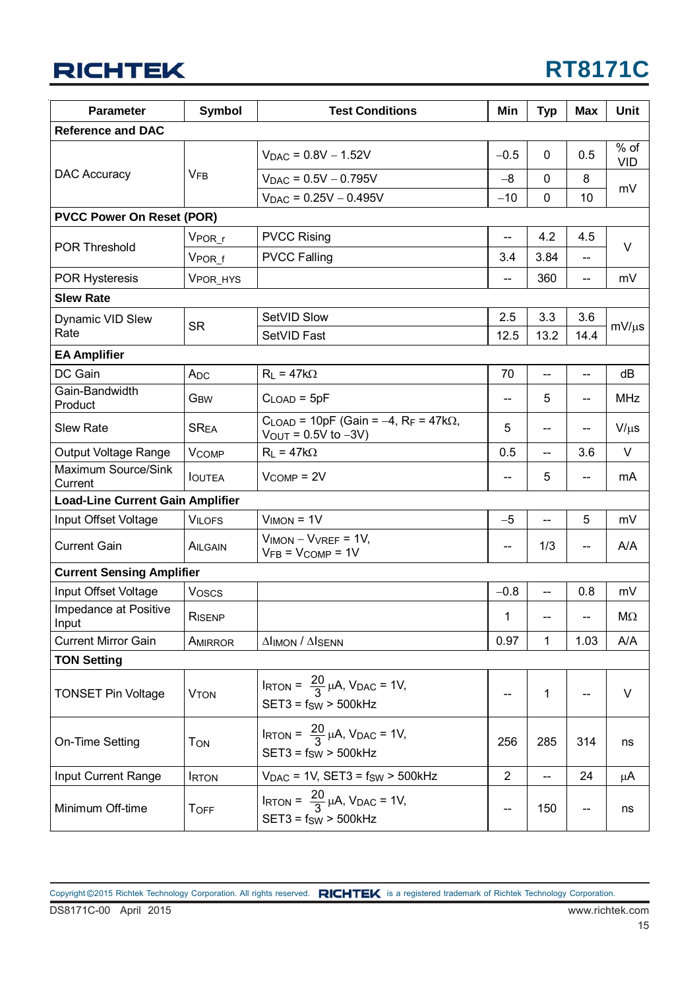

| <b>Parameter</b>                        | <b>Symbol</b>           | <b>Test Conditions</b>                                                                                                 | Min            | <b>Typ</b>               | <b>Max</b>               | Unit                 |  |  |  |
|-----------------------------------------|-------------------------|------------------------------------------------------------------------------------------------------------------------|----------------|--------------------------|--------------------------|----------------------|--|--|--|
| <b>Reference and DAC</b>                |                         |                                                                                                                        |                |                          |                          |                      |  |  |  |
|                                         |                         | $V_{\text{DAC}} = 0.8V - 1.52V$                                                                                        | $-0.5$         | 0                        | 0.5                      | $%$ of<br><b>VID</b> |  |  |  |
| DAC Accuracy                            | <b>VFB</b>              | $V_{DAC} = 0.5V - 0.795V$                                                                                              | $-8$           | 0                        | 8                        |                      |  |  |  |
|                                         |                         | $V_{DAC} = 0.25V - 0.495V$                                                                                             | $-10$          | $\mathbf 0$              | 10                       | mV                   |  |  |  |
| <b>PVCC Power On Reset (POR)</b>        |                         |                                                                                                                        |                |                          |                          |                      |  |  |  |
|                                         | VPOR_r                  | <b>PVCC Rising</b>                                                                                                     | $-$            | 4.2                      | 4.5                      |                      |  |  |  |
| <b>POR Threshold</b>                    | V <sub>PORf</sub>       | <b>PVCC Falling</b>                                                                                                    | 3.4            | 3.84                     |                          | $\vee$               |  |  |  |
| <b>POR Hysteresis</b>                   | VPOR_HYS                |                                                                                                                        | $\overline{a}$ | 360                      | $\overline{a}$           | mV                   |  |  |  |
| <b>Slew Rate</b>                        |                         |                                                                                                                        |                |                          |                          |                      |  |  |  |
| Dynamic VID Slew                        |                         | SetVID Slow                                                                                                            | 2.5            | 3.3                      | 3.6                      |                      |  |  |  |
| Rate                                    | <b>SR</b>               | SetVID Fast                                                                                                            | 12.5           | 13.2                     | 14.4                     | $mV/\mu s$           |  |  |  |
| <b>EA Amplifier</b>                     |                         |                                                                                                                        |                |                          |                          |                      |  |  |  |
| DC Gain                                 | A <sub>DC</sub>         | $R_L = 47k\Omega$                                                                                                      | 70             | $\overline{\phantom{a}}$ | $\overline{\phantom{a}}$ | dB                   |  |  |  |
| Gain-Bandwidth<br>Product               | G <sub>BW</sub>         | $CLOAD = 5pF$                                                                                                          | --             | 5                        | $-$                      | <b>MHz</b>           |  |  |  |
| <b>Slew Rate</b>                        | <b>SREA</b>             | $C_{\text{LOAD}}$ = 10pF (Gain = -4, R <sub>F</sub> = 47k $\Omega$ ,<br>$V_{\text{OUT}} = 0.5V$ to $-3V$ )             | 5              | --                       |                          | $V/\mu s$            |  |  |  |
| Output Voltage Range                    | <b>V<sub>COMP</sub></b> | $R_L = 47k\Omega$                                                                                                      | 0.5            | --                       | 3.6                      | $\vee$               |  |  |  |
| Maximum Source/Sink<br>Current          | <b>IOUTEA</b>           | $V_{COMP} = 2V$                                                                                                        |                | 5                        |                          | mA                   |  |  |  |
| <b>Load-Line Current Gain Amplifier</b> |                         |                                                                                                                        |                |                          |                          |                      |  |  |  |
| Input Offset Voltage                    | <b>VILOFS</b>           | $VIMON = 1V$                                                                                                           | $-5$           | $\overline{\phantom{a}}$ | 5                        | mV                   |  |  |  |
| <b>Current Gain</b>                     | AILGAIN                 | $VIMON - VVREF = 1V,$<br>$VFB = VCOMP = 1V$                                                                            | --             | 1/3                      |                          | A/A                  |  |  |  |
| <b>Current Sensing Amplifier</b>        |                         |                                                                                                                        |                |                          |                          |                      |  |  |  |
| Input Offset Voltage                    | Voscs                   |                                                                                                                        | $-0.8$         | $\overline{\phantom{a}}$ | 0.8                      | mV                   |  |  |  |
| Impedance at Positive<br>Input          | RISENP                  |                                                                                                                        | 1              |                          |                          | МΩ                   |  |  |  |
| <b>Current Mirror Gain</b>              | AMIRROR                 | <b>Alimon / Alsenn</b>                                                                                                 | 0.97           | 1                        | 1.03                     | A/A                  |  |  |  |
| <b>TON Setting</b>                      |                         |                                                                                                                        |                |                          |                          |                      |  |  |  |
| <b>TONSET Pin Voltage</b>               | <b>VTON</b>             | $I_{\text{RTON}} = \frac{20}{3} \mu \text{A}$ , $V_{\text{DAC}} = 1 \text{V}$ ,<br>$SET3 = fSW > 500kHz$               |                | 1                        |                          | V                    |  |  |  |
| On-Time Setting                         | <b>TON</b>              | $I_{\text{RTON}} = \frac{20}{3} \mu \text{A}$ , $V_{\text{DAC}} = 1 \text{V}$ ,<br>285<br>256<br>$SET3 = fSW > 500kHz$ |                |                          | 314                      | ns                   |  |  |  |
| Input Current Range                     | <b>IRTON</b>            | $V_{\text{DAC}} = 1V$ , SET3 = $f_{SW} > 500$ kHz                                                                      | $\overline{2}$ | --                       | 24                       | μA                   |  |  |  |
| Minimum Off-time                        | <b>TOFF</b>             | $I_{\text{RTON}} = \frac{20}{3} \mu A$ , $V_{\text{DAC}} = 1V$ ,<br>$SET3 = fSW > 500kHz$                              | --             | 150                      |                          | ns                   |  |  |  |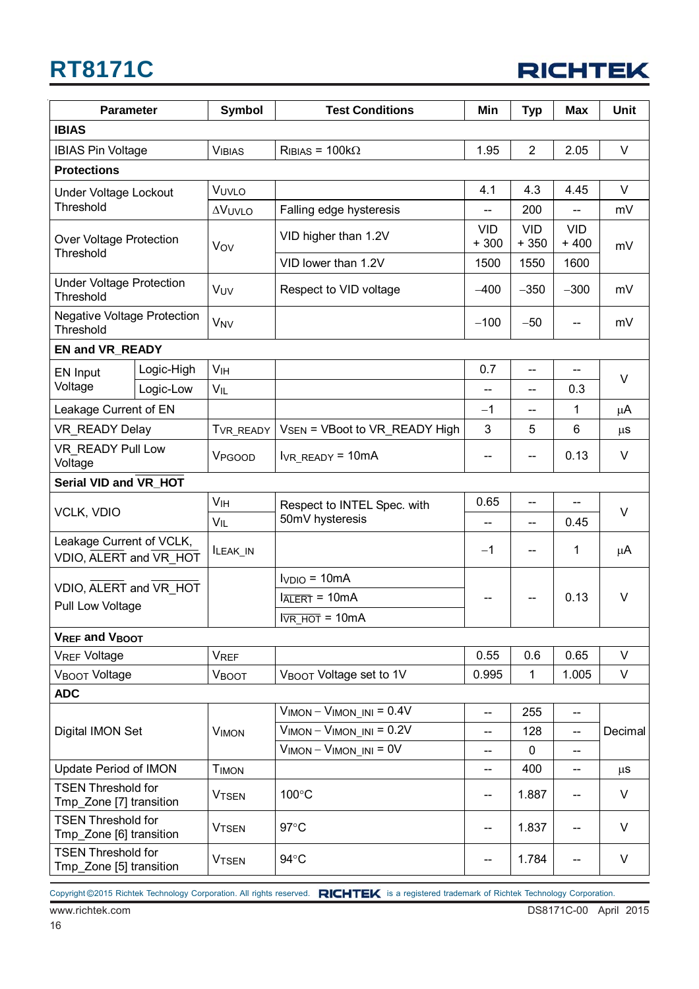|  | <b>RICHTEK</b> |
|--|----------------|
|  |                |

| <b>Parameter</b>                                     |            | <b>Symbol</b>                      | <b>Test Conditions</b>           | Min                      | <b>Typ</b>           | <b>Max</b>               | <b>Unit</b> |  |  |  |
|------------------------------------------------------|------------|------------------------------------|----------------------------------|--------------------------|----------------------|--------------------------|-------------|--|--|--|
| <b>IBIAS</b>                                         |            |                                    |                                  |                          |                      |                          |             |  |  |  |
| <b>IBIAS Pin Voltage</b>                             |            | <b>VIBIAS</b>                      | $R_{IBIAS} = 100k\Omega$         | 1.95                     | $\overline{2}$       | 2.05                     | $\vee$      |  |  |  |
| <b>Protections</b>                                   |            |                                    |                                  |                          |                      |                          |             |  |  |  |
| Under Voltage Lockout                                |            | VUVLO                              |                                  | 4.1                      | 4.3                  | 4.45                     | $\vee$      |  |  |  |
| Threshold                                            |            | <b>AVUVLO</b>                      | Falling edge hysteresis          | $\overline{\phantom{a}}$ | 200                  | $\overline{\phantom{a}}$ | mV          |  |  |  |
| Over Voltage Protection<br>Threshold                 |            | Vov                                | VID higher than 1.2V             | <b>VID</b><br>$+300$     | <b>VID</b><br>$+350$ | <b>VID</b><br>$+400$     | mV          |  |  |  |
|                                                      |            |                                    | VID lower than 1.2V              | 1500                     | 1550                 | 1600                     |             |  |  |  |
| <b>Under Voltage Protection</b><br>Threshold         |            | VUV                                | Respect to VID voltage           | $-400$                   | $-350$               | $-300$                   | mV          |  |  |  |
| <b>Negative Voltage Protection</b><br>Threshold      |            | <b>V<sub>NV</sub></b>              |                                  | $-100$                   | $-50$                | --                       | mV          |  |  |  |
| <b>EN and VR_READY</b>                               |            |                                    |                                  |                          |                      |                          |             |  |  |  |
| EN Input                                             | Logic-High | <b>V<sub>IH</sub></b>              |                                  | 0.7                      | --                   |                          | V           |  |  |  |
| Voltage                                              | Logic-Low  | VIL                                |                                  | --                       | --                   | 0.3                      |             |  |  |  |
| Leakage Current of EN                                |            |                                    |                                  | $-1$                     | --                   | 1                        | $\mu$ A     |  |  |  |
| VR READY Delay                                       |            | TVR_READY                          | VSEN = VBoot to VR READY High    | 3                        | 5                    | 6                        | $\mu$ S     |  |  |  |
| VR READY Pull Low<br>Voltage                         |            | VPGOOD                             | $IVR$ <sub>_READY</sub> = 10mA   | --                       | --                   | 0.13                     | V           |  |  |  |
| Serial VID and VR_HOT                                |            |                                    |                                  |                          |                      |                          |             |  |  |  |
| <b>VCLK, VDIO</b>                                    |            | VIH<br>Respect to INTEL Spec. with |                                  | 0.65                     | --                   |                          | V           |  |  |  |
|                                                      |            | $V_{IL}$                           | 50mV hysteresis                  | --                       | --                   | 0.45                     |             |  |  |  |
| Leakage Current of VCLK,<br>VDIO, ALERT and VR_HOT   |            | ILEAK_IN                           |                                  | $-1$                     | --                   | 1                        | μA          |  |  |  |
| VDIO, ALERT and VR HOT                               |            |                                    | $IVDIO = 10mA$                   |                          |                      |                          |             |  |  |  |
| Pull Low Voltage                                     |            |                                    | $IATERT = 10mA$                  | --                       | --                   | 0.13                     | V           |  |  |  |
|                                                      |            |                                    | $l\overline{VR\_HOT} = 10mA$     |                          |                      |                          |             |  |  |  |
| V <sub>REF</sub> and V <sub>BOOT</sub>               |            |                                    |                                  |                          |                      |                          |             |  |  |  |
| <b>VREF Voltage</b>                                  |            | <b>VREF</b>                        |                                  | 0.55                     | 0.6                  | 0.65                     | $\vee$      |  |  |  |
| VBOOT Voltage                                        |            | <b>VBOOT</b>                       | VBOOT Voltage set to 1V          | 0.995                    | $\mathbf{1}$         | 1.005                    | V           |  |  |  |
| <b>ADC</b>                                           |            |                                    |                                  |                          |                      |                          |             |  |  |  |
|                                                      |            |                                    | $V_{IMON} - V_{IMON}$ INI = 0.4V | $\overline{\phantom{a}}$ | 255                  | --                       |             |  |  |  |
| Digital IMON Set                                     |            | <b>VIMON</b>                       | $VIMON - VIMON$ in $= 0.2V$      | --                       | 128                  | --                       | Decimal     |  |  |  |
| <b>Update Period of IMON</b>                         |            |                                    | $V_{IMON} - V_{IMON}$ INI = 0V   | --                       | 0                    | --                       |             |  |  |  |
| <b>TSEN Threshold for</b>                            |            | <b>TIMON</b>                       |                                  | --                       | 400                  | --                       | $\mu$ s     |  |  |  |
| Tmp_Zone [7] transition                              |            | <b>VTSEN</b>                       | 100°C                            | --                       | 1.887                | --                       | V           |  |  |  |
| <b>TSEN Threshold for</b><br>Tmp_Zone [6] transition |            | <b>VTSEN</b>                       | $97^{\circ}$ C                   | --                       | 1.837                | --                       | V           |  |  |  |
| <b>TSEN Threshold for</b><br>Tmp_Zone [5] transition |            | <b>VTSEN</b>                       | 94°C                             | --                       | 1.784                | --                       | V           |  |  |  |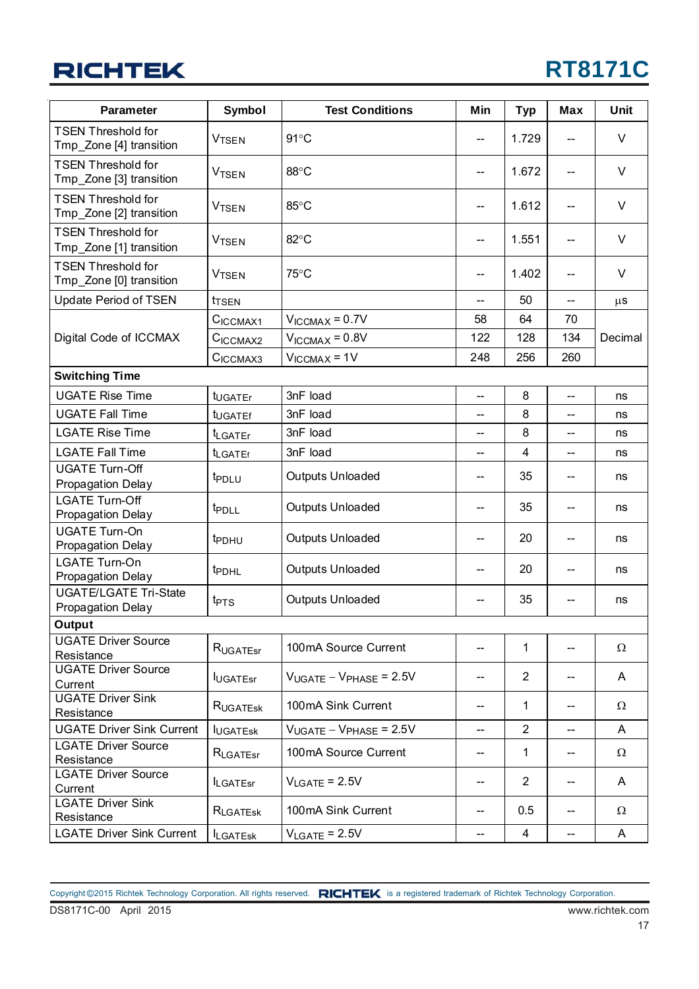| <b>Parameter</b>                                     | Symbol                       | <b>Test Conditions</b>         | Min                                 | <b>Typ</b>     | Max | Unit    |  |  |  |  |
|------------------------------------------------------|------------------------------|--------------------------------|-------------------------------------|----------------|-----|---------|--|--|--|--|
| <b>TSEN Threshold for</b><br>Tmp_Zone [4] transition | <b>VTSEN</b>                 | $91^{\circ}$ C                 |                                     | 1.729          |     | V       |  |  |  |  |
| <b>TSEN Threshold for</b><br>Tmp_Zone [3] transition | <b>VTSEN</b>                 | 88°C                           | $\hspace{0.05cm}$ $\hspace{0.05cm}$ | 1.672          | --  | $\vee$  |  |  |  |  |
| <b>TSEN Threshold for</b><br>Tmp_Zone [2] transition | <b>VTSEN</b>                 | 85°C                           | --                                  | 1.612          | --  | V       |  |  |  |  |
| <b>TSEN Threshold for</b><br>Tmp_Zone [1] transition | <b>VTSEN</b>                 | 82°C                           | --                                  | 1.551          | --  | V       |  |  |  |  |
| <b>TSEN Threshold for</b><br>Tmp_Zone [0] transition | <b>VTSEN</b>                 | 75°C                           | --                                  | 1.402          | --  | V       |  |  |  |  |
| Update Period of TSEN                                | <b>t</b> TSEN                |                                | $-$                                 | 50             | $-$ | $\mu$ s |  |  |  |  |
|                                                      | CICCMAX1                     | $V_{ICCMAX} = 0.7V$            | 58                                  | 64             | 70  |         |  |  |  |  |
| Digital Code of ICCMAX                               | C <sub>ICCMAX2</sub>         | $V_{\text{ICCMAX}} = 0.8V$     | 122                                 | 128            | 134 | Decimal |  |  |  |  |
|                                                      | C <sub>ICCMAX3</sub>         | $V_{ICCMAX} = 1V$              | 248                                 | 256            | 260 |         |  |  |  |  |
| <b>Switching Time</b>                                |                              |                                |                                     |                |     |         |  |  |  |  |
| <b>UGATE Rise Time</b>                               | tugaTEr                      | 3nF load                       | --                                  | 8              | --  | ns      |  |  |  |  |
| <b>UGATE Fall Time</b>                               | tugaTEf                      | 3nF load                       | --                                  | 8              | --  | ns      |  |  |  |  |
| <b>LGATE Rise Time</b>                               | t <sub>LGATEr</sub>          | 3nF load                       |                                     | 8              |     | ns      |  |  |  |  |
| <b>LGATE Fall Time</b>                               | t <sub>LGATEf</sub>          | 3nF load                       | $-$                                 | $\overline{4}$ | --  | ns      |  |  |  |  |
| <b>UGATE Turn-Off</b><br>Propagation Delay           | t <sub>PDLU</sub>            | <b>Outputs Unloaded</b>        | $\hspace{0.05cm}$ $\hspace{0.05cm}$ | 35             | --  | ns      |  |  |  |  |
| <b>LGATE Turn-Off</b><br>Propagation Delay           | <i>t</i> <sub>PDLL</sub>     | <b>Outputs Unloaded</b>        | --                                  | 35             | --  | ns      |  |  |  |  |
| <b>UGATE Turn-On</b><br><b>Propagation Delay</b>     | t <sub>PDHU</sub>            | <b>Outputs Unloaded</b>        | $-$                                 | 20             | --  | ns      |  |  |  |  |
| <b>LGATE Turn-On</b><br><b>Propagation Delay</b>     | <b>t</b> PDHL                | Outputs Unloaded               | --                                  | 20             | --  | ns      |  |  |  |  |
| <b>UGATE/LGATE Tri-State</b><br>Propagation Delay    | $t_{\text{PTS}}$             | <b>Outputs Unloaded</b>        | --                                  | 35             | --  | ns      |  |  |  |  |
| Output                                               |                              |                                |                                     |                |     |         |  |  |  |  |
| <b>UGATE Driver Source</b><br>Resistance             | RUGATEST                     | 100mA Source Current           |                                     | 1              |     | Ω       |  |  |  |  |
| <b>UGATE Driver Source</b><br>Current                | <b>IUGATEsr</b>              | $V_{UGATE} - V_{PHASE} = 2.5V$ | --                                  | $\overline{2}$ | --  | A       |  |  |  |  |
| <b>UGATE Driver Sink</b><br>Resistance               | RUGATESK                     | 100mA Sink Current             | --                                  | 1              | --  | Ω       |  |  |  |  |
| <b>UGATE Driver Sink Current</b>                     | <b>IUGATESK</b>              | $V_{UGATE} - V_{PHASE} = 2.5V$ | --                                  | $\overline{2}$ | --  | A       |  |  |  |  |
| <b>LGATE Driver Source</b><br>Resistance             | RLGATEST                     | 100mA Source Current           | --                                  | 1              | --  | Ω       |  |  |  |  |
| <b>LGATE Driver Source</b><br>Current                | <b>ILGATEsr</b>              | $V_{\text{LGATE}}$ = 2.5V      | --                                  | 2              | --  | A       |  |  |  |  |
| <b>LGATE Driver Sink</b><br>Resistance               | RLGATESK                     | 100mA Sink Current             | --                                  | 0.5            | --  | Ω       |  |  |  |  |
| <b>LGATE Driver Sink Current</b>                     | <b>I</b> LGATE <sub>sk</sub> | $V_{LGATE}$ = 2.5V             | $\overline{\phantom{a}}$            | 4              | --  | A       |  |  |  |  |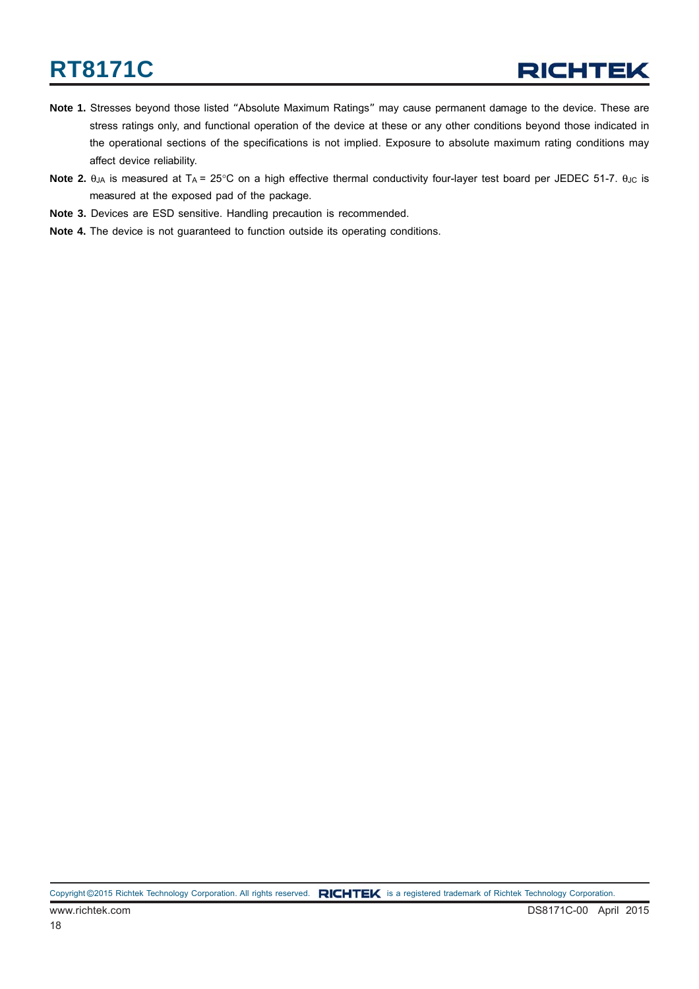- **Note 1.** Stresses beyond those listed "Absolute Maximum Ratings" may cause permanent damage to the device. These are stress ratings only, and functional operation of the device at these or any other conditions beyond those indicated in the operational sections of the specifications is not implied. Exposure to absolute maximum rating conditions may affect device reliability.
- **Note 2.** θ<sub>JA</sub> is measured at T<sub>A</sub> = 25°C on a high effective thermal conductivity four-layer test board per JEDEC 51-7. θ<sub>JC</sub> is measured at the exposed pad of the package.
- **Note 3.** Devices are ESD sensitive. Handling precaution is recommended.
- **Note 4.** The device is not guaranteed to function outside its operating conditions.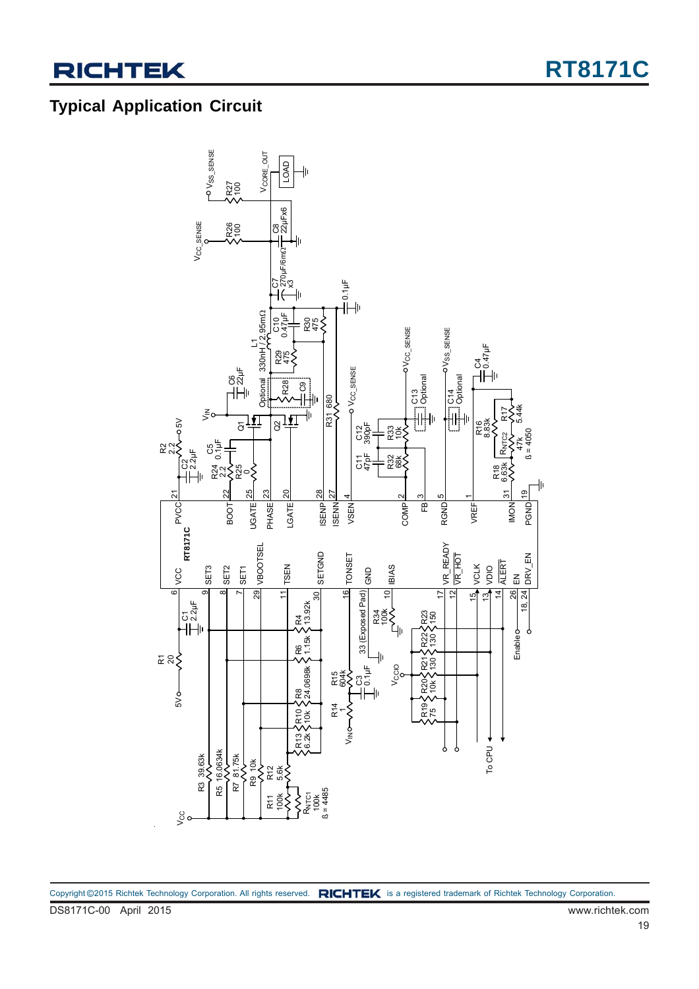### **Typical Application Circuit**

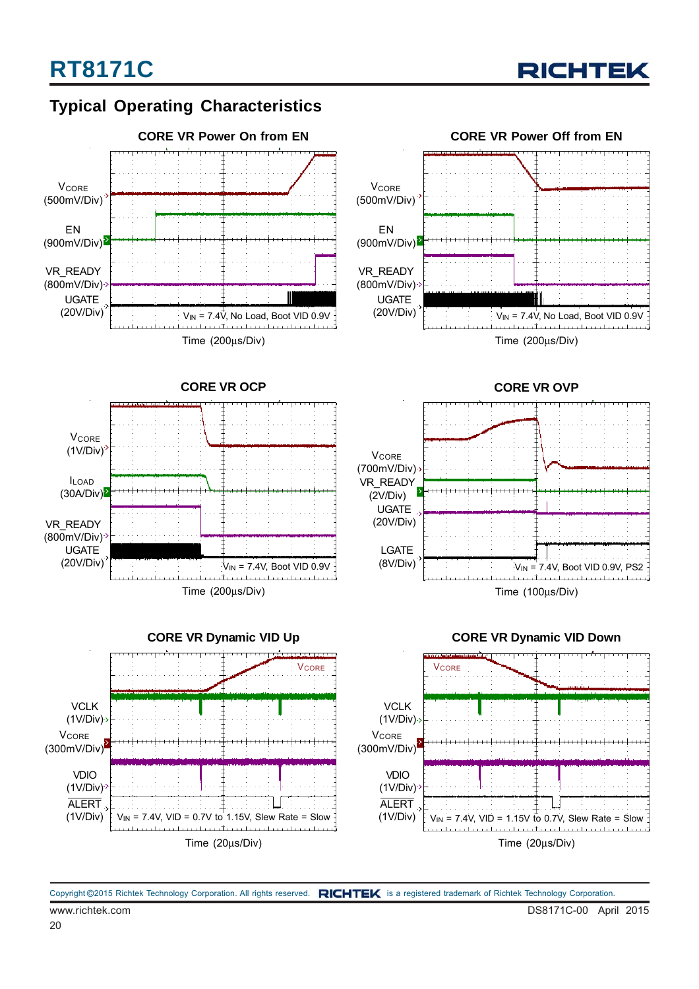

### **Typical Operating Characteristics**













#### **CORE VR Dynamic VID Down**

www.richtek.com DS8171C-00 April 2015 Copyright ©2015 Richtek Technology Corporation. All rights reserved. RICHTEK is a registered trademark of Richtek Technology Corporation.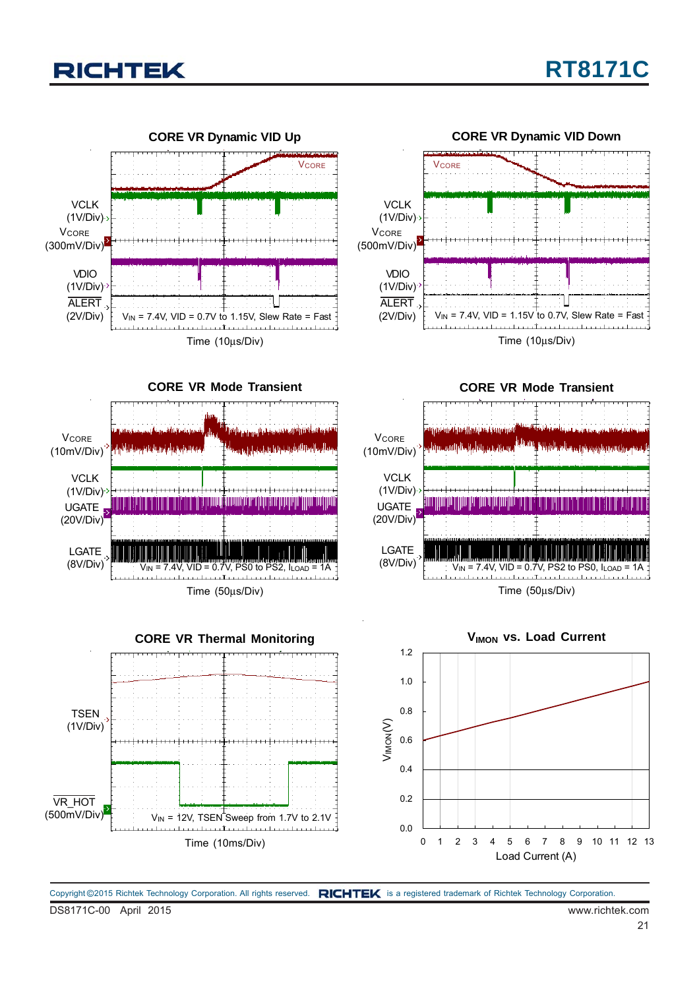



DS8171C-00 April 2015 www.richtek.com Copyright ©2015 Richtek Technology Corporation. All rights reserved. RICHTEK is a registered trademark of Richtek Technology Corporation.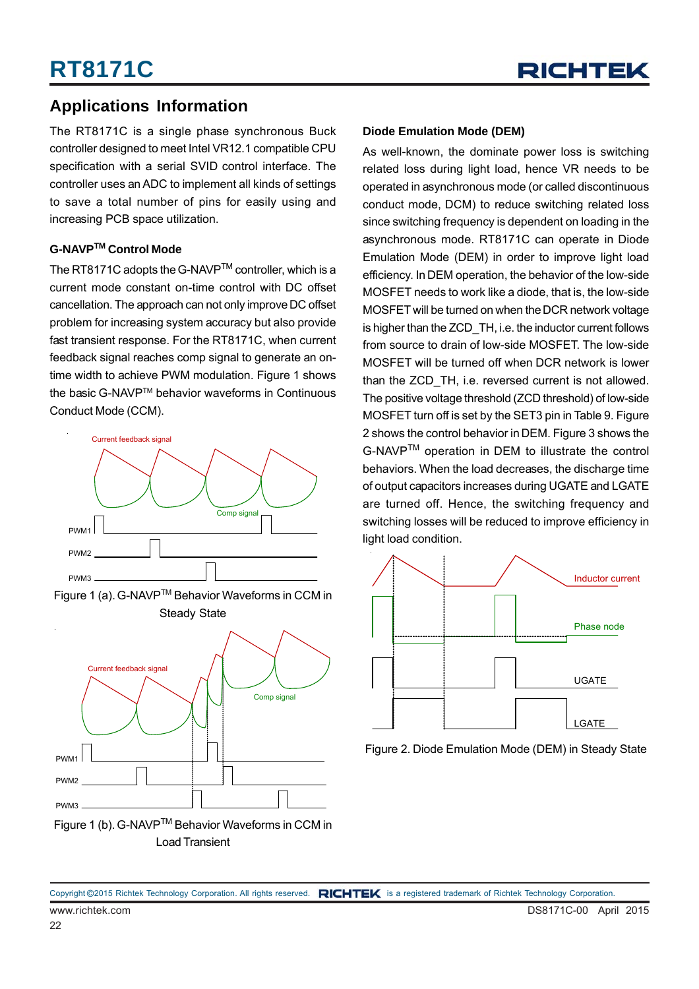### **Applications Information**

The RT8171C is a single phase synchronous Buck controller designed to meet Intel VR12.1 compatible CPU specification with a serial SVID control interface. The controller uses an ADC to implement all kinds of settings to save a total number of pins for easily using and increasing PCB space utilization.

#### **G-NAVPTM Control Mode**

The RT8171C adopts the G-NAVP™ controller, which is a current mode constant on-time control with DC offset cancellation. The approach can not only improve DC offset problem for increasing system accuracy but also provide fast transient response. For the RT8171C, when current feedback signal reaches comp signal to generate an ontime width to achieve PWM modulation. Figure 1 shows the basic G-NAVP™ behavior waveforms in Continuous Conduct Mode (CCM).



Figure 1 (a). G-NAVPTM Behavior Waveforms in CCM in Steady State



Load Transient

#### **Diode Emulation Mode (DEM)**

As well-known, the dominate power loss is switching related loss during light load, hence VR needs to be operated in asynchronous mode (or called discontinuous conduct mode, DCM) to reduce switching related loss since switching frequency is dependent on loading in the asynchronous mode. RT8171C can operate in Diode Emulation Mode (DEM) in order to improve light load efficiency. In DEM operation, the behavior of the low-side MOSFET needs to work like a diode, that is, the low-side MOSFET will be turned on when the DCR network voltage is higher than the ZCD TH, i.e. the inductor current follows from source to drain of low-side MOSFET. The low-side MOSFET will be turned off when DCR network is lower than the ZCD TH, i.e. reversed current is not allowed. The positive voltage threshold (ZCD threshold) of low-side MOSFET turn off is set by the SET3 pin in Table 9. Figure 2 shows the control behavior in DEM. Figure 3 shows the G-NAVPTM operation in DEM to illustrate the control behaviors. When the load decreases, the discharge time of output capacitors increases during UGATE and LGATE are turned off. Hence, the switching frequency and switching losses will be reduced to improve efficiency in light load condition.



Figure 2. Diode Emulation Mode (DEM) in Steady State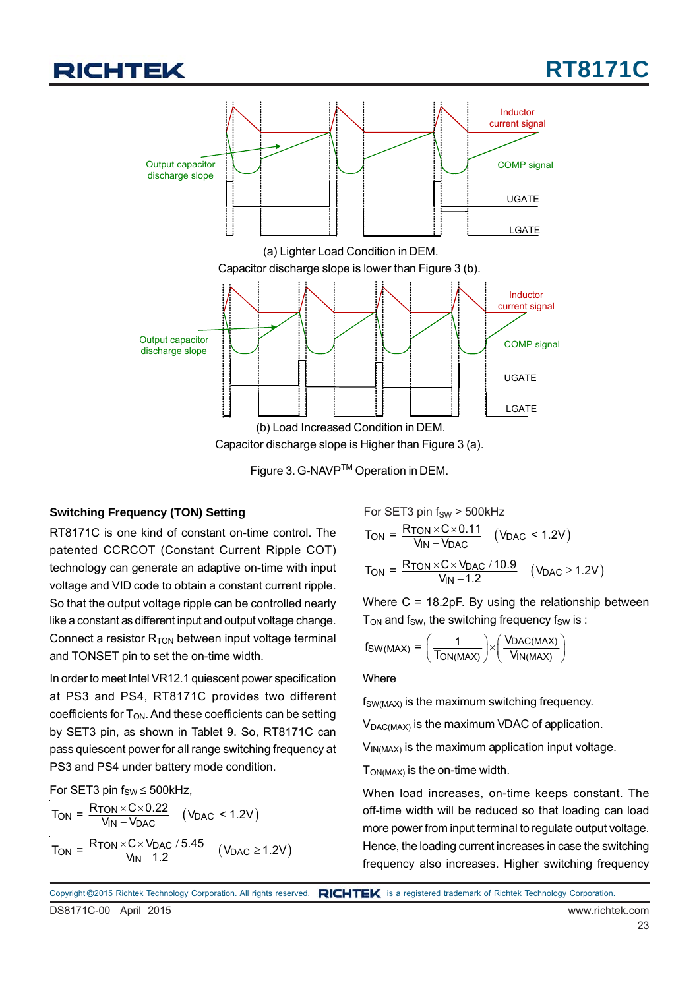



Figure 3. G-NAVPTM Operation in DEM.

#### **Switching Frequency (TON) Setting**

RT8171C is one kind of constant on-time control. The patented CCRCOT (Constant Current Ripple COT) technology can generate an adaptive on-time with input voltage and VID code to obtain a constant current ripple. So that the output voltage ripple can be controlled nearly like a constant as different input and output voltage change. Connect a resistor  $R_{TON}$  between input voltage terminal and TONSET pin to set the on-time width.

In order to meet Intel VR12.1 quiescent power specification at PS3 and PS4, RT8171C provides two different coefficients for  $T_{ON}$ . And these coefficients can be setting by SET3 pin, as shown in Tablet 9. So, RT8171C can pass quiescent power for all range switching frequency at PS3 and PS4 under battery mode condition.

For SET3 pin  $f_{SW} \le 500$ kHz,

$$
T_{ON} = \frac{R_{TON} \times C \times 0.22}{V_{IN} - V_{DAC}} \quad (V_{DAC} < 1.2V)
$$
\n
$$
T_{ON} = \frac{R_{TON} \times C \times V_{DAC} / 5.45}{V_{IN} - 1.2} \quad (V_{DAC} \ge 1.2V)
$$

For SET3 pin f<sub>SW</sub> > 500kHz  
\nT<sub>ON</sub> = 
$$
\frac{R_{TON} \times C \times 0.11}{V_{IN} - V_{DAC}}
$$
 (V<sub>DAC</sub> < 1.2V)  
\nT<sub>ON</sub> =  $\frac{R_{TON} \times C \times V_{DAC} / 10.9}{V_{IN} - 1.2}$  (V<sub>DAC</sub>  $\ge$  1.2V)

Where C = 18.2pF. By using the relationship between  $T<sub>ON</sub>$  and  $f<sub>SW</sub>$ , the switching frequency  $f<sub>SW</sub>$  is :

$$
f_{SW(MAX)} = \left(\frac{1}{T_{ON(MAX)}}\right) \times \left(\frac{V_{DAC(MAX)}}{V_{IN(MAX)}}\right)
$$

**Where** 

 $f_{SW(MAX)}$  is the maximum switching frequency.

 $V_{\text{DAC}(\text{MAX})}$  is the maximum VDAC of application.

 $V_{IN(MAX)}$  is the maximum application input voltage.

TON(MAX) is the on-time width.

When load increases, on-time keeps constant. The off-time width will be reduced so that loading can load more power from input terminal to regulate output voltage. Hence, the loading current increases in case the switching frequency also increases. Higher switching frequency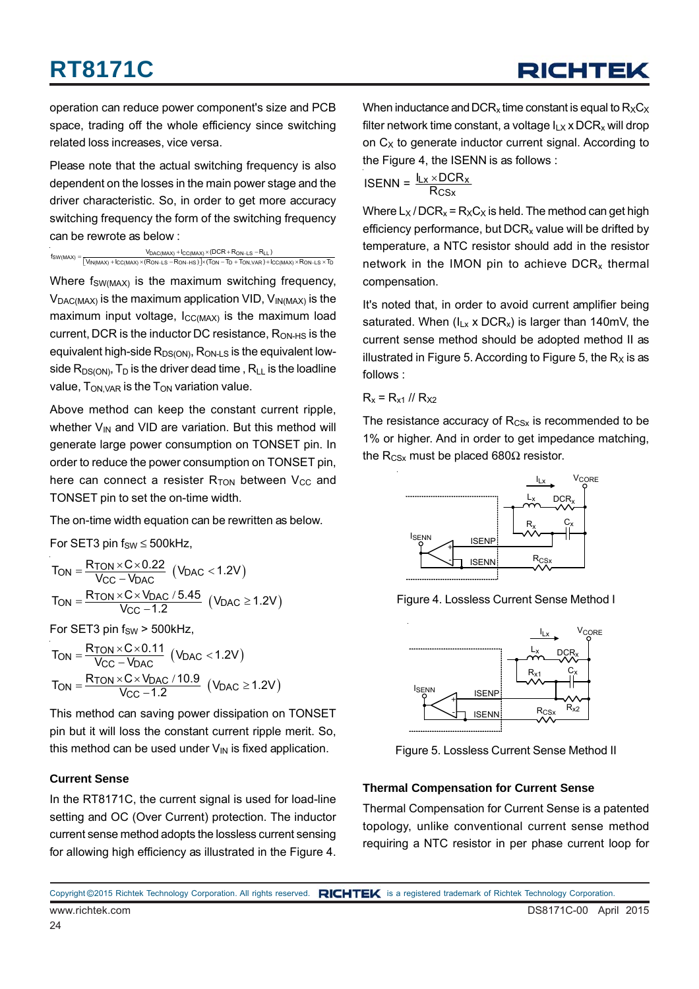operation can reduce power component's size and PCB space, trading off the whole efficiency since switching related loss increases, vice versa.

Please note that the actual switching frequency is also dependent on the losses in the main power stage and the driver characteristic. So, in order to get more accuracy switching frequency the form of the switching frequency can be rewrote as below :

 $\begin{aligned} \mathsf{fSW}(\mathsf{MAX}) = &\frac{\mathsf{V}_{\mathsf{DAC}(\mathsf{MAX})} + \mathsf{I_{CC}(\mathsf{MAX})} \times (\mathsf{DCR} + \mathsf{R_{ON-LS}} - \mathsf{RLL})}{\mathsf{V}_{\mathsf{IN}(\mathsf{MAX})} + \mathsf{I_{CC}(\mathsf{MAX})} \times (\mathsf{R_{ON-LS}} - \mathsf{R_{ON-HS}}) \times (\mathsf{Top} - \mathsf{Top} + \mathsf{Top}) \times \mathsf{ARD} + \mathsf{IC}(\mathsf{MAX}) \times \mathsf{R_{ON-LS}} \times \mathsf{Top} + \mathsf{Top} \times \$ 

Where  $f_{SW(MAX)}$  is the maximum switching frequency,  $V_{\text{DAC}(\text{MAX})}$  is the maximum application VID,  $V_{\text{IN}(\text{MAX})}$  is the maximum input voltage,  $I_{CC(MAX)}$  is the maximum load current, DCR is the inductor DC resistance, R<sub>ON-HS</sub> is the equivalent high-side  $R_{DS(ON)}$ ,  $R_{ON-LS}$  is the equivalent lowside  $R_{DS(ON)}$ ,  $T_D$  is the driver dead time,  $R_{LL}$  is the loadline value,  $T_{ON,VAR}$  is the  $T_{ON}$  variation value.

Above method can keep the constant current ripple, whether  $V_{IN}$  and VID are variation. But this method will generate large power consumption on TONSET pin. In order to reduce the power consumption on TONSET pin, here can connect a resister  $R_{TON}$  between  $V_{CC}$  and TONSET pin to set the on-time width.

The on-time width equation can be rewritten as below.

For SET3 pin  $f_{SW} \le 500$ kHz,

$$
T_{ON} = \frac{R_{TON} \times C \times 0.22}{V_{CC} - V_{DAC}} \text{ (V_{DAC} < 1.2V)}
$$
\n
$$
T_{ON} = \frac{R_{TON} \times C \times V_{DAC} / 5.45}{V_{CC} - 1.2} \text{ (V_{DAC} \ge 1.2V)}
$$

For SET3 pin  $f_{SW}$  > 500kHz,

$$
T_{ON} = \frac{R_{TON} \times C \times 0.11}{V_{CC} - V_{DAC}} \text{ (V_{DAC} < 1.2V)}
$$
\n
$$
T_{ON} = \frac{R_{TON} \times C \times V_{DAC} / 10.9}{V_{CC} - 1.2} \text{ (V_{DAC} \ge 1.2V)}
$$

This method can saving power dissipation on TONSET pin but it will loss the constant current ripple merit. So, this method can be used under  $V_{\text{IN}}$  is fixed application.

#### **Current Sense**

In the RT8171C, the current signal is used for load-line setting and OC (Over Current) protection. The inductor current sense method adopts the lossless current sensing for allowing high efficiency as illustrated in the Figure 4.

When inductance and DCR<sub>x</sub> time constant is equal to  $R_XC_X$ filter network time constant, a voltage  $I_{L} \times DCR_{x}$  will drop on  $C_X$  to generate inductor current signal. According to the Figure 4, the ISENN is as follows :

$$
ISBNN = \frac{I_{Lx} \times DCR_x}{R_{CSx}}
$$

Where  $L_X / DCR_x = R_X C_X$  is held. The method can get high efficiency performance, but  $DCR<sub>x</sub>$  value will be drifted by temperature, a NTC resistor should add in the resistor network in the IMON pin to achieve  $DCR<sub>x</sub>$  thermal compensation.

It's noted that, in order to avoid current amplifier being saturated. When  $(I_{Lx} \times DCR_x)$  is larger than 140mV, the current sense method should be adopted method II as illustrated in Figure 5. According to Figure 5, the  $R_X$  is as follows :

 $R_x = R_{x1}$  //  $R_{x2}$ 

The resistance accuracy of  $R_{CSX}$  is recommended to be 1% or higher. And in order to get impedance matching, the R<sub>CSx</sub> must be placed 680 $\Omega$  resistor.



Figure 4. Lossless Current Sense Method I



Figure 5. Lossless Current Sense Method II

#### **Thermal Compensation for Current Sense**

Thermal Compensation for Current Sense is a patented topology, unlike conventional current sense method requiring a NTC resistor in per phase current loop for

www.richtek.com **DS8171C-00 April 2015** Copyright ©2015 Richtek Technology Corporation. All rights reserved. RICHTEK is a registered trademark of Richtek Technology Corporation.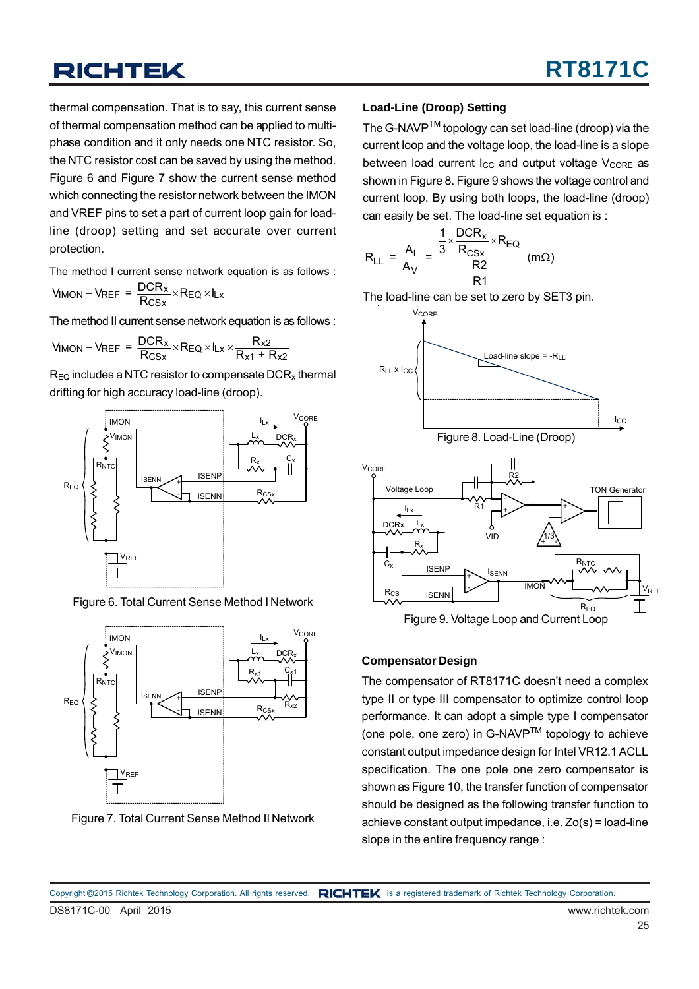thermal compensation. That is to say, this current sense of thermal compensation method can be applied to multiphase condition and it only needs one NTC resistor. So, the NTC resistor cost can be saved by using the method. Figure 6 and Figure 7 show the current sense method which connecting the resistor network between the IMON and VREF pins to set a part of current loop gain for loadline (droop) setting and set accurate over current protection.

The method I current sense network equation is as follows :

$$
V_{IMON} - V_{REF} = \frac{DCR_x}{R_{CSx}} \times R_{EQ} \times I_{Lx}
$$

The method II current sense network equation is as follows :

$$
V_{IMON} - V_{REF} = \frac{DCR_x}{R_{CSx}} \times R_{EQ} \times I_{Lx} \times \frac{R_{x2}}{R_{x1} + R_{x2}}
$$

 $R_{EQ}$  includes a NTC resistor to compensate DCR<sub>x</sub> thermal drifting for high accuracy load-line (droop).



Figure 6. Total Current Sense Method I Network



Figure 7. Total Current Sense Method II Network

#### **Load-Line (Droop) Setting**

The G-NAVP<sup>™</sup> topology can set load-line (droop) via the current loop and the voltage loop, the load-line is a slope between load current  $I_{CC}$  and output voltage  $V_{CORF}$  as shown in Figure 8. Figure 9 shows the voltage control and current loop. By using both loops, the load-line (droop) can easily be set. The load-line set equation is :

$$
R_{LL} = \frac{A_I}{A_V} = \frac{\frac{1}{3} \times \frac{DCR_x}{R_{CSx}} \times R_{EQ}}{\frac{R2}{R1}} \text{ (m}\Omega\text{)}
$$

The load-line can be set to zero by SET3 pin.





#### **Compensator Design**

The compensator of RT8171C doesn't need a complex type II or type III compensator to optimize control loop performance. It can adopt a simple type I compensator (one pole, one zero) in G-NAVPTM topology to achieve constant output impedance design for Intel VR12.1 ACLL specification. The one pole one zero compensator is shown as Figure 10, the transfer function of compensator should be designed as the following transfer function to achieve constant output impedance, i.e. Zo(s) = load-line slope in the entire frequency range :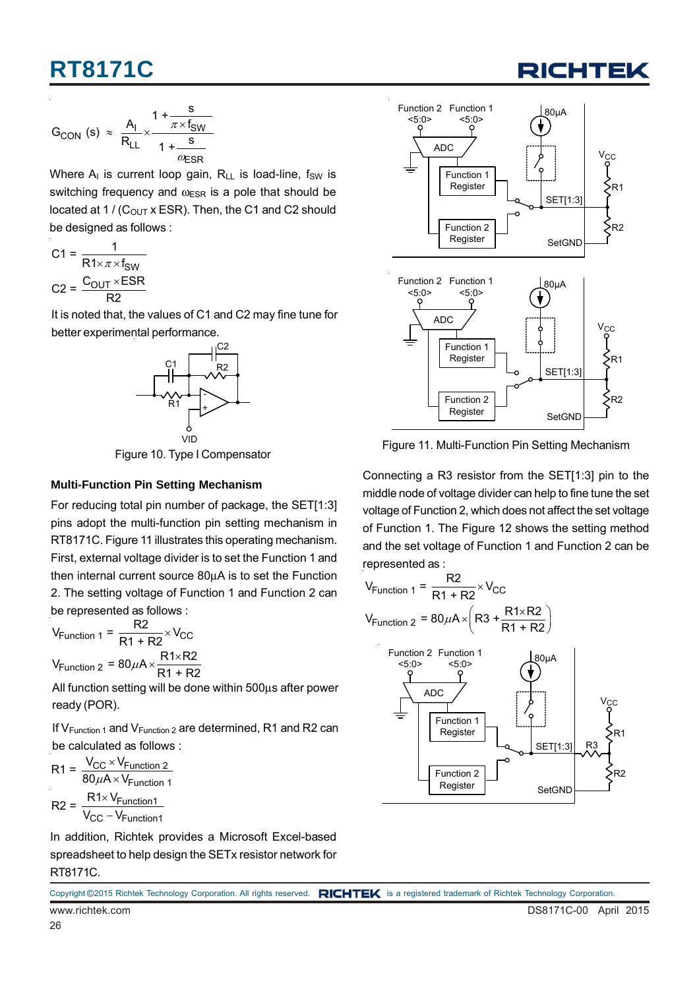

$$
G_{CON} (s) \approx \frac{A_{I}}{R_{LL}} \times \frac{1 + \frac{s}{\pi \times f_{SW}}}{1 + \frac{s}{\omega_{ESR}}}
$$

Where  $A_{I}$  is current loop gain,  $R_{II}$  is load-line, fsw is switching frequency and  $\omega_{ESR}$  is a pole that should be located at 1 /  $(C_{OUT}$  x ESR). Then, the C1 and C2 should be designed as follows :

$$
C1 = \frac{1}{R1 \times \pi \times f_{SW}}
$$

$$
C2 = \frac{C_{OUT} \times ESR}{R2}
$$

It is noted that, the values of C1 and C2 may fine tune for better experimental performance.



Figure 10. Type I Compensator

#### **Multi-Function Pin Setting Mechanism**

For reducing total pin number of package, the SET[1:3] pins adopt the multi-function pin setting mechanism in RT8171C. Figure 11 illustrates this operating mechanism. First, external voltage divider is to set the Function 1 and then internal current source 80μA is to set the Function 2. The setting voltage of Function 1 and Function 2 can be represented as follows :

 $V_{\text{Function 1}} = \frac{R2}{R1 + R2} \times V_{\text{CC}}$  $V_{\text{Function 2}} = 80 \mu\text{A} \times \frac{\text{R1} \times \text{R2}}{\text{R1} + \text{R2}}$  $\times$  $\mu$ A $\times \frac{R1\times}{R1}$ 

All function setting will be done within 500μs after power ready (POR).

If  $V_{Function 1}$  and  $V_{Function 2}$  are determined, R1 and R2 can be calculated as follows :

$$
R1 = \frac{V_{CC} \times V_{Function\ 2}}{80 \mu A \times V_{Function\ 1}}
$$

$$
R2 = \frac{R1 \times V_{Function\ 1}}{V_{CC} - V_{Function1}}
$$

In addition, Richtek provides a Microsoft Excel-based spreadsheet to help design the SETx resistor network for RT8171C.



Figure 11. Multi-Function Pin Setting Mechanism

Connecting a R3 resistor from the SET[1:3] pin to the middle node of voltage divider can help to fine tune the set voltage of Function 2, which does not affect the set voltage of Function 1. The Figure 12 shows the setting method and the set voltage of Function 1 and Function 2 can be represented as :

$$
V_{\text{Function 1}} = \frac{R2}{R1 + R2} \times V_{\text{CC}}
$$

$$
V_{\text{Function 2}} = 80 \,\mu\text{A} \times \left(R3 + \frac{R1 \times R2}{R1 + R2}\right)
$$

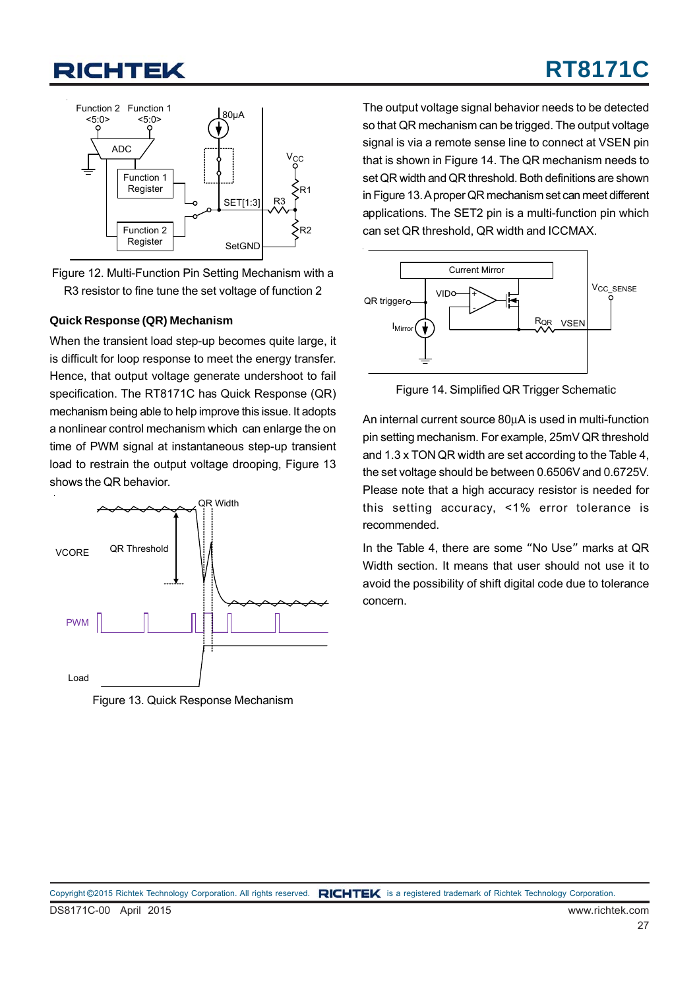



Figure 12. Multi-Function Pin Setting Mechanism with a R3 resistor to fine tune the set voltage of function 2

#### **Quick Response (QR) Mechanism**

When the transient load step-up becomes quite large, it is difficult for loop response to meet the energy transfer. Hence, that output voltage generate undershoot to fail specification. The RT8171C has Quick Response (QR) mechanism being able to help improve this issue. It adopts a nonlinear control mechanism which can enlarge the on time of PWM signal at instantaneous step-up transient load to restrain the output voltage drooping, Figure 13 shows the QR behavior.



Figure 13. Quick Response Mechanism

The output voltage signal behavior needs to be detected so that QR mechanism can be trigged. The output voltage signal is via a remote sense line to connect at VSEN pin that is shown in Figure 14. The QR mechanism needs to set QR width and QR threshold. Both definitions are shown in Figure 13. A proper QR mechanism set can meet different applications. The SET2 pin is a multi-function pin which can set QR threshold, QR width and ICCMAX.



Figure 14. Simplified QR Trigger Schematic

An internal current source 80μA is used in multi-function pin setting mechanism. For example, 25mV QR threshold and 1.3 x TON QR width are set according to the Table 4, the set voltage should be between 0.6506V and 0.6725V. Please note that a high accuracy resistor is needed for this setting accuracy, <1% error tolerance is recommended.

In the Table 4, there are some "No Use" marks at QR Width section. It means that user should not use it to avoid the possibility of shift digital code due to tolerance concern.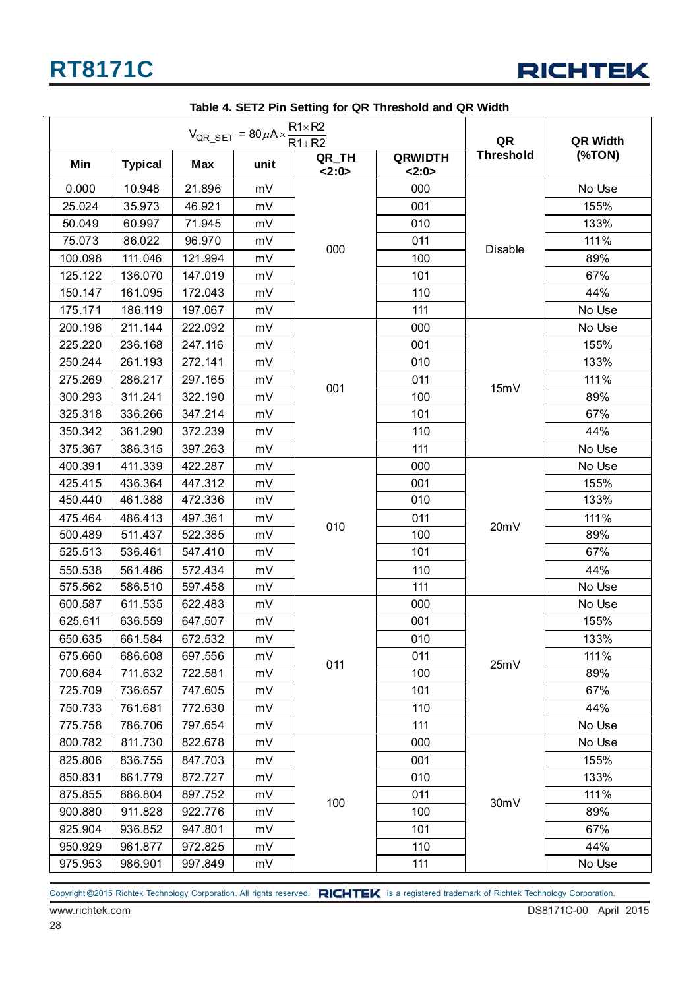

|         |                | QR         | QR Width                                                             |               |                        |                  |        |
|---------|----------------|------------|----------------------------------------------------------------------|---------------|------------------------|------------------|--------|
| Min     | <b>Typical</b> | <b>Max</b> | $V_{QR\_SET} = 80 \mu A \times \frac{R1 \times R2}{R1 + R2}$<br>unit | QR_TH<br>2:0> | <b>QRWIDTH</b><br>2:0> | <b>Threshold</b> | (%TON) |
| 0.000   | 10.948         | 21.896     | mV                                                                   |               | 000                    |                  | No Use |
| 25.024  | 35.973         | 46.921     | mV                                                                   |               | 001                    |                  | 155%   |
| 50.049  | 60.997         | 71.945     | mV                                                                   |               | 010                    |                  | 133%   |
| 75.073  | 86.022         | 96.970     | mV                                                                   |               | 011                    |                  | 111%   |
| 100.098 | 111.046        | 121.994    | mV                                                                   | 000           | 100                    | Disable          | 89%    |
| 125.122 | 136.070        | 147.019    | mV                                                                   |               | 101                    |                  | 67%    |
| 150.147 | 161.095        | 172.043    | mV                                                                   |               | 110                    |                  | 44%    |
| 175.171 | 186.119        | 197.067    | mV                                                                   |               | 111                    |                  | No Use |
| 200.196 | 211.144        | 222.092    | mV                                                                   |               | 000                    |                  | No Use |
| 225.220 | 236.168        | 247.116    | mV                                                                   |               | 001                    |                  | 155%   |
| 250.244 | 261.193        | 272.141    | mV                                                                   |               | 010                    |                  | 133%   |
| 275.269 | 286.217        | 297.165    | mV                                                                   |               | 011                    |                  | 111%   |
| 300.293 | 311.241        | 322.190    | mV                                                                   | 001           | 100                    | 15mV             | 89%    |
| 325.318 | 336.266        | 347.214    | mV                                                                   |               | 101                    |                  | 67%    |
| 350.342 | 361.290        | 372.239    | mV                                                                   |               | 110                    |                  | 44%    |
| 375.367 | 386.315        | 397.263    | mV                                                                   |               | 111                    |                  | No Use |
| 400.391 | 411.339        | 422.287    | mV                                                                   |               | 000                    |                  | No Use |
| 425.415 | 436.364        | 447.312    | mV                                                                   |               | 001                    |                  | 155%   |
| 450.440 | 461.388        | 472.336    | mV                                                                   |               | 010                    |                  | 133%   |
| 475.464 | 486.413        | 497.361    | mV                                                                   | 010           | 011                    | 20mV             | 111%   |
| 500.489 | 511.437        | 522.385    | mV                                                                   |               | 100                    |                  | 89%    |
| 525.513 | 536.461        | 547.410    | mV                                                                   |               | 101                    |                  | 67%    |
| 550.538 | 561.486        | 572.434    | mV                                                                   |               | 110                    |                  | 44%    |
| 575.562 | 586.510        | 597.458    | mV                                                                   |               | 111                    |                  | No Use |
| 600.587 | 611.535        | 622.483    | mV                                                                   |               | 000                    |                  | No Use |
| 625.611 | 636.559        | 647.507    | mV                                                                   |               | 001                    |                  | 155%   |
| 650.635 | 661.584        | 672.532    | mV                                                                   |               | 010                    |                  | 133%   |
| 675.660 | 686.608        | 697.556    | mV                                                                   | 011           | 011                    | 25mV             | 111%   |
| 700.684 | 711.632        | 722.581    | mV                                                                   |               | 100                    |                  | 89%    |
| 725.709 | 736.657        | 747.605    | mV                                                                   |               | 101                    |                  | 67%    |
| 750.733 | 761.681        | 772.630    | mV                                                                   |               | 110                    |                  | 44%    |
| 775.758 | 786.706        | 797.654    | mV                                                                   |               | 111                    |                  | No Use |
| 800.782 | 811.730        | 822.678    | mV                                                                   |               | 000                    |                  | No Use |
| 825.806 | 836.755        | 847.703    | mV                                                                   |               | 001                    |                  | 155%   |
| 850.831 | 861.779        | 872.727    | mV                                                                   |               | 010                    |                  | 133%   |
| 875.855 | 886.804        | 897.752    | mV                                                                   | 100           | 011                    | 30mV             | 111%   |
| 900.880 | 911.828        | 922.776    | mV                                                                   |               | 100                    |                  | 89%    |
| 925.904 | 936.852        | 947.801    | mV                                                                   |               | 101                    |                  | 67%    |
| 950.929 | 961.877        | 972.825    | mV                                                                   |               | 110                    |                  | 44%    |
| 975.953 | 986.901        | 997.849    | mV                                                                   |               | 111                    |                  | No Use |

#### **Table 4. SET2 Pin Setting for QR Threshold and QR Width**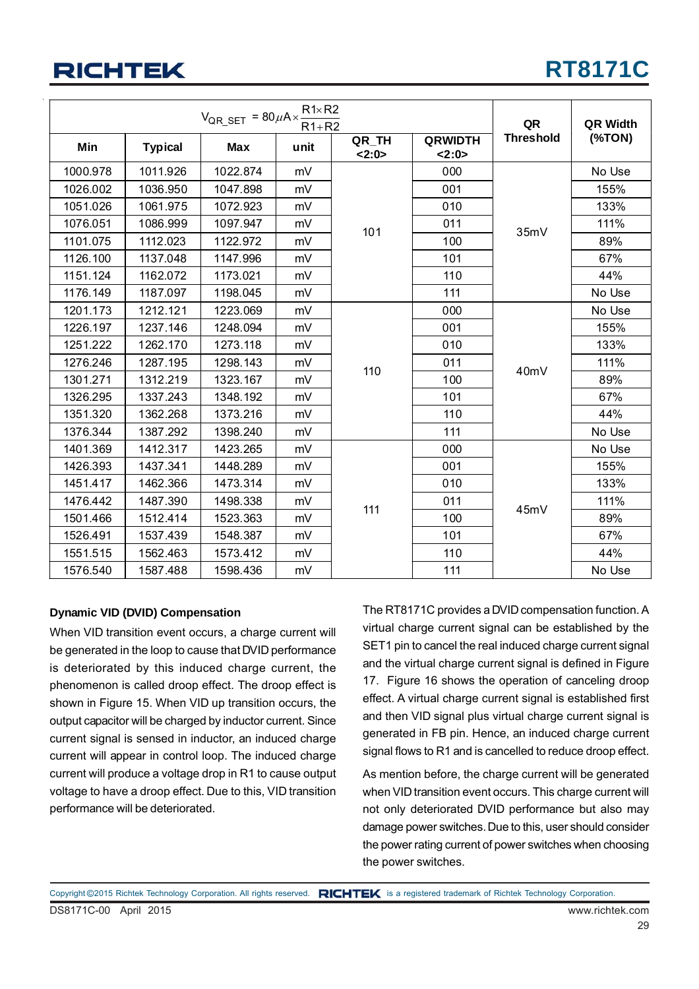## **RT8171C**

|          | $V_{QR\_SET} = 80 \mu A \times \frac{1}{2}$ |            | QR   | QR Width      |                       |                   |          |
|----------|---------------------------------------------|------------|------|---------------|-----------------------|-------------------|----------|
| Min      | <b>Typical</b>                              | <b>Max</b> | unit | QR TH<br>2:0> | <b>QRWIDTH</b><br>2:0 | <b>Threshold</b>  | $(*TON)$ |
| 1000.978 | 1011.926                                    | 1022.874   | mV   |               | 000                   |                   | No Use   |
| 1026.002 | 1036.950                                    | 1047.898   | mV   |               | 001                   |                   | 155%     |
| 1051.026 | 1061.975                                    | 1072.923   | mV   |               | 010                   |                   | 133%     |
| 1076.051 | 1086.999                                    | 1097.947   | mV   | 101           | 011                   | 35mV              | 111%     |
| 1101.075 | 1112.023                                    | 1122.972   | mV   |               | 100                   |                   | 89%      |
| 1126.100 | 1137.048                                    | 1147.996   | mV   |               | 101                   |                   | 67%      |
| 1151.124 | 1162.072                                    | 1173.021   | mV   |               | 110                   |                   | 44%      |
| 1176.149 | 1187.097                                    | 1198.045   | mV   |               | 111                   |                   | No Use   |
| 1201.173 | 1212.121                                    | 1223.069   | mV   |               | 000                   |                   | No Use   |
| 1226.197 | 1237.146                                    | 1248.094   | mV   |               | 001                   |                   | 155%     |
| 1251.222 | 1262.170                                    | 1273.118   | mV   | 010           |                       | 133%              |          |
| 1276.246 | 1287.195                                    | 1298.143   | mV   | 110           | 011                   |                   | 111%     |
| 1301.271 | 1312.219                                    | 1323.167   | mV   |               | 100                   | 40 <sub>m</sub> V | 89%      |
| 1326.295 | 1337.243                                    | 1348.192   | mV   |               | 101                   |                   | 67%      |
| 1351.320 | 1362.268                                    | 1373.216   | mV   |               | 110                   |                   | 44%      |
| 1376.344 | 1387.292                                    | 1398.240   | mV   |               | 111                   |                   | No Use   |
| 1401.369 | 1412.317                                    | 1423.265   | mV   |               | 000                   |                   | No Use   |
| 1426.393 | 1437.341                                    | 1448.289   | mV   |               | 001                   |                   | 155%     |
| 1451.417 | 1462.366                                    | 1473.314   | mV   |               | 010                   |                   | 133%     |
| 1476.442 | 1487.390                                    | 1498.338   | mV   | 111           | 011                   |                   | 111%     |
| 1501.466 | 1512.414                                    | 1523.363   | mV   |               | 100                   | 45mV              | 89%      |
| 1526.491 | 1537.439                                    | 1548.387   | mV   |               | 101                   |                   | 67%      |
| 1551.515 | 1562.463                                    | 1573.412   | mV   |               | 110                   |                   | 44%      |
| 1576.540 | 1587.488                                    | 1598.436   | mV   |               | 111                   |                   | No Use   |

#### **Dynamic VID (DVID) Compensation**

When VID transition event occurs, a charge current will be generated in the loop to cause that DVID performance is deteriorated by this induced charge current, the phenomenon is called droop effect. The droop effect is shown in Figure 15. When VID up transition occurs, the output capacitor will be charged by inductor current. Since current signal is sensed in inductor, an induced charge current will appear in control loop. The induced charge current will produce a voltage drop in R1 to cause output voltage to have a droop effect. Due to this, VID transition performance will be deteriorated.

The RT8171C provides a DVID compensation function. A virtual charge current signal can be established by the SET1 pin to cancel the real induced charge current signal and the virtual charge current signal is defined in Figure 17. Figure 16 shows the operation of canceling droop effect. A virtual charge current signal is established first and then VID signal plus virtual charge current signal is generated in FB pin. Hence, an induced charge current signal flows to R1 and is cancelled to reduce droop effect.

As mention before, the charge current will be generated when VID transition event occurs. This charge current will not only deteriorated DVID performance but also may damage power switches. Due to this, user should consider the power rating current of power switches when choosing the power switches.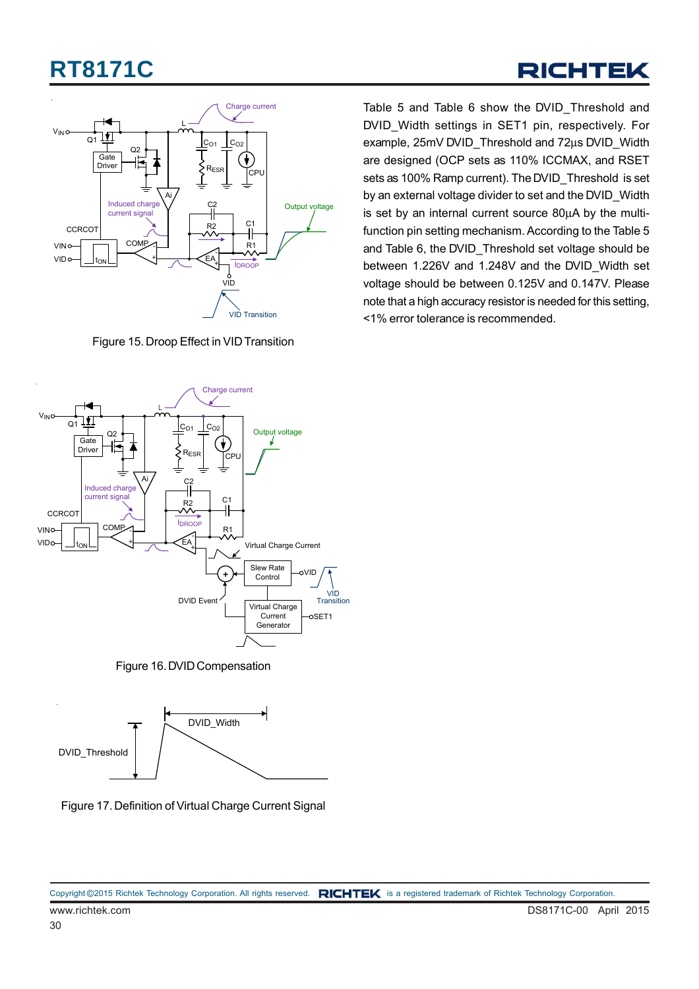### RICHTEK



Figure 15. Droop Effect in VID Transition



Figure 16. DVID Compensation



Figure 17. Definition of Virtual Charge Current Signal

Table 5 and Table 6 show the DVID\_Threshold and DVID Width settings in SET1 pin, respectively. For example, 25mV DVID\_Threshold and 72μs DVID\_Width are designed (OCP sets as 110% ICCMAX, and RSET sets as 100% Ramp current). The DVID Threshold is set by an external voltage divider to set and the DVID Width is set by an internal current source 80μA by the multifunction pin setting mechanism. According to the Table 5 and Table 6, the DVID\_Threshold set voltage should be between 1.226V and 1.248V and the DVID\_Width set voltage should be between 0.125V and 0.147V. Please note that a high accuracy resistor is needed for this setting, <1% error tolerance is recommended.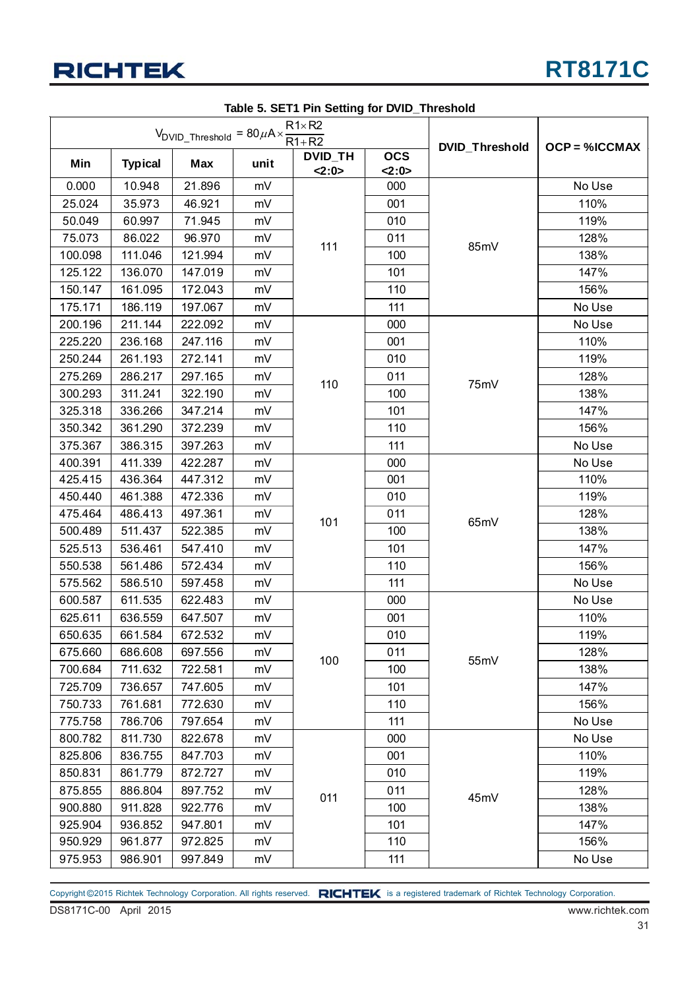

|         |                | $V_{\text{DVID\_Threshold}} = 80 \mu A \times \frac{R1 \times R2}{R1 + R2}$ | $1800$ $0.001111$ m $00$ and $10100$ $0.0000$ |                        |                    |                       |                      |
|---------|----------------|-----------------------------------------------------------------------------|-----------------------------------------------|------------------------|--------------------|-----------------------|----------------------|
| Min     | <b>Typical</b> | <b>Max</b>                                                                  | unit                                          | <b>DVID_TH</b><br>2:0> | <b>OCS</b><br>2:0> | <b>DVID_Threshold</b> | <b>OCP = %ICCMAX</b> |
| 0.000   | 10.948         | 21.896                                                                      | mV                                            |                        | 000                |                       | No Use               |
| 25.024  | 35.973         | 46.921                                                                      | mV                                            | 001                    |                    |                       | 110%                 |
| 50.049  | 60.997         | 71.945                                                                      | mV                                            |                        | 010                |                       | 119%                 |
| 75.073  | 86.022         | 96.970                                                                      | mV                                            |                        | 011                |                       | 128%                 |
| 100.098 | 111.046        | 121.994                                                                     | mV                                            | 111                    | 100                | 85mV                  | 138%                 |
| 125.122 | 136.070        | 147.019                                                                     | mV                                            |                        | 101                |                       | 147%                 |
| 150.147 | 161.095        | 172.043                                                                     | mV                                            |                        | 110                |                       | 156%                 |
| 175.171 | 186.119        | 197.067                                                                     | mV                                            |                        | 111                |                       | No Use               |
| 200.196 | 211.144        | 222.092                                                                     | mV                                            |                        | 000                |                       | No Use               |
| 225.220 | 236.168        | 247.116                                                                     | mV                                            |                        | 001                |                       | 110%                 |
| 250.244 | 261.193        | 272.141                                                                     | mV                                            |                        | 010                |                       | 119%                 |
| 275.269 | 286.217        | 297.165                                                                     | mV                                            | 110                    | 011                |                       | 128%                 |
| 300.293 | 311.241        | 322.190                                                                     | mV                                            |                        | 100                | 75mV                  | 138%                 |
| 325.318 | 336.266        | 347.214                                                                     | mV                                            |                        | 101                |                       | 147%                 |
| 350.342 | 361.290        | 372.239                                                                     | mV                                            |                        | 110                |                       | 156%                 |
| 375.367 | 386.315        | 397.263                                                                     | mV                                            |                        | 111                |                       | No Use               |
| 400.391 | 411.339        | 422.287                                                                     | mV                                            |                        | 000                |                       | No Use               |
| 425.415 | 436.364        | 447.312                                                                     | mV                                            |                        | 001                |                       | 110%                 |
| 450.440 | 461.388        | 472.336                                                                     | mV                                            |                        | 010                |                       | 119%                 |
| 475.464 | 486.413        | 497.361                                                                     | mV                                            | 101                    | 011                | 65mV                  | 128%                 |
| 500.489 | 511.437        | 522.385                                                                     | mV                                            |                        | 100                |                       | 138%                 |
| 525.513 | 536.461        | 547.410                                                                     | mV                                            |                        | 101                |                       | 147%                 |
| 550.538 | 561.486        | 572.434                                                                     | mV                                            |                        | 110                |                       | 156%                 |
| 575.562 | 586.510        | 597.458                                                                     | mV                                            |                        | 111                |                       | No Use               |
| 600.587 | 611.535        | 622.483                                                                     | mV                                            |                        | 000                |                       | No Use               |
| 625.611 | 636.559        | 647.507                                                                     | mV                                            |                        | 001                |                       | 110%                 |
| 650.635 | 661.584        | 672.532                                                                     | mV                                            |                        | 010                |                       | 119%                 |
| 675.660 | 686.608        | 697.556                                                                     | mV                                            | 100                    | 011                | 55mV                  | 128%                 |
| 700.684 | 711.632        | 722.581                                                                     | mV                                            |                        | 100                |                       | 138%                 |
| 725.709 | 736.657        | 747.605                                                                     | mV                                            |                        | 101                |                       | 147%                 |
| 750.733 | 761.681        | 772.630                                                                     | mV                                            |                        | 110                |                       | 156%                 |
| 775.758 | 786.706        | 797.654                                                                     | mV                                            |                        | 111                |                       | No Use               |
| 800.782 | 811.730        | 822.678                                                                     | mV                                            |                        | 000                |                       | No Use               |
| 825.806 | 836.755        | 847.703                                                                     | mV                                            |                        | 001                |                       | 110%                 |
| 850.831 | 861.779        | 872.727                                                                     | mV                                            |                        | 010                |                       | 119%                 |
| 875.855 | 886.804        | 897.752                                                                     | mV                                            | 011                    | 011                | 45mV                  | 128%                 |
| 900.880 | 911.828        | 922.776                                                                     | mV                                            |                        | 100                |                       | 138%                 |
| 925.904 | 936.852        | 947.801                                                                     | mV                                            |                        | 101                |                       | 147%                 |
| 950.929 | 961.877        | 972.825                                                                     | mV                                            |                        | 110                |                       | 156%                 |
| 975.953 | 986.901        | 997.849                                                                     | mV                                            |                        | 111                |                       | No Use               |

**Table 5. SET1 Pin Setting for DVID\_Threshold**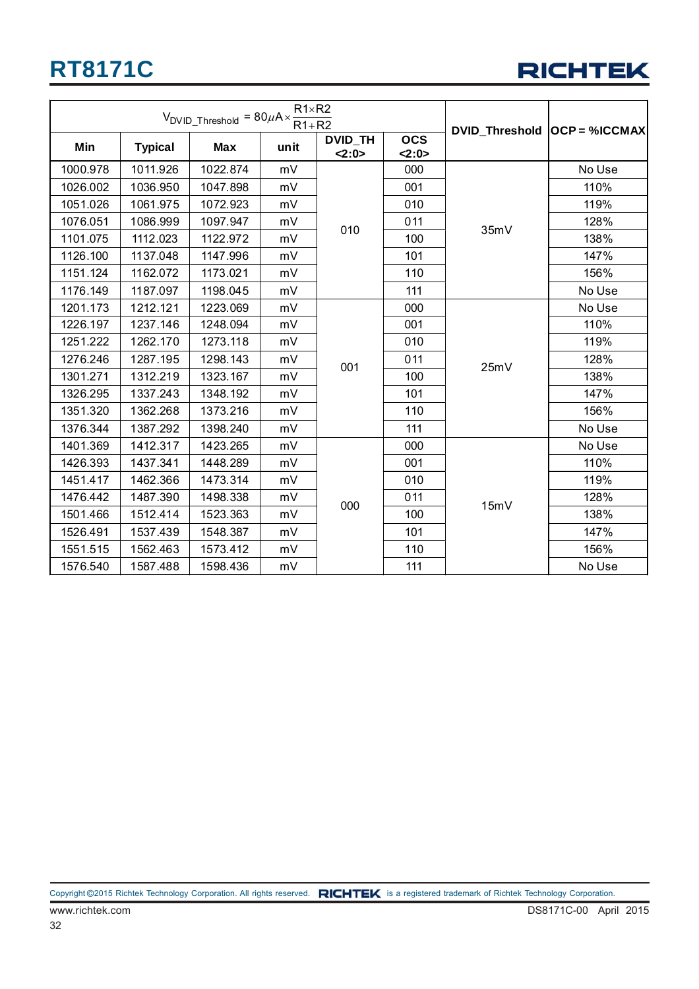

|          |                | $V_{DVID\_Threshold} = 80 \mu A \times \frac{111011 E}{R1 + R2}$ |      | DVID Threshold   OCP = %ICCMAX |            |      |        |
|----------|----------------|------------------------------------------------------------------|------|--------------------------------|------------|------|--------|
| Min      | <b>Typical</b> | <b>Max</b>                                                       | unit | <b>DVID_TH</b>                 | <b>OCS</b> |      |        |
|          |                |                                                                  |      | 2:0>                           | 2:0>       |      |        |
| 1000.978 | 1011.926       | 1022.874                                                         | mV   |                                | 000        |      | No Use |
| 1026.002 | 1036.950       | 1047.898                                                         | mV   |                                | 001        |      | 110%   |
| 1051.026 | 1061.975       | 1072.923                                                         | mV   |                                | 010        | 119% |        |
| 1076.051 | 1086.999       | 1097.947                                                         | mV   | 010                            | 011        | 35mV | 128%   |
| 1101.075 | 1112.023       | 1122.972                                                         | mV   |                                | 100        |      | 138%   |
| 1126.100 | 1137.048       | 1147.996                                                         | mV   |                                | 101        |      | 147%   |
| 1151.124 | 1162.072       | 1173.021                                                         | mV   |                                | 110        |      | 156%   |
| 1176.149 | 1187.097       | 1198.045                                                         | mV   |                                | 111        |      | No Use |
| 1201.173 | 1212.121       | 1223.069                                                         | mV   |                                | 000        |      | No Use |
| 1226.197 | 1237.146       | 1248.094                                                         | mV   |                                | 001        |      | 110%   |
| 1251.222 | 1262.170       | 1273.118                                                         | mV   |                                | 010        | 25mV | 119%   |
| 1276.246 | 1287.195       | 1298.143                                                         | mV   | 001                            | 011        |      | 128%   |
| 1301.271 | 1312.219       | 1323.167                                                         | mV   |                                | 100        |      | 138%   |
| 1326.295 | 1337.243       | 1348.192                                                         | mV   |                                | 101        |      | 147%   |
| 1351.320 | 1362.268       | 1373.216                                                         | mV   |                                | 110        |      | 156%   |
| 1376.344 | 1387.292       | 1398.240                                                         | mV   |                                | 111        |      | No Use |
| 1401.369 | 1412.317       | 1423.265                                                         | mV   |                                | 000        |      | No Use |
| 1426.393 | 1437.341       | 1448.289                                                         | mV   |                                | 001        |      | 110%   |
| 1451.417 | 1462.366       | 1473.314                                                         | mV   |                                | 010        |      | 119%   |
| 1476.442 | 1487.390       | 1498.338                                                         | mV   | 000                            | 011        | 15mV | 128%   |
| 1501.466 | 1512.414       | 1523.363                                                         | mV   |                                | 100        |      | 138%   |
| 1526.491 | 1537.439       | 1548.387                                                         | mV   |                                | 101        |      | 147%   |
| 1551.515 | 1562.463       | 1573.412                                                         | mV   |                                | 110        |      | 156%   |
| 1576.540 | 1587.488       | 1598.436                                                         | mV   |                                | 111        |      | No Use |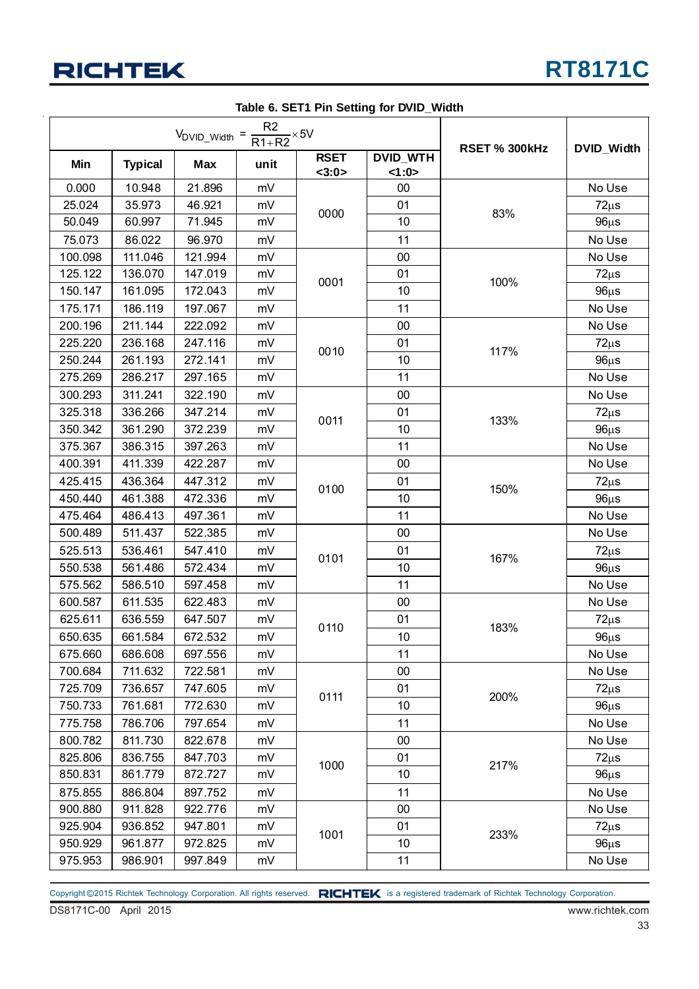

|         |                | $V_{DVID\_Width} = \frac{R2}{R1 + R2} \times 5V$ |      | DVID_Width           |                          |                      |           |
|---------|----------------|--------------------------------------------------|------|----------------------|--------------------------|----------------------|-----------|
| Min     | <b>Typical</b> | <b>Max</b>                                       | unit | <b>RSET</b><br><3:0> | <b>DVID_WTH</b><br><1:0> | <b>RSET % 300kHz</b> |           |
| 0.000   | 10.948         | 21.896                                           | mV   |                      | 00                       |                      | No Use    |
| 25.024  | 35.973         | 46.921                                           | mV   |                      | 01                       |                      | $72\mu s$ |
| 50.049  | 60.997         | 71.945                                           | mV   | 0000                 | 10                       | 83%                  | $96\mu s$ |
| 75.073  | 86.022         | 96.970                                           | mV   |                      | 11                       |                      | No Use    |
| 100.098 | 111.046        | 121.994                                          | mV   |                      | 00                       |                      | No Use    |
| 125.122 | 136.070        | 147.019                                          | mV   |                      | 01                       |                      | $72\mu s$ |
| 150.147 | 161.095        | 172.043                                          | mV   | 0001<br>10           | 100%                     | $96\mu s$            |           |
| 175.171 | 186.119        | 197.067                                          | mV   |                      | 11                       |                      | No Use    |
| 200.196 | 211.144        | 222.092                                          | mV   |                      | 00                       |                      | No Use    |
| 225.220 | 236.168        | 247.116                                          | mV   | 0010                 | 01                       | 117%                 | $72\mu s$ |
| 250.244 | 261.193        | 272.141                                          | mV   |                      | 10                       |                      | $96\mu s$ |
| 275.269 | 286.217        | 297.165                                          | mV   |                      | 11                       |                      | No Use    |
| 300.293 | 311.241        | 322.190                                          | mV   |                      | 00                       |                      | No Use    |
| 325.318 | 336.266        | 347.214                                          | mV   | 0011                 | 01                       | 133%                 | $72\mu s$ |
| 350.342 | 361.290        | 372.239                                          | mV   |                      | 10                       |                      | $96\mu s$ |
| 375.367 | 386.315        | 397.263                                          | mV   |                      | 11                       |                      | No Use    |
| 400.391 | 411.339        | 422.287                                          | mV   | 0100                 | $00\,$                   | 150%                 | No Use    |
| 425.415 | 436.364        | 447.312                                          | mV   |                      | 01                       |                      | $72\mu s$ |
| 450.440 | 461.388        | 472.336                                          | mV   |                      | 10                       |                      | $96\mu s$ |
| 475.464 | 486.413        | 497.361                                          | mV   |                      | 11                       |                      | No Use    |
| 500.489 | 511.437        | 522.385                                          | mV   |                      | 00                       |                      | No Use    |
| 525.513 | 536.461        | 547.410                                          | mV   | 0101                 | 01                       | 167%                 | $72\mu s$ |
| 550.538 | 561.486        | 572.434                                          | mV   |                      | 10                       |                      | $96\mu s$ |
| 575.562 | 586.510        | 597.458                                          | mV   |                      | 11                       |                      | No Use    |
| 600.587 | 611.535        | 622.483                                          | mV   |                      | 00                       |                      | No Use    |
| 625.611 | 636.559        | 647.507                                          | mV   | 0110                 | 01                       | 183%                 | $72\mu s$ |
| 650.635 | 661.584        | 672.532                                          | mV   |                      | 10                       |                      | $96\mu s$ |
| 675.660 | 686.608        | 697.556                                          | mV   |                      | 11                       |                      | No Use    |
| 700.684 | 711.632        | 722.581                                          | mV   |                      | 00                       |                      | No Use    |
| 725.709 | 736.657        | 747.605                                          | mV   | 0111                 | 01                       | 200%                 | $72\mu s$ |
| 750.733 | 761.681        | 772.630                                          | mV   |                      | 10                       |                      | $96\mu s$ |
| 775.758 | 786.706        | 797.654                                          | mV   |                      | 11                       |                      | No Use    |
| 800.782 | 811.730        | 822.678                                          | mV   |                      | $00\,$                   |                      | No Use    |
| 825.806 | 836.755        | 847.703                                          | mV   | 1000                 | 01                       | 217%                 | $72\mu s$ |
| 850.831 | 861.779        | 872.727                                          | mV   |                      | 10                       |                      | $96\mu s$ |
| 875.855 | 886.804        | 897.752                                          | mV   |                      | 11                       |                      | No Use    |
| 900.880 | 911.828        | 922.776                                          | mV   |                      | 00                       |                      | No Use    |
| 925.904 | 936.852        | 947.801                                          | mV   | 1001                 | 01                       |                      | $72\mu s$ |
| 950.929 | 961.877        | 972.825                                          | mV   |                      | 10                       | 233%                 | $96\mu s$ |
| 975.953 | 986.901        | 997.849                                          | mV   |                      | 11                       |                      | No Use    |

**Table 6. SET1 Pin Setting for DVID\_Width**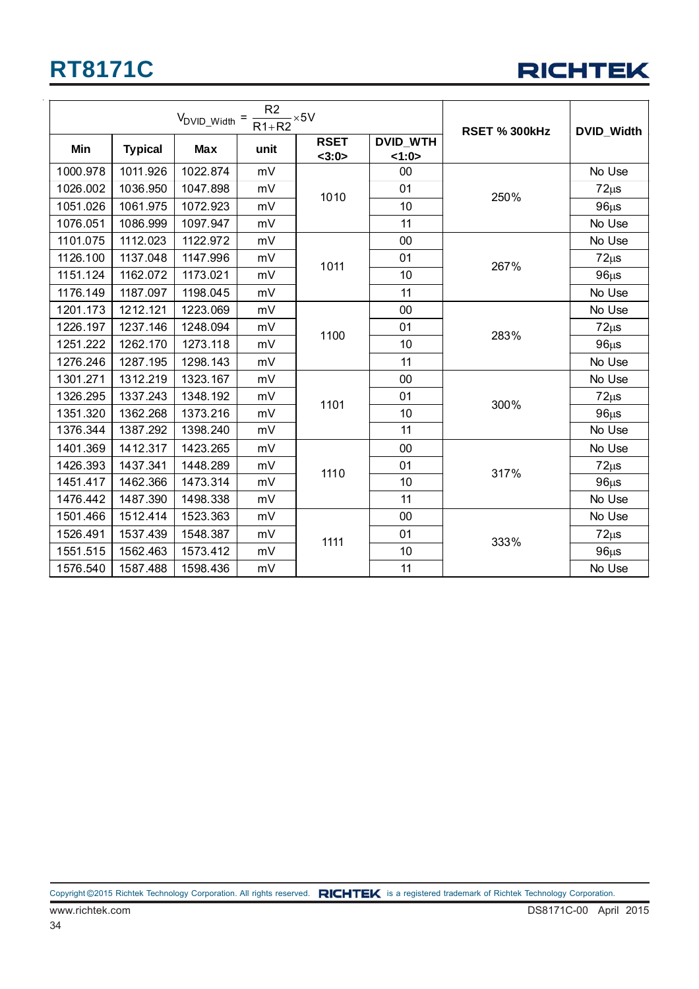

|          |                | $V_{\text{DVID\_Width}} = \frac{R2}{R1 + R2} \times 5V$ | <b>RSET % 300kHz</b> | DVID_Width                     |                         |           |           |
|----------|----------------|---------------------------------------------------------|----------------------|--------------------------------|-------------------------|-----------|-----------|
| Min      | <b>Typical</b> | Max                                                     | unit                 | <b>RSET</b><br><3:0>           | <b>DVID_WTH</b><br>1:0> |           |           |
| 1000.978 | 1011.926       | 1022.874                                                | mV                   |                                | 00                      |           | No Use    |
| 1026.002 | 1036.950       | 1047.898                                                | mV                   | 01<br>1010<br>250%<br>10<br>11 |                         | $72\mu s$ |           |
| 1051.026 | 1061.975       | 1072.923                                                | mV                   |                                |                         |           | $96\mu s$ |
| 1076.051 | 1086.999       | 1097.947                                                | mV                   |                                |                         |           | No Use    |
| 1101.075 | 1112.023       | 1122.972                                                | mV                   | 00<br>01<br>1011<br>10         |                         | No Use    |           |
| 1126.100 | 1137.048       | 1147.996                                                | mV                   |                                |                         |           | $72\mu s$ |
| 1151.124 | 1162.072       | 1173.021                                                | mV                   |                                |                         | 267%      | $96\mu s$ |
| 1176.149 | 1187.097       | 1198.045                                                | mV                   |                                | 11                      |           | No Use    |
| 1201.173 | 1212.121       | 1223.069                                                | mV                   |                                | 00                      | 283%      | No Use    |
| 1226.197 | 1237.146       | 1248.094                                                | mV                   | 1100                           | 01                      |           | $72\mu s$ |
| 1251.222 | 1262.170       | 1273.118                                                | mV                   |                                | 10                      |           | $96\mu s$ |
| 1276.246 | 1287.195       | 1298.143                                                | mV                   |                                | 11                      |           | No Use    |
| 1301.271 | 1312.219       | 1323.167                                                | mV                   |                                | 00                      |           | No Use    |
| 1326.295 | 1337.243       | 1348.192                                                | mV                   | 1101                           | 01                      | 300%      | $72\mu s$ |
| 1351.320 | 1362.268       | 1373.216                                                | mV                   |                                | 10                      |           | $96\mu s$ |
| 1376.344 | 1387.292       | 1398.240                                                | mV                   |                                | 11                      |           | No Use    |
| 1401.369 | 1412.317       | 1423.265                                                | mV                   |                                | 00                      |           | No Use    |
| 1426.393 | 1437.341       | 1448.289                                                | mV                   | 1110                           | 01                      | 317%      | $72\mu s$ |
| 1451.417 | 1462.366       | 1473.314                                                | mV                   |                                | 10                      |           | $96\mu s$ |
| 1476.442 | 1487.390       | 1498.338                                                | mV                   |                                | 11                      |           | No Use    |
| 1501.466 | 1512.414       | 1523.363                                                | mV                   |                                | $00\,$                  |           | No Use    |
| 1526.491 | 1537.439       | 1548.387                                                | mV                   | 1111                           | 01                      | 333%      | $72\mu s$ |
| 1551.515 | 1562.463       | 1573.412                                                | mV                   |                                | 10                      |           | $96\mu s$ |
| 1576.540 | 1587.488       | 1598.436                                                | mV                   |                                | 11                      |           | No Use    |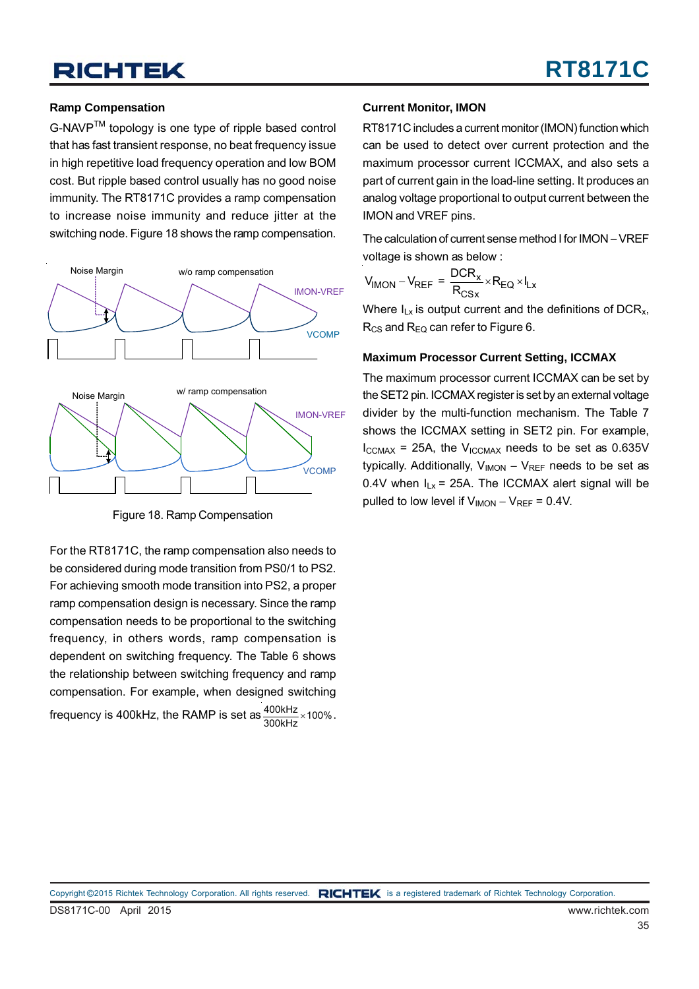#### **Ramp Compensation**

G-NAVPTM topology is one type of ripple based control that has fast transient response, no beat frequency issue in high repetitive load frequency operation and low BOM cost. But ripple based control usually has no good noise immunity. The RT8171C provides a ramp compensation to increase noise immunity and reduce jitter at the switching node. Figure 18 shows the ramp compensation.



Figure 18. Ramp Compensation

For the RT8171C, the ramp compensation also needs to be considered during mode transition from PS0/1 to PS2. For achieving smooth mode transition into PS2, a proper ramp compensation design is necessary. Since the ramp compensation needs to be proportional to the switching frequency, in others words, ramp compensation is dependent on switching frequency. The Table 6 shows the relationship between switching frequency and ramp compensation. For example, when designed switching frequency is 400kHz, the RAMP is set as  $\frac{400\text{kHz}}{300\text{kHz}} \times 100\%$  .

#### **Current Monitor, IMON**

RT8171C includes a current monitor (IMON) function which can be used to detect over current protection and the maximum processor current ICCMAX, and also sets a part of current gain in the load-line setting. It produces an analog voltage proportional to output current between the IMON and VREF pins.

The calculation of current sense method I for IMON – VREF voltage is shown as below :

$$
V_{\text{IMON}} - V_{\text{REF}} = \frac{\text{DCR}_{\text{x}}}{R_{\text{CSx}}} \times R_{\text{EQ}} \times I_{\text{Lx}}
$$

Where  $I_{Lx}$  is output current and the definitions of DCR<sub>x</sub>,  $R_{CS}$  and  $R_{EQ}$  can refer to Figure 6.

#### **Maximum Processor Current Setting, ICCMAX**

The maximum processor current ICCMAX can be set by the SET2 pin. ICCMAX register is set by an external voltage divider by the multi-function mechanism. The Table 7 shows the ICCMAX setting in SET2 pin. For example,  $I_{\text{CCMAX}}$  = 25A, the  $V_{\text{ICCMAX}}$  needs to be set as 0.635V typically. Additionally,  $V_{IMON} - V_{REF}$  needs to be set as 0.4V when  $I_{Lx}$  = 25A. The ICCMAX alert signal will be pulled to low level if  $V_{\text{IMON}} - V_{\text{REF}} = 0.4V$ .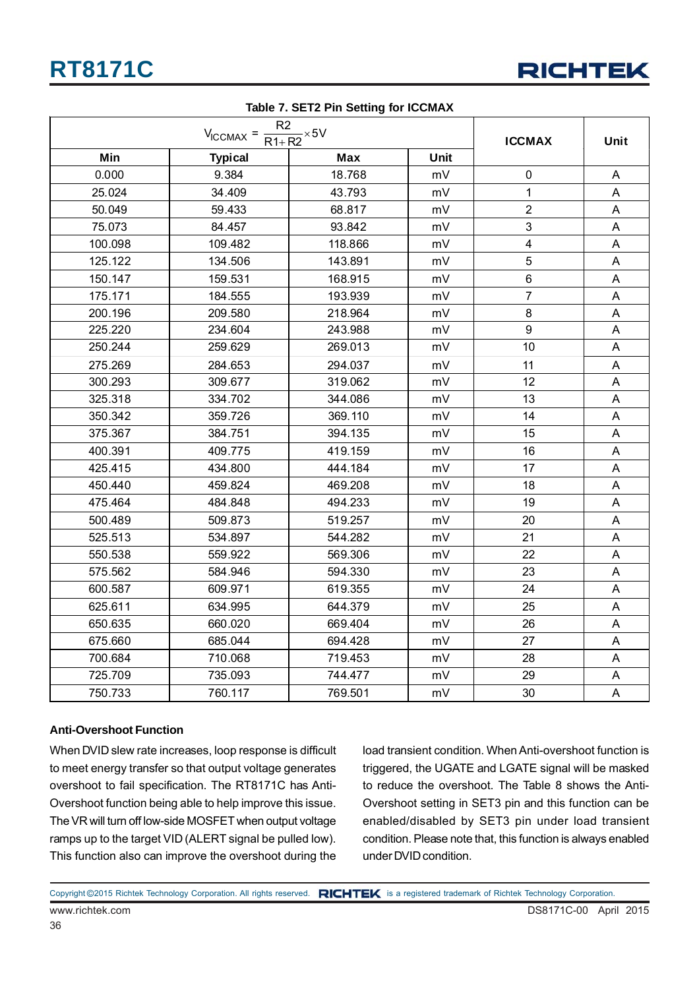

|         | <b>ICCMAX</b>                                                        | Unit       |             |                         |                           |
|---------|----------------------------------------------------------------------|------------|-------------|-------------------------|---------------------------|
| Min     | $V_{\text{ICCMAX}} = \frac{R2}{R1 + R2} \times 5V$<br><b>Typical</b> | <b>Max</b> | <b>Unit</b> |                         |                           |
| 0.000   | 9.384                                                                | 18.768     | mV          | $\pmb{0}$               | Α                         |
| 25.024  | 34.409                                                               | 43.793     | mV          | $\mathbf{1}$            | A                         |
| 50.049  | 59.433                                                               | 68.817     | mV          | $\overline{2}$          | A                         |
| 75.073  | 84.457                                                               | 93.842     | mV          | 3                       | A                         |
| 100.098 | 109.482                                                              | 118.866    | mV          | $\overline{\mathbf{4}}$ | A                         |
| 125.122 | 134.506                                                              | 143.891    | mV          | 5                       | A                         |
| 150.147 | 159.531                                                              | 168.915    | mV          | $\,6$                   | A                         |
| 175.171 | 184.555                                                              | 193.939    | mV          | $\overline{7}$          | A                         |
| 200.196 | 209.580                                                              | 218.964    | mV          | 8                       | A                         |
| 225.220 | 234.604                                                              | 243.988    | mV          | 9                       | A                         |
| 250.244 | 259.629                                                              | 269.013    | mV          | 10                      | A                         |
| 275.269 | 284.653                                                              | 294.037    | mV          | 11                      | Α                         |
| 300.293 | 309.677                                                              | 319.062    | mV          | 12                      | A                         |
| 325.318 | 334.702                                                              | 344.086    | mV          | 13                      | A                         |
| 350.342 | 359.726                                                              | 369.110    | mV          | 14                      | A                         |
| 375.367 | 384.751                                                              | 394.135    | mV          | 15                      | A                         |
| 400.391 | 409.775                                                              | 419.159    | mV          | 16                      | $\boldsymbol{\mathsf{A}}$ |
| 425.415 | 434.800                                                              | 444.184    | mV          | 17                      | A                         |
| 450.440 | 459.824                                                              | 469.208    | mV          | 18                      | Α                         |
| 475.464 | 484.848                                                              | 494.233    | mV          | 19                      | A                         |
| 500.489 | 509.873                                                              | 519.257    | mV          | 20                      | A                         |
| 525.513 | 534.897                                                              | 544.282    | mV          | 21                      | $\boldsymbol{\mathsf{A}}$ |
| 550.538 | 559.922                                                              | 569.306    | mV          | 22                      | A                         |
| 575.562 | 584.946                                                              | 594.330    | mV          | 23                      | A                         |
| 600.587 | 609.971                                                              | 619.355    | mV          | 24                      | A                         |
| 625.611 | 634.995                                                              | 644.379    | mV          | 25                      | A                         |
| 650.635 | 660.020                                                              | 669.404    | mV          | 26                      | $\mathsf A$               |
| 675.660 | 685.044                                                              | 694.428    | mV          | 27                      | $\boldsymbol{\mathsf{A}}$ |
| 700.684 | 710.068                                                              | 719.453    | mV          | 28                      | A                         |
| 725.709 | 735.093                                                              | 744.477    | mV          | 29                      | A                         |
| 750.733 | 760.117                                                              | 769.501    | mV          | 30                      | A                         |

#### **Table 7. SET2 Pin Setting for ICCMAX**

#### **Anti-Overshoot Function**

36

When DVID slew rate increases, loop response is difficult to meet energy transfer so that output voltage generates overshoot to fail specification. The RT8171C has Anti-Overshoot function being able to help improve this issue. The VR will turn off low-side MOSFET when output voltage ramps up to the target VID (ALERT signal be pulled low). This function also can improve the overshoot during the

load transient condition. When Anti-overshoot function is triggered, the UGATE and LGATE signal will be masked to reduce the overshoot. The Table 8 shows the Anti-Overshoot setting in SET3 pin and this function can be enabled/disabled by SET3 pin under load transient condition. Please note that, this function is always enabled under DVID condition.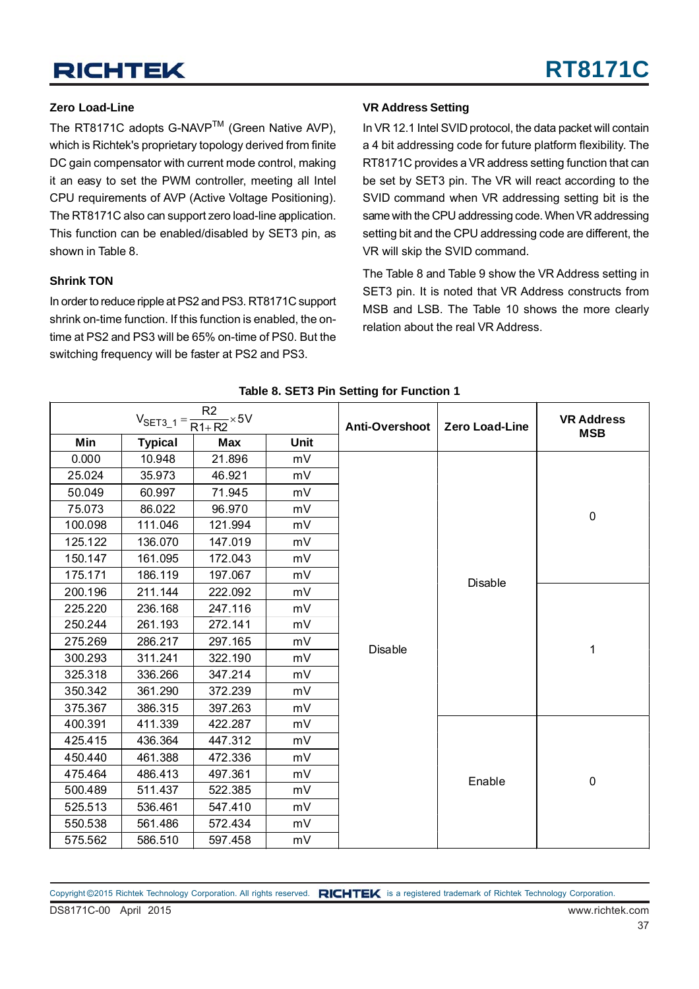#### **Zero Load-Line**

The RT8171C adopts G-NAVP™ (Green Native AVP), which is Richtek's proprietary topology derived from finite DC gain compensator with current mode control, making it an easy to set the PWM controller, meeting all Intel CPU requirements of AVP (Active Voltage Positioning). The RT8171C also can support zero load-line application. This function can be enabled/disabled by SET3 pin, as shown in Table 8.

#### **Shrink TON**

In order to reduce ripple at PS2 and PS3. RT8171C support shrink on-time function. If this function is enabled, the ontime at PS2 and PS3 will be 65% on-time of PS0. But the switching frequency will be faster at PS2 and PS3.

#### **VR Address Setting**

In VR 12.1 Intel SVID protocol, the data packet will contain a 4 bit addressing code for future platform flexibility. The RT8171C provides a VR address setting function that can be set by SET3 pin. The VR will react according to the SVID command when VR addressing setting bit is the same with the CPU addressing code. When VR addressing setting bit and the CPU addressing code are different, the VR will skip the SVID command.

The Table 8 and Table 9 show the VR Address setting in SET3 pin. It is noted that VR Address constructs from MSB and LSB. The Table 10 shows the more clearly relation about the real VR Address.

|         |                | R <sub>2</sub><br>$V_{\text{SET3}_1} = \frac{14}{R1 + R2} \times 5V$ |             | Anti-Overshoot | <b>Zero Load-Line</b> | <b>VR Address</b><br><b>MSB</b> |
|---------|----------------|----------------------------------------------------------------------|-------------|----------------|-----------------------|---------------------------------|
| Min     | <b>Typical</b> | <b>Max</b>                                                           | <b>Unit</b> |                |                       |                                 |
| 0.000   | 10.948         | 21.896                                                               | mV          |                |                       |                                 |
| 25.024  | 35.973         | 46.921                                                               | mV          |                |                       |                                 |
| 50.049  | 60.997         | 71.945                                                               | mV          |                |                       |                                 |
| 75.073  | 86.022         | 96.970                                                               | mV          |                |                       | $\pmb{0}$                       |
| 100.098 | 111.046        | 121.994                                                              | mV          |                |                       |                                 |
| 125.122 | 136.070        | 147.019                                                              | mV          |                |                       |                                 |
| 150.147 | 161.095        | 172.043                                                              | mV          |                |                       |                                 |
| 175.171 | 186.119        | 197.067                                                              | mV          |                | Disable               |                                 |
| 200.196 | 211.144        | 222.092                                                              | mV          |                |                       |                                 |
| 225.220 | 236.168        | 247.116                                                              | mV          |                |                       |                                 |
| 250.244 | 261.193        | 272.141                                                              | mV          |                |                       |                                 |
| 275.269 | 286.217        | 297.165                                                              | mV          | <b>Disable</b> |                       | 1                               |
| 300.293 | 311.241        | 322.190                                                              | mV          |                |                       |                                 |
| 325.318 | 336.266        | 347.214                                                              | mV          |                |                       |                                 |
| 350.342 | 361.290        | 372.239                                                              | mV          |                |                       |                                 |
| 375.367 | 386.315        | 397.263                                                              | mV          |                |                       |                                 |
| 400.391 | 411.339        | 422.287                                                              | mV          |                |                       |                                 |
| 425.415 | 436.364        | 447.312                                                              | mV          |                |                       |                                 |
| 450.440 | 461.388        | 472.336                                                              | mV          |                |                       |                                 |
| 475.464 | 486.413        | 497.361                                                              | mV          |                | Enable                | $\pmb{0}$                       |
| 500.489 | 511.437        | 522.385                                                              | mV          |                |                       |                                 |
| 525.513 | 536.461        | 547.410                                                              | mV          |                |                       |                                 |
| 550.538 | 561.486        | 572.434                                                              | mV          |                |                       |                                 |
| 575.562 | 586.510        | 597.458                                                              | mV          |                |                       |                                 |

**Table 8. SET3 Pin Setting for Function 1**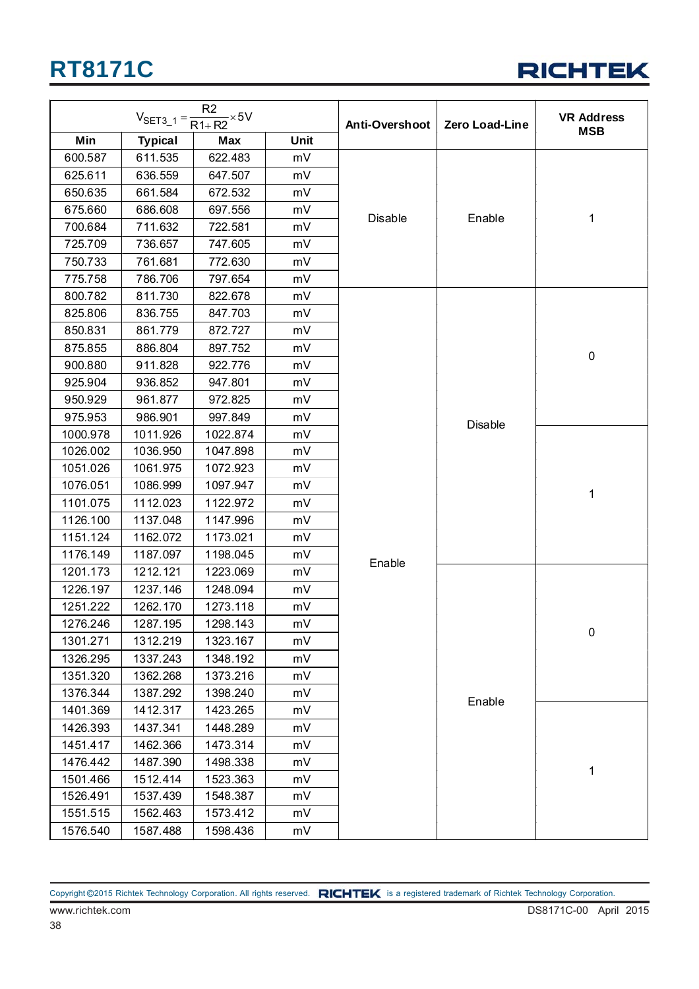

|          |                | R <sub>2</sub><br>$V_{\text{SET3}_1} = \frac{12}{R1 + R2} \times 5V$ |      | Anti-Overshoot | <b>Zero Load-Line</b> | <b>VR Address</b> |
|----------|----------------|----------------------------------------------------------------------|------|----------------|-----------------------|-------------------|
| Min      | <b>Typical</b> | Max                                                                  | Unit |                |                       | <b>MSB</b>        |
| 600.587  | 611.535        | 622.483                                                              | mV   |                |                       |                   |
| 625.611  | 636.559        | 647.507                                                              | mV   |                |                       |                   |
| 650.635  | 661.584        | 672.532                                                              | mV   |                |                       |                   |
| 675.660  | 686.608        | 697.556                                                              | mV   |                |                       |                   |
| 700.684  | 711.632        | 722.581                                                              | mV   | Disable        | Enable                | 1                 |
| 725.709  | 736.657        | 747.605                                                              | mV   |                |                       |                   |
| 750.733  | 761.681        | 772.630                                                              | mV   |                |                       |                   |
| 775.758  | 786.706        | 797.654                                                              | mV   |                |                       |                   |
| 800.782  | 811.730        | 822.678                                                              | mV   |                |                       |                   |
| 825.806  | 836.755        | 847.703                                                              | mV   |                |                       |                   |
| 850.831  | 861.779        | 872.727                                                              | mV   |                |                       |                   |
| 875.855  | 886.804        | 897.752                                                              | mV   |                |                       | $\pmb{0}$         |
| 900.880  | 911.828        | 922.776                                                              | mV   |                |                       |                   |
| 925.904  | 936.852        | 947.801                                                              | mV   |                |                       |                   |
| 950.929  | 961.877        | 972.825                                                              | mV   |                |                       |                   |
| 975.953  | 986.901        | 997.849                                                              | mV   |                | <b>Disable</b>        |                   |
| 1000.978 | 1011.926       | 1022.874                                                             | mV   |                |                       |                   |
| 1026.002 | 1036.950       | 1047.898                                                             | mV   |                |                       |                   |
| 1051.026 | 1061.975       | 1072.923                                                             | mV   |                |                       |                   |
| 1076.051 | 1086.999       | 1097.947                                                             | mV   |                |                       | 1                 |
| 1101.075 | 1112.023       | 1122.972                                                             | mV   |                |                       |                   |
| 1126.100 | 1137.048       | 1147.996                                                             | mV   |                |                       |                   |
| 1151.124 | 1162.072       | 1173.021                                                             | mV   |                |                       |                   |
| 1176.149 | 1187.097       | 1198.045                                                             | mV   | Enable         |                       |                   |
| 1201.173 | 1212.121       | 1223.069                                                             | mV   |                |                       |                   |
| 1226.197 | 1237.146       | 1248.094                                                             | mV   |                |                       |                   |
| 1251.222 | 1262.170       | 1273.118                                                             | mV   |                |                       |                   |
| 1276.246 | 1287.195       | 1298.143                                                             | mV   |                |                       | 0                 |
| 1301.271 | 1312.219       | 1323.167                                                             | mV   |                |                       |                   |
| 1326.295 | 1337.243       | 1348.192                                                             | mV   |                |                       |                   |
| 1351.320 | 1362.268       | 1373.216                                                             | mV   |                |                       |                   |
| 1376.344 | 1387.292       | 1398.240                                                             | mV   |                | Enable                |                   |
| 1401.369 | 1412.317       | 1423.265                                                             | mV   |                |                       |                   |
| 1426.393 | 1437.341       | 1448.289                                                             | mV   |                |                       |                   |
| 1451.417 | 1462.366       | 1473.314                                                             | mV   |                |                       |                   |
| 1476.442 | 1487.390       | 1498.338                                                             | mV   |                |                       | 1                 |
| 1501.466 | 1512.414       | 1523.363                                                             | mV   |                |                       |                   |
| 1526.491 | 1537.439       | 1548.387                                                             | mV   |                |                       |                   |
| 1551.515 | 1562.463       | 1573.412                                                             | mV   |                |                       |                   |
| 1576.540 | 1587.488       | 1598.436                                                             | mV   |                |                       |                   |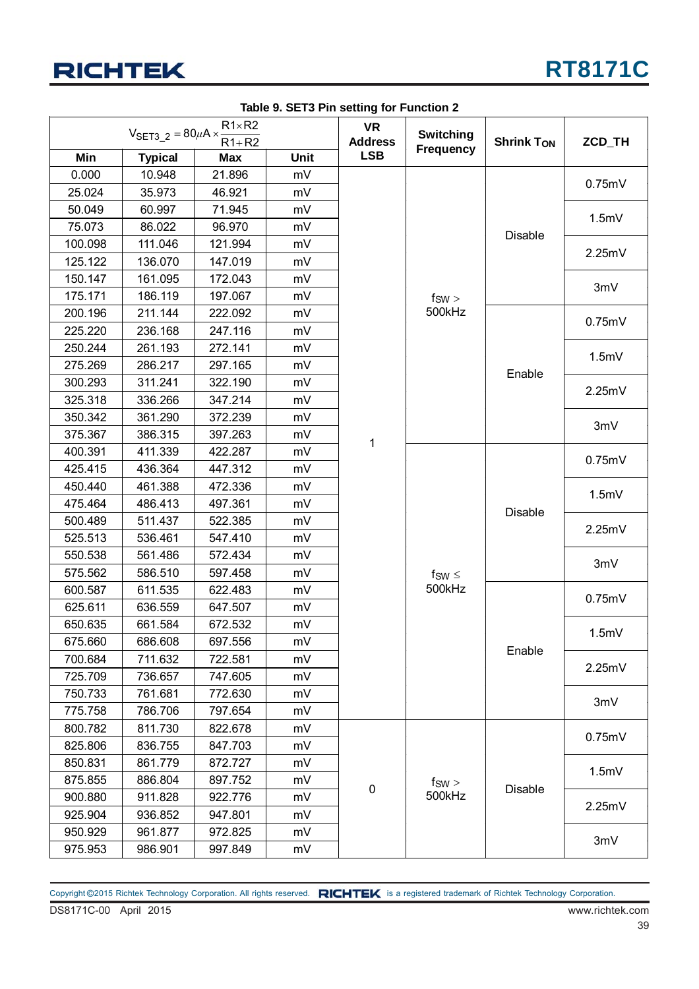

| $R1 \times R2$<br>$V_{\text{SET3\_2}} = 80 \mu A \times \frac{1}{2}$<br>$R1+R2$ |                | <b>VR</b><br><b>Address</b> | <b>Switching</b> | <b>Shrink TON</b> | ZCD_TH           |                                    |        |
|---------------------------------------------------------------------------------|----------------|-----------------------------|------------------|-------------------|------------------|------------------------------------|--------|
| Min                                                                             | <b>Typical</b> | <b>Max</b>                  | Unit             | <b>LSB</b>        | <b>Frequency</b> |                                    |        |
| 0.000                                                                           | 10.948         | 21.896                      | mV               |                   |                  |                                    |        |
| 25.024                                                                          | 35.973         | 46.921                      | mV               |                   |                  |                                    | 0.75mV |
| 50.049                                                                          | 60.997         | 71.945                      | mV               |                   |                  |                                    | 1.5mV  |
| 75.073                                                                          | 86.022         | 96.970                      | mV               |                   |                  | Disable                            |        |
| 100.098                                                                         | 111.046        | 121.994                     | mV               |                   |                  |                                    | 2.25mV |
| 125.122                                                                         | 136.070        | 147.019                     | mV               |                   |                  |                                    |        |
| 150.147                                                                         | 161.095        | 172.043                     | mV               |                   |                  |                                    | 3mV    |
| 175.171                                                                         | 186.119        | 197.067                     | mV               |                   | $f_{SW}$         |                                    |        |
| 200.196                                                                         | 211.144        | 222.092                     | mV               |                   | 500kHz           |                                    | 0.75mV |
| 225.220                                                                         | 236.168        | 247.116                     | mV               |                   |                  |                                    |        |
| 250.244                                                                         | 261.193        | 272.141                     | mV               |                   |                  |                                    | 1.5mV  |
| 275.269                                                                         | 286.217        | 297.165                     | mV               |                   |                  | Enable                             |        |
| 300.293                                                                         | 311.241        | 322.190                     | mV               |                   |                  |                                    | 2.25mV |
| 325.318                                                                         | 336.266        | 347.214                     | mV               |                   |                  |                                    |        |
| 350.342                                                                         | 361.290        | 372.239                     | mV               |                   |                  |                                    | 3mV    |
| 375.367                                                                         | 386.315        | 397.263                     | mV               | 1                 |                  |                                    |        |
| 400.391                                                                         | 411.339        | 422.287                     | mV               |                   |                  | Disable<br>$f_{SW} \leq$<br>500kHz | 0.75mV |
| 425.415                                                                         | 436.364        | 447.312                     | mV               |                   |                  |                                    |        |
| 450.440                                                                         | 461.388        | 472.336                     | mV               |                   |                  |                                    | 1.5mV  |
| 475.464                                                                         | 486.413        | 497.361                     | mV               |                   |                  |                                    |        |
| 500.489                                                                         | 511.437        | 522.385                     | mV               |                   |                  |                                    | 2.25mV |
| 525.513                                                                         | 536.461        | 547.410                     | mV               |                   |                  |                                    |        |
| 550.538                                                                         | 561.486        | 572.434                     | mV               |                   |                  |                                    | 3mV    |
| 575.562                                                                         | 586.510        | 597.458                     | mV               |                   |                  |                                    |        |
| 600.587                                                                         | 611.535        | 622.483                     | mV               |                   |                  |                                    | 0.75mV |
| 625.611                                                                         | 636.559        | 647.507                     | mV               |                   |                  |                                    |        |
| 650.635                                                                         | 661.584        | 672.532                     | mV               |                   |                  |                                    | 1.5mV  |
| 675.660                                                                         | 686.608        | 697.556                     | mV               |                   |                  | Enable                             |        |
| 700.684                                                                         | 711.632        | 722.581                     | mV               |                   |                  |                                    | 2.25mV |
| 725.709                                                                         | 736.657        | 747.605                     | mV               |                   |                  |                                    |        |
| 750.733                                                                         | 761.681        | 772.630                     | mV               |                   |                  |                                    | 3mV    |
| 775.758                                                                         | 786.706        | 797.654                     | mV               |                   |                  |                                    |        |
| 800.782                                                                         | 811.730        | 822.678                     | mV               |                   |                  |                                    | 0.75mV |
| 825.806                                                                         | 836.755        | 847.703                     | mV               |                   |                  |                                    |        |
| 850.831                                                                         | 861.779        | 872.727                     | mV               |                   |                  |                                    | 1.5mV  |
| 875.855                                                                         | 886.804        | 897.752                     | mV               | 0                 | $f_{SW}$         | Disable                            |        |
| 900.880                                                                         | 911.828        | 922.776                     | mV               |                   | 500kHz           |                                    | 2.25mV |
| 925.904                                                                         | 936.852        | 947.801                     | mV               |                   |                  |                                    |        |
| 950.929                                                                         | 961.877        | 972.825                     | mV               |                   |                  |                                    | 3mV    |
| 975.953                                                                         | 986.901        | 997.849                     | mV               |                   |                  |                                    |        |

**Table 9. SET3 Pin setting for Function 2**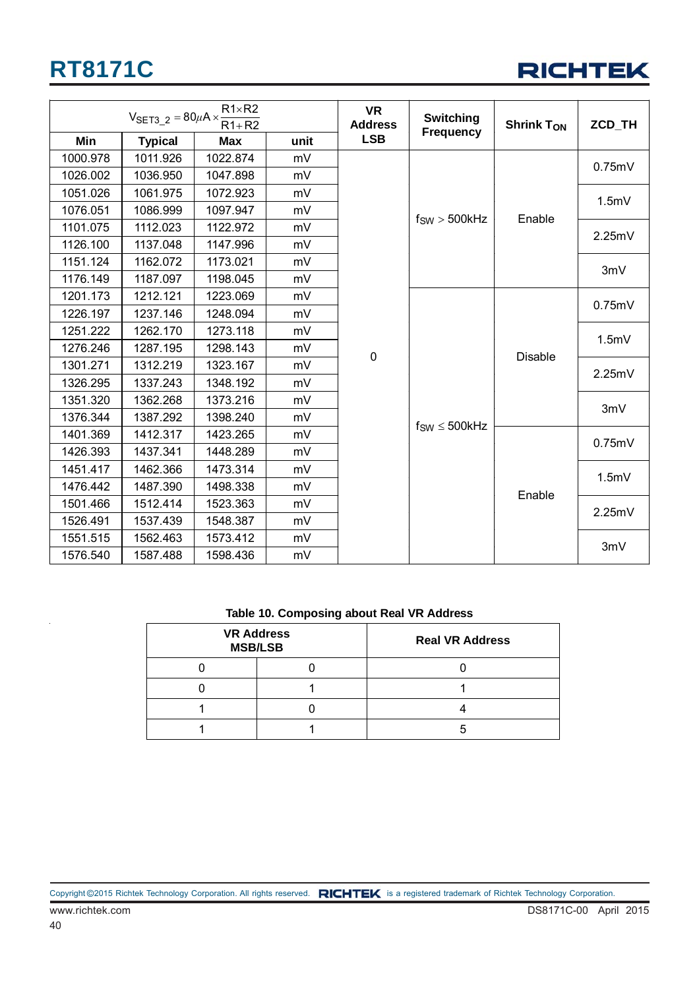

| $R1 \times R2$<br>$V_{\text{SET3\_2}} = 80 \mu A \times \frac{R}{R}$<br>$R1+R2$ |                | <b>VR</b><br><b>Address</b> | <b>Switching</b> | <b>Shrink Ton</b> | <b>ZCD TH</b>         |                       |        |
|---------------------------------------------------------------------------------|----------------|-----------------------------|------------------|-------------------|-----------------------|-----------------------|--------|
| Min                                                                             | <b>Typical</b> | <b>Max</b>                  | unit             | <b>LSB</b>        | <b>Frequency</b>      |                       |        |
| 1000.978                                                                        | 1011.926       | 1022.874                    | mV               |                   |                       |                       |        |
| 1026.002                                                                        | 1036.950       | 1047.898                    | mV               |                   |                       |                       | 0.75mV |
| 1051.026                                                                        | 1061.975       | 1072.923                    | mV               |                   |                       |                       | 1.5mV  |
| 1076.051                                                                        | 1086.999       | 1097.947                    | mV               |                   | $f_{SW}$ > 500 $k$ Hz | Enable                |        |
| 1101.075                                                                        | 1112.023       | 1122.972                    | mV               |                   |                       |                       | 2.25mV |
| 1126.100                                                                        | 1137.048       | 1147.996                    | mV               |                   |                       |                       |        |
| 1151.124                                                                        | 1162.072       | 1173.021                    | mV               |                   |                       |                       | 3mV    |
| 1176.149                                                                        | 1187.097       | 1198.045                    | mV               |                   |                       |                       |        |
| 1201.173                                                                        | 1212.121       | 1223.069                    | mV               | $\pmb{0}$         |                       |                       | 0.75mV |
| 1226.197                                                                        | 1237.146       | 1248.094                    | mV               |                   |                       |                       |        |
| 1251.222                                                                        | 1262.170       | 1273.118                    | mV               |                   |                       |                       | 1.5mV  |
| 1276.246                                                                        | 1287.195       | 1298.143                    | mV               |                   |                       | <b>Disable</b>        |        |
| 1301.271                                                                        | 1312.219       | 1323.167                    | mV               |                   |                       | $f_{SW} \leq 500$ kHz | 2.25mV |
| 1326.295                                                                        | 1337.243       | 1348.192                    | mV               |                   |                       |                       |        |
| 1351.320                                                                        | 1362.268       | 1373.216                    | mV               |                   |                       |                       | 3mV    |
| 1376.344                                                                        | 1387.292       | 1398.240                    | mV               |                   |                       |                       |        |
| 1401.369                                                                        | 1412.317       | 1423.265                    | mV               |                   |                       |                       | 0.75mV |
| 1426.393                                                                        | 1437.341       | 1448.289                    | mV               |                   |                       |                       |        |
| 1451.417                                                                        | 1462.366       | 1473.314                    | mV               |                   |                       |                       | 1.5mV  |
| 1476.442                                                                        | 1487.390       | 1498.338                    | mV               |                   |                       | Enable                |        |
| 1501.466                                                                        | 1512.414       | 1523.363                    | mV               |                   |                       |                       | 2.25mV |
| 1526.491                                                                        | 1537.439       | 1548.387                    | mV               |                   |                       |                       |        |
| 1551.515                                                                        | 1562.463       | 1573.412                    | mV               |                   |                       |                       | 3mV    |
| 1576.540                                                                        | 1587.488       | 1598.436                    | mV               |                   |                       |                       |        |

#### **Table 10. Composing about Real VR Address**

| <b>VR Address</b><br><b>MSB/LSB</b> | <b>Real VR Address</b> |
|-------------------------------------|------------------------|
|                                     |                        |
|                                     |                        |
|                                     |                        |
|                                     |                        |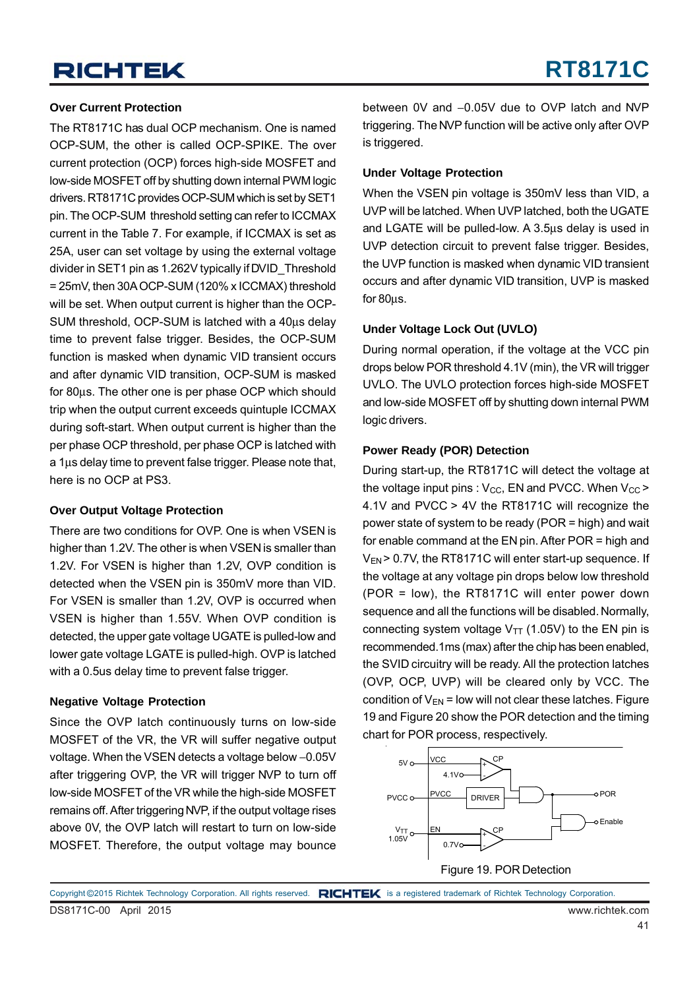#### **Over Current Protection**

The RT8171C has dual OCP mechanism. One is named OCP-SUM, the other is called OCP-SPIKE. The over current protection (OCP) forces high-side MOSFET and low-side MOSFET off by shutting down internal PWM logic drivers. RT8171C provides OCP-SUM which is set by SET1 pin. The OCP-SUM threshold setting can refer to ICCMAX current in the Table 7. For example, if ICCMAX is set as 25A, user can set voltage by using the external voltage divider in SET1 pin as 1.262V typically if DVID\_Threshold = 25mV, then 30A OCP-SUM (120% x ICCMAX) threshold will be set. When output current is higher than the OCP-SUM threshold, OCP-SUM is latched with a 40μs delay time to prevent false trigger. Besides, the OCP-SUM function is masked when dynamic VID transient occurs and after dynamic VID transition, OCP-SUM is masked for 80μs. The other one is per phase OCP which should trip when the output current exceeds quintuple ICCMAX during soft-start. When output current is higher than the per phase OCP threshold, per phase OCP is latched with a 1μs delay time to prevent false trigger. Please note that, here is no OCP at PS3.

#### **Over Output Voltage Protection**

There are two conditions for OVP. One is when VSEN is higher than 1.2V. The other is when VSEN is smaller than 1.2V. For VSEN is higher than 1.2V, OVP condition is detected when the VSEN pin is 350mV more than VID. For VSEN is smaller than 1.2V, OVP is occurred when VSEN is higher than 1.55V. When OVP condition is detected, the upper gate voltage UGATE is pulled-low and lower gate voltage LGATE is pulled-high. OVP is latched with a 0.5us delay time to prevent false trigger.

#### **Negative Voltage Protection**

Since the OVP latch continuously turns on low-side MOSFET of the VR, the VR will suffer negative output voltage. When the VSEN detects a voltage below −0.05V after triggering OVP, the VR will trigger NVP to turn off low-side MOSFET of the VR while the high-side MOSFET remains off. After triggering NVP, if the output voltage rises above 0V, the OVP latch will restart to turn on low-side MOSFET. Therefore, the output voltage may bounce

between 0V and −0.05V due to OVP latch and NVP triggering. The NVP function will be active only after OVP is triggered.

#### **Under Voltage Protection**

When the VSEN pin voltage is 350mV less than VID, a UVP will be latched. When UVP latched, both the UGATE and LGATE will be pulled-low. A 3.5μs delay is used in UVP detection circuit to prevent false trigger. Besides, the UVP function is masked when dynamic VID transient occurs and after dynamic VID transition, UVP is masked for 80μs.

#### **Under Voltage Lock Out (UVLO)**

During normal operation, if the voltage at the VCC pin drops below POR threshold 4.1V (min), the VR will trigger UVLO. The UVLO protection forces high-side MOSFET and low-side MOSFET off by shutting down internal PWM logic drivers.

#### **Power Ready (POR) Detection**

During start-up, the RT8171C will detect the voltage at the voltage input pins :  $V_{CC}$ , EN and PVCC. When  $V_{CC}$  > 4.1V and PVCC > 4V the RT8171C will recognize the power state of system to be ready (POR = high) and wait for enable command at the EN pin. After POR = high and V<sub>EN</sub> > 0.7V, the RT8171C will enter start-up sequence. If the voltage at any voltage pin drops below low threshold (POR = low), the RT8171C will enter power down sequence and all the functions will be disabled. Normally, connecting system voltage  $V_{TT}$  (1.05V) to the EN pin is recommended.1ms (max) after the chip has been enabled, the SVID circuitry will be ready. All the protection latches (OVP, OCP, UVP) will be cleared only by VCC. The condition of  $V_{EN}$  = low will not clear these latches. Figure 19 and Figure 20 show the POR detection and the timing chart for POR process, respectively.



DS8171C-00 April 2015 www.richtek.com Copyright ©2015 Richtek Technology Corporation. All rights reserved. RICHTEK is a registered trademark of Richtek Technology Corporation.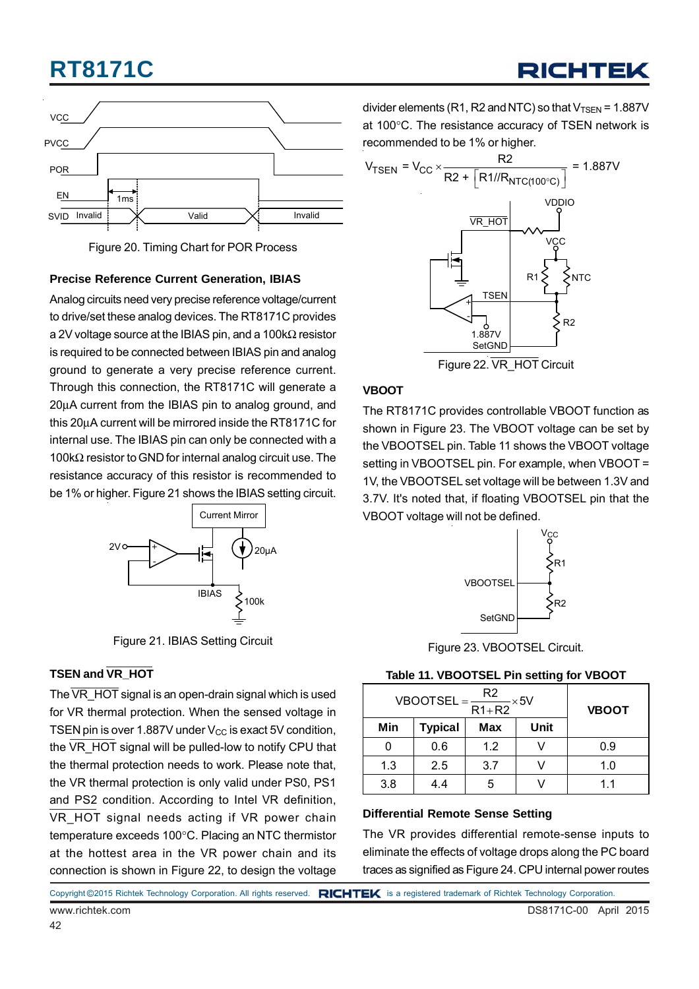

Figure 20. Timing Chart for POR Process

#### **Precise Reference Current Generation, IBIAS**

Analog circuits need very precise reference voltage/current to drive/set these analog devices. The RT8171C provides a 2V voltage source at the IBIAS pin, and a 100kΩ resistor is required to be connected between IBIAS pin and analog ground to generate a very precise reference current. Through this connection, the RT8171C will generate a 20μA current from the IBIAS pin to analog ground, and this 20μA current will be mirrored inside the RT8171C for internal use. The IBIAS pin can only be connected with a 100kΩ resistor to GND for internal analog circuit use. The resistance accuracy of this resistor is recommended to be 1% or higher. Figure 21 shows the IBIAS setting circuit.



Figure 21. IBIAS Setting Circuit

#### **TSEN and VR\_HOT**

The  $\overline{VR}$  HOT signal is an open-drain signal which is used for VR thermal protection. When the sensed voltage in TSEN pin is over 1.887V under  $V_{CC}$  is exact 5V condition, the VR\_HOT signal will be pulled-low to notify CPU that the thermal protection needs to work. Please note that, the VR thermal protection is only valid under PS0, PS1 and PS2 condition. According to Intel VR definition, VR HOT signal needs acting if VR power chain temperature exceeds 100°C. Placing an NTC thermistor at the hottest area in the VR power chain and its connection is shown in Figure 22, to design the voltage divider elements (R1, R2 and NTC) so that  $V_{TSEN}$  = 1.887V at 100°C. The resistance accuracy of TSEN network is recommended to be 1% or higher.



Figure 22. VR\_HOT Circuit

#### **VBOOT**

The RT8171C provides controllable VBOOT function as shown in Figure 23. The VBOOT voltage can be set by the VBOOTSEL pin. Table 11 shows the VBOOT voltage setting in VBOOTSEL pin. For example, when VBOOT = 1V, the VBOOTSEL set voltage will be between 1.3V and 3.7V. It's noted that, if floating VBOOTSEL pin that the VBOOT voltage will not be defined.



Figure 23. VBOOTSEL Circuit.

#### **Table 11. VBOOTSEL Pin setting for VBOOT**

| $VBOOTSEL = -$ | <b>VBOOT</b>   |     |      |     |  |  |
|----------------|----------------|-----|------|-----|--|--|
| Min            | <b>Typical</b> | Max | Unit |     |  |  |
|                | 0.6            | 1.2 |      | 0.9 |  |  |
| 1.3            | 2.5            | 3.7 |      | 1.0 |  |  |
| 3.8            | 4.4            |     |      | 11  |  |  |

#### **Differential Remote Sense Setting**

The VR provides differential remote-sense inputs to eliminate the effects of voltage drops along the PC board traces as signified as Figure 24. CPU internal power routes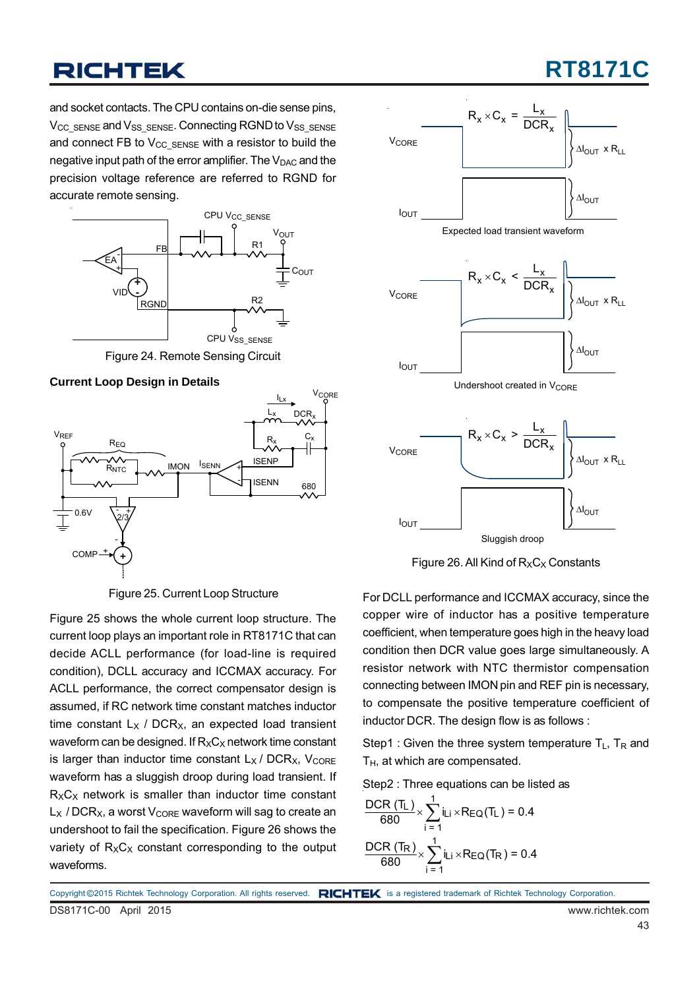## **RT8171C**

and socket contacts. The CPU contains on-die sense pins,  $V_{CC-SSENSE}$  and  $V_{SS-SSENSE}$ . Connecting RGND to  $V_{SS-SSENSE}$ and connect FB to  $V_{CC}$  sense with a resistor to build the negative input path of the error amplifier. The  $V_{\text{DAC}}$  and the precision voltage reference are referred to RGND for accurate remote sensing.



Figure 24. Remote Sensing Circuit

#### **Current Loop Design in Details**



Figure 25. Current Loop Structure

Figure 25 shows the whole current loop structure. The current loop plays an important role in RT8171C that can decide ACLL performance (for load-line is required condition), DCLL accuracy and ICCMAX accuracy. For ACLL performance, the correct compensator design is assumed, if RC network time constant matches inductor time constant  $L_X$  / DCR<sub>X</sub>, an expected load transient waveform can be designed. If  $R_XC_X$  network time constant is larger than inductor time constant  $L_X / DCR_X$ ,  $V_{CORE}$ waveform has a sluggish droop during load transient. If  $R_XC_X$  network is smaller than inductor time constant  $L_X$  / DCR<sub>X</sub>, a worst V<sub>CORE</sub> waveform will sag to create an undershoot to fail the specification. Figure 26 shows the variety of  $R_XC_X$  constant corresponding to the output waveforms.





For DCLL performance and ICCMAX accuracy, since the copper wire of inductor has a positive temperature coefficient, when temperature goes high in the heavy load condition then DCR value goes large simultaneously. A resistor network with NTC thermistor compensation connecting between IMON pin and REF pin is necessary, to compensate the positive temperature coefficient of inductor DCR. The design flow is as follows :

Step1 : Given the three system temperature  $T_L$ ,  $T_R$  and  $T_H$ , at which are compensated.

Step2 : Three equations can be listed as

$$
\frac{\text{DCR (T_L)}}{680} \times \sum_{i=1}^{1} i_{Li} \times R_{EQ}(T_L) = 0.4
$$
  

$$
\frac{\text{DCR (T_R)}}{680} \times \sum_{i=1}^{1} i_{Li} \times R_{EQ}(T_R) = 0.4
$$

DS8171C-00 April 2015 www.richtek.com Copyright ©2015 Richtek Technology Corporation. All rights reserved. RICHTEK is a registered trademark of Richtek Technology Corporation.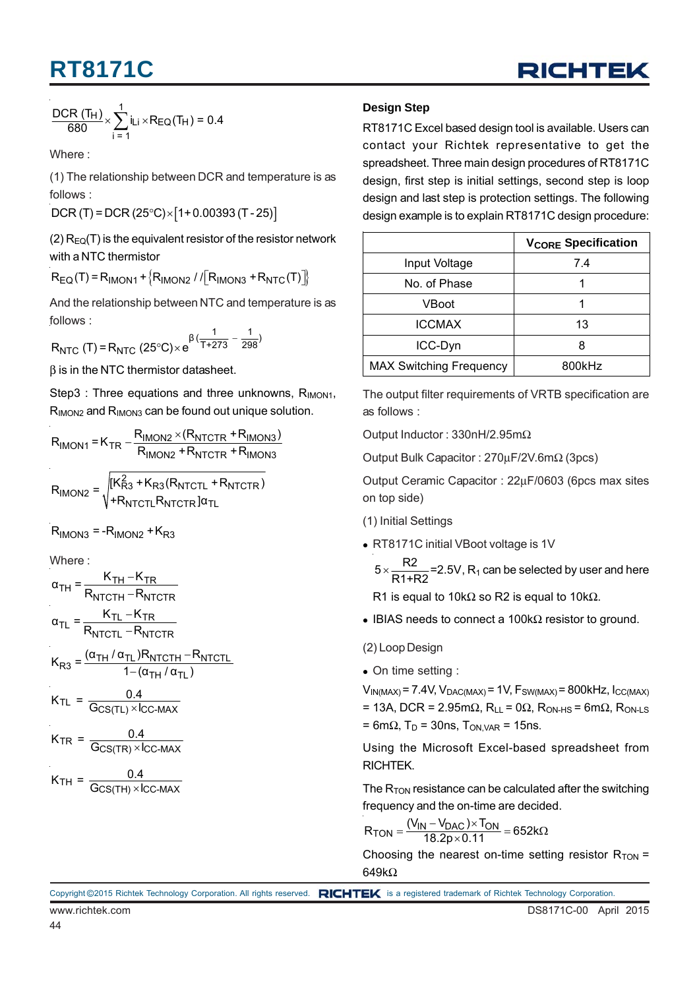

$$
\frac{\text{DCR (T_H)}}{680} \times \sum_{i=1}^{1} i_{Li} \times R_{EQ}(T_H) = 0.4
$$

Where :

(1) The relationship between DCR and temperature is as follows :

 $DCR (T) = DCR (25°C) \times [1 + 0.00393 (T - 25)]$ 

(2)  $R_{EQ}(T)$  is the equivalent resistor of the resistor network with a NTC thermistor

 $R_{\text{EQ}}(T) = R_{\text{IMON1}} + R_{\text{IMON2}} / / [R_{\text{IMON3}} + R_{\text{NTC}}(T)]$ 

And the relationship between NTC and temperature is as follows :

$$
R_{NTC} (T) = R_{NTC} (25^{\circ}C) \times e^{\beta(\frac{1}{T + 273} - \frac{1}{298})}
$$

 $β$  is in the NTC thermistor datasheet.

Step3 : Three equations and three unknowns,  $R_{IMON1}$ , R<sub>IMON2</sub> and R<sub>IMON3</sub> can be found out unique solution.

$$
R_{IMON1} = K_{TR} - \frac{R_{IMON2} \times (R_{NTCTR} + R_{IMON3})}{R_{IMON2} + R_{NTCTR} + R_{IMON3}}
$$

$$
R_{IMON2} = \sqrt{\frac{[K_{R3}^2 + K_{R3}(R_{NTCTL} + R_{NTCTR})}{[K_{RTCTL}^2 + K_{NTCTR}^2]}\}
$$

 $R_{IMON3} = -R_{IMON2} + K_{R3}$ 

Where :

$$
\alpha_{TH} = \frac{K_{TH} - K_{TR}}{R_{NTCTH} - R_{NTCTR}}
$$
\n
$$
\alpha_{TL} = \frac{K_{TL} - K_{TR}}{R_{NTCTL} - R_{NTCTR}}
$$
\n
$$
K_{R3} = \frac{(\alpha_{TH}/\alpha_{TL})R_{NTCTH} - R_{NTCTL}}{1 - (\alpha_{TH}/\alpha_{TL})}
$$
\n
$$
K_{TL} = \frac{0.4}{G_{CS(TL)} \times I_{CC\text{-MAX}}}
$$
\n
$$
K_{TR} = \frac{0.4}{G_{CS(TR)} \times I_{CC\text{-MAX}}}
$$

$$
K_{TH} = \frac{0.4}{G_{CS(TH)} \times I_{CC-MAX}}
$$

#### **Design Step**

RT8171C Excel based design tool is available. Users can contact your Richtek representative to get the spreadsheet. Three main design procedures of RT8171C design, first step is initial settings, second step is loop design and last step is protection settings. The following design example is to explain RT8171C design procedure:

|                                | <b>V<sub>CORE</sub></b> Specification |
|--------------------------------|---------------------------------------|
| Input Voltage                  | 7.4                                   |
| No. of Phase                   |                                       |
| VBoot                          |                                       |
| <b>ICCMAX</b>                  | 13                                    |
| ICC-Dyn                        | 8                                     |
| <b>MAX Switching Frequency</b> | 800kHz                                |

The output filter requirements of VRTB specification are as follows :

Output Inductor : 330nH/2.95mΩ

Output Bulk Capacitor : 270μF/2V.6mΩ (3pcs)

Output Ceramic Capacitor : 22μF/0603 (6pcs max sites on top side)

(1) Initial Settings

- RT8171C initial VBoot voltage is 1V
	- $5 \times \frac{R2}{R1+R2}$ =2.5V, R<sub>1</sub> can be selected by user and here

R1 is equal to 10k $\Omega$  so R2 is equal to 10k $\Omega$ .

• IBIAS needs to connect a 100kΩ resistor to ground.

(2) Loop Design

On time setting :

 $V_{IN(MAX)} = 7.4V$ ,  $V_{DAC(MAX)} = 1V$ ,  $F_{SW(MAX)} = 800kHz$ ,  $I_{CC(MAX)}$ = 13A, DCR = 2.95mΩ,  $R_{LL}$  = 0Ω,  $R_{ON\text{-}HS}$  = 6mΩ,  $R_{ON\text{-}IS}$  $= 6 \text{m}\Omega$ , T<sub>D</sub> = 30ns, T<sub>ON, VAR</sub> = 15ns.

Using the Microsoft Excel-based spreadsheet from RICHTEK.

The  $R_{TON}$  resistance can be calculated after the switching frequency and the on-time are decided.

$$
R_{TON} = \frac{(V_{IN} - V_{DAC}) \times T_{ON}}{18.2p \times 0.11} = 652k\Omega
$$

Choosing the nearest on-time setting resistor  $R_{TON}$  = 649kΩ

Copyright ©2015 Richtek Technology Corporation. All rights reserved. RICHTEK is a registered trademark of Richtek Technology Corporation.

44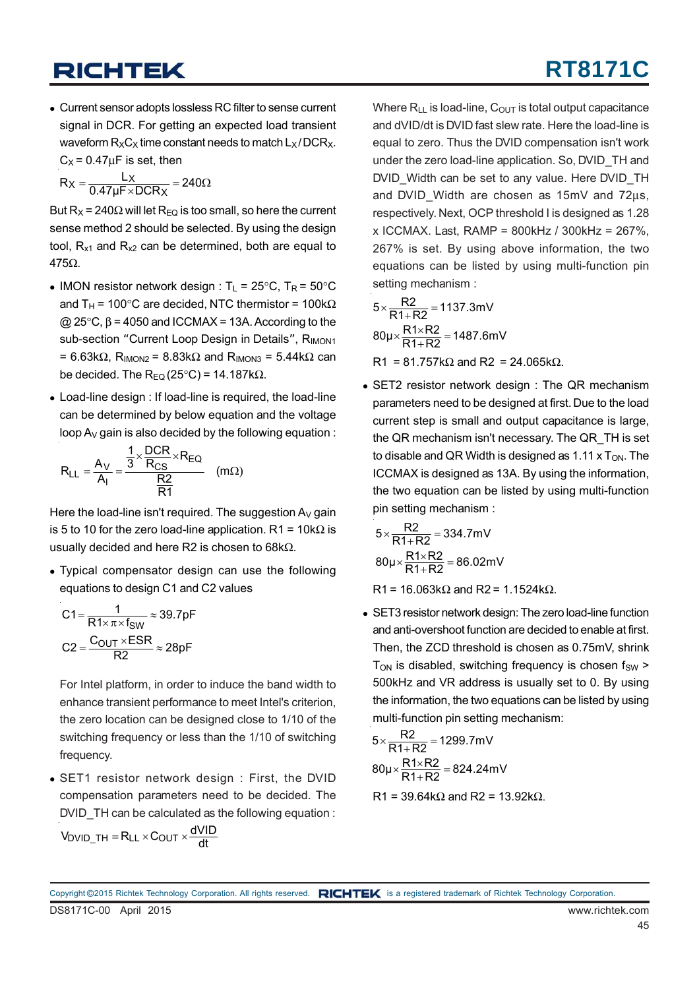Current sensor adopts lossless RC filter to sense current signal in DCR. For getting an expected load transient waveform  $R_XC_X$  time constant needs to match  $L_X/DCR_X$ .  $C_X$  = 0.47 $\mu$ F is set, then

$$
R_X = \frac{L_X}{0.47 \mu F \times DCR_X} = 240 \Omega
$$

But R<sub>X</sub> = 240 $\Omega$  will let R<sub>FQ</sub> is too small, so here the current sense method 2 should be selected. By using the design tool,  $R_{x1}$  and  $R_{x2}$  can be determined, both are equal to 475Ω.

- IMON resistor network design :  $T_1 = 25^{\circ}$ C,  $T_R = 50^{\circ}$ C and T<sub>H</sub> = 100°C are decided, NTC thermistor = 100k $\Omega$  $Q$  25°C, β = 4050 and ICCMAX = 13A. According to the sub-section "Current Loop Design in Details", RIMON1 = 6.63k $\Omega$ , R<sub>IMON2</sub> = 8.83k $\Omega$  and R<sub>IMON3</sub> = 5.44k $\Omega$  can be decided. The  $R_{EQ}(25^{\circ}C) = 14.187k\Omega$ .
- Load-line design : If load-line is required, the load-line can be determined by below equation and the voltage loop  $A_V$  gain is also decided by the following equation :

$$
R_{LL} = \frac{A_V}{A_I} = \frac{\frac{1}{3} \times \frac{DCR}{R_{CS}} \times R_{EQ}}{\frac{R2}{R1}}
$$
 (mΩ)

Here the load-line isn't required. The suggestion  $A_V$  gain is 5 to 10 for the zero load-line application. R1 =  $10k\Omega$  is usually decided and here R2 is chosen to 68k $Ω$ .

 Typical compensator design can use the following equations to design C1 and C2 values

$$
C1 = \frac{1}{R1 \times \pi \times f_{SW}} \approx 39.7pF
$$

$$
C2 = \frac{C_{OUT} \times ESR}{R2} \approx 28pF
$$

For Intel platform, in order to induce the band width to enhance transient performance to meet Intel's criterion, the zero location can be designed close to 1/10 of the switching frequency or less than the 1/10 of switching frequency.

 SET1 resistor network design : First, the DVID compensation parameters need to be decided. The DVID\_TH can be calculated as the following equation :

$$
V_{DVID\_TH} = R_{LL} \times C_{OUT} \times \frac{dVID}{dt}
$$

Where  $R_{LL}$  is load-line,  $C_{OUT}$  is total output capacitance and dVID/dt is DVID fast slew rate. Here the load-line is equal to zero. Thus the DVID compensation isn't work under the zero load-line application. So, DVID\_TH and DVID Width can be set to any value. Here DVID TH and DVID\_Width are chosen as 15mV and 72μs, respectively. Next, OCP threshold I is designed as 1.28 x ICCMAX. Last, RAMP = 800kHz / 300kHz = 267%, 267% is set. By using above information, the two equations can be listed by using multi-function pin setting mechanism :

$$
5 \times \frac{R2}{R1 + R2} = 1137.3 \text{mV}
$$

$$
80 \mu \times \frac{R1 \times R2}{R1 + R2} = 1487.6 \text{mV}
$$

R1 = 81.757k $\Omega$  and R2 = 24.065k $\Omega$ .

 SET2 resistor network design : The QR mechanism parameters need to be designed at first. Due to the load current step is small and output capacitance is large, the QR mechanism isn't necessary. The QR\_TH is set to disable and QR Width is designed as  $1.11 \times T_{ON}$ . The ICCMAX is designed as 13A. By using the information, the two equation can be listed by using multi-function pin setting mechanism :

$$
5 \times \frac{R2}{R1 + R2} = 334.7 \text{mV}
$$

$$
80 \mu \times \frac{R1 \times R2}{R1 + R2} = 86.02 \text{mV}
$$

R1 = 16.063kΩ and R2 = 1.1524kΩ.

 SET3 resistor network design: The zero load-line function and anti-overshoot function are decided to enable at first. Then, the ZCD threshold is chosen as 0.75mV, shrink  $T<sub>ON</sub>$  is disabled, switching frequency is chosen  $f<sub>SW</sub>$ 500kHz and VR address is usually set to 0. By using the information, the two equations can be listed by using multi-function pin setting mechanism:

$$
5 \times \frac{R2}{R1 + R2} = 1299.7 \text{mV}
$$

$$
80 \mu \times \frac{R1 \times R2}{R1 + R2} = 824.24 \text{mV}
$$

$$
R1 = 39.64k\Omega
$$
 and  $R2 = 13.92k\Omega$ .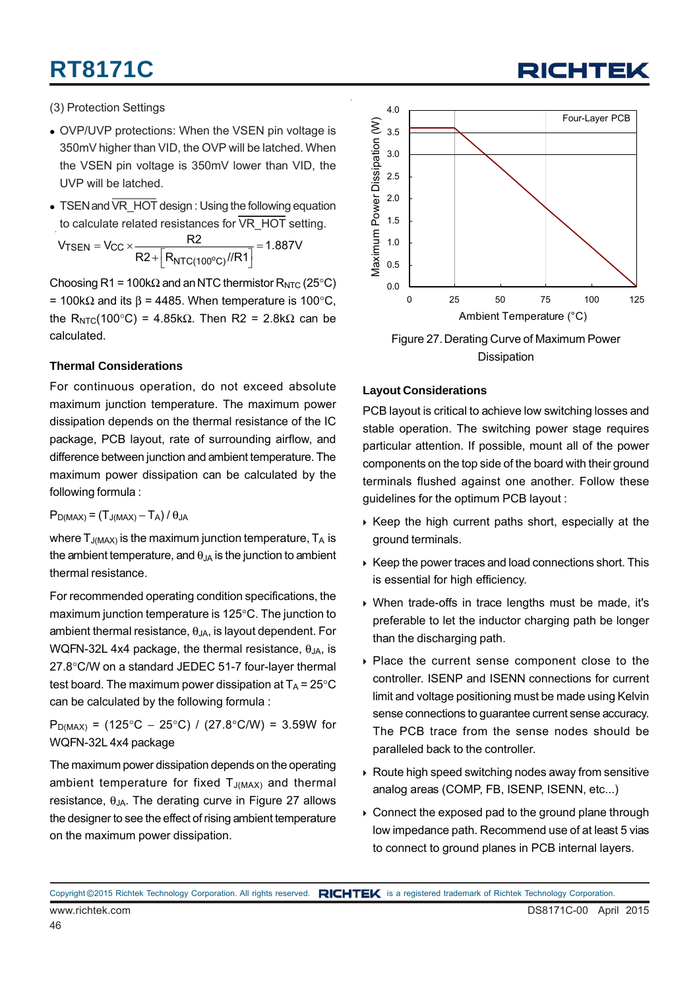(3) Protection Settings

- OVP/UVP protections: When the VSEN pin voltage is 350mV higher than VID, the OVP will be latched. When the VSEN pin voltage is 350mV lower than VID, the UVP will be latched.
- TSEN and  $\overline{\text{VR} + \text{O}}$  design : Using the following equation to calculate related resistances for VR\_HOT setting.

$$
V_{TSEN} = V_{CC} \times \frac{R2}{R2 + \left[R_{NTC(100^{\circ}C)}//R1\right]} = 1.887V
$$

Choosing R1 = 100k $\Omega$  and an NTC thermistor R<sub>NTC</sub> (25°C) = 100kΩ and its  $\beta$  = 4485. When temperature is 100°C, the R<sub>NTC</sub>(100°C) = 4.85kΩ. Then R2 = 2.8kΩ can be calculated.

#### **Thermal Considerations**

For continuous operation, do not exceed absolute maximum junction temperature. The maximum power dissipation depends on the thermal resistance of the IC package, PCB layout, rate of surrounding airflow, and difference between junction and ambient temperature. The maximum power dissipation can be calculated by the following formula :

 $P_{D(MAX)} = (T_{J(MAX)} - T_A) / \theta_{JA}$ 

46

where  $T_{J(MAX)}$  is the maximum junction temperature,  $T_A$  is the ambient temperature, and  $\theta_{JA}$  is the junction to ambient thermal resistance.

For recommended operating condition specifications, the maximum junction temperature is 125°C. The junction to ambient thermal resistance,  $\theta_{JA}$ , is layout dependent. For WQFN-32L 4x4 package, the thermal resistance,  $\theta_{JA}$ , is 27.8°C/W on a standard JEDEC 51-7 four-layer thermal test board. The maximum power dissipation at  $T_A = 25^{\circ}C$ can be calculated by the following formula :

P<sub>D(MAX)</sub> = (125°C – 25°C) / (27.8°C/W) = 3.59W for WQFN-32L 4x4 package

The maximum power dissipation depends on the operating ambient temperature for fixed  $T_{J(MAX)}$  and thermal resistance,  $θ<sub>JA</sub>$ . The derating curve in Figure 27 allows the designer to see the effect of rising ambient temperature on the maximum power dissipation.



Figure 27. Derating Curve of Maximum Power **Dissipation** 

#### **Layout Considerations**

PCB layout is critical to achieve low switching losses and stable operation. The switching power stage requires particular attention. If possible, mount all of the power components on the top side of the board with their ground terminals flushed against one another. Follow these guidelines for the optimum PCB layout :

- $\triangleright$  Keep the high current paths short, especially at the ground terminals.
- $\triangleright$  Keep the power traces and load connections short. This is essential for high efficiency.
- When trade-offs in trace lengths must be made, it's preferable to let the inductor charging path be longer than the discharging path.
- Place the current sense component close to the controller. ISENP and ISENN connections for current limit and voltage positioning must be made using Kelvin sense connections to guarantee current sense accuracy. The PCB trace from the sense nodes should be paralleled back to the controller.
- ▶ Route high speed switching nodes away from sensitive analog areas (COMP, FB, ISENP, ISENN, etc...)
- Connect the exposed pad to the ground plane through low impedance path. Recommend use of at least 5 vias to connect to ground planes in PCB internal layers.